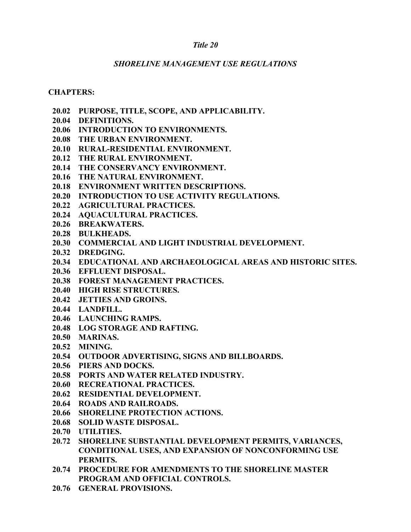### *Title 20*

#### *SHORELINE MANAGEMENT USE REGULATIONS*

#### **CHAPTERS:**

- **20.02 PURPOSE, TITLE, SCOPE, AND APPLICABILITY.**
- **20.04 DEFINITIONS.**
- **20.06 INTRODUCTION TO ENVIRONMENTS.**
- **20.08 THE URBAN ENVIRONMENT.**
- **20.10 RURAL-RESIDENTIAL ENVIRONMENT.**
- **20.12 THE RURAL ENVIRONMENT.**
- **20.14 THE CONSERVANCY ENVIRONMENT.**
- **20.16 THE NATURAL ENVIRONMENT.**
- **20.18 ENVIRONMENT WRITTEN DESCRIPTIONS.**
- **20.20 INTRODUCTION TO USE ACTIVITY REGULATIONS.**
- **20.22 AGRICULTURAL PRACTICES.**
- **20.24 AQUACULTURAL PRACTICES.**
- **20.26 BREAKWATERS.**
- **20.28 BULKHEADS.**
- **20.30 COMMERCIAL AND LIGHT INDUSTRIAL DEVELOPMENT.**
- **20.32 DREDGING.**
- **20.34 EDUCATIONAL AND ARCHAEOLOGICAL AREAS AND HISTORIC SITES.**
- **20.36 EFFLUENT DISPOSAL.**
- **20.38 FOREST MANAGEMENT PRACTICES.**
- **20.40 HIGH RISE STRUCTURES.**
- **20.42 JETTIES AND GROINS.**
- **20.44 LANDFILL.**
- **20.46 LAUNCHING RAMPS.**
- **20.48 LOG STORAGE AND RAFTING.**
- **20.50 MARINAS.**
- **20.52 MINING.**
- **20.54 OUTDOOR ADVERTISING, SIGNS AND BILLBOARDS.**
- **20.56 PIERS AND DOCKS.**
- **20.58 PORTS AND WATER RELATED INDUSTRY.**
- **20.60 RECREATIONAL PRACTICES.**
- **20.62 RESIDENTIAL DEVELOPMENT.**
- **20.64 ROADS AND RAILROADS.**
- **20.66 SHORELINE PROTECTION ACTIONS.**
- **20.68 SOLID WASTE DISPOSAL.**
- **20.70 UTILITIES.**
- **20.72 SHORELINE SUBSTANTIAL DEVELOPMENT PERMITS, VARIANCES, CONDITIONAL USES, AND EXPANSION OF NONCONFORMING USE PERMITS.**
- **20.74 PROCEDURE FOR AMENDMENTS TO THE SHORELINE MASTER PROGRAM AND OFFICIAL CONTROLS.**
- **20.76 GENERAL PROVISIONS.**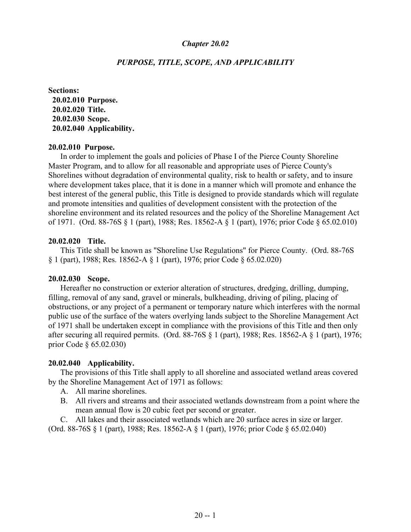#### *PURPOSE, TITLE, SCOPE, AND APPLICABILITY*

**Sections: 20.02.010 Purpose. 20.02.020 Title. 20.02.030 Scope. 20.02.040 Applicability.**

#### **20.02.010 Purpose.**

In order to implement the goals and policies of Phase I of the Pierce County Shoreline Master Program, and to allow for all reasonable and appropriate uses of Pierce County's Shorelines without degradation of environmental quality, risk to health or safety, and to insure where development takes place, that it is done in a manner which will promote and enhance the best interest of the general public, this Title is designed to provide standards which will regulate and promote intensities and qualities of development consistent with the protection of the shoreline environment and its related resources and the policy of the Shoreline Management Act of 1971. (Ord. 88-76S § 1 (part), 1988; Res. 18562-A § 1 (part), 1976; prior Code § 65.02.010)

#### **20.02.020 Title.**

This Title shall be known as "Shoreline Use Regulations" for Pierce County. (Ord. 88-76S § 1 (part), 1988; Res. 18562-A § 1 (part), 1976; prior Code § 65.02.020)

#### **20.02.030 Scope.**

Hereafter no construction or exterior alteration of structures, dredging, drilling, dumping, filling, removal of any sand, gravel or minerals, bulkheading, driving of piling, placing of obstructions, or any project of a permanent or temporary nature which interferes with the normal public use of the surface of the waters overlying lands subject to the Shoreline Management Act of 1971 shall be undertaken except in compliance with the provisions of this Title and then only after securing all required permits. (Ord. 88-76S § 1 (part), 1988; Res. 18562-A § 1 (part), 1976; prior Code § 65.02.030)

#### **20.02.040 Applicability.**

The provisions of this Title shall apply to all shoreline and associated wetland areas covered by the Shoreline Management Act of 1971 as follows:

- A. All marine shorelines.
- B. All rivers and streams and their associated wetlands downstream from a point where the mean annual flow is 20 cubic feet per second or greater.

C. All lakes and their associated wetlands which are 20 surface acres in size or larger. (Ord. 88-76S § 1 (part), 1988; Res. 18562-A § 1 (part), 1976; prior Code § 65.02.040)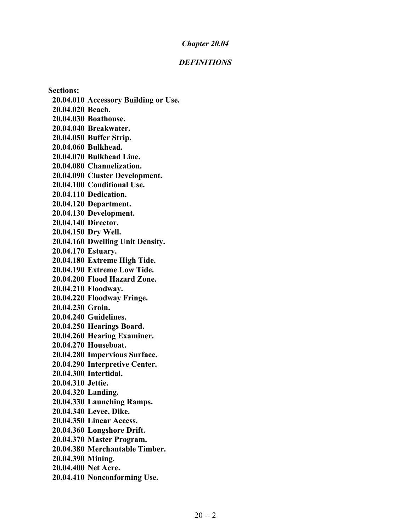#### *DEFINITIONS*

**Sections: 20.04.010 Accessory Building or Use. 20.04.020 Beach. 20.04.030 Boathouse. 20.04.040 Breakwater. 20.04.050 Buffer Strip. 20.04.060 Bulkhead. 20.04.070 Bulkhead Line. 20.04.080 Channelization. 20.04.090 Cluster Development. 20.04.100 Conditional Use. 20.04.110 Dedication. 20.04.120 Department. 20.04.130 Development. 20.04.140 Director. 20.04.150 Dry Well. 20.04.160 Dwelling Unit Density. 20.04.170 Estuary. 20.04.180 Extreme High Tide. 20.04.190 Extreme Low Tide. 20.04.200 Flood Hazard Zone. 20.04.210 Floodway. 20.04.220 Floodway Fringe. 20.04.230 Groin. 20.04.240 Guidelines. 20.04.250 Hearings Board. 20.04.260 Hearing Examiner. 20.04.270 Houseboat. 20.04.280 Impervious Surface. 20.04.290 Interpretive Center. 20.04.300 Intertidal. 20.04.310 Jettie. 20.04.320 Landing. 20.04.330 Launching Ramps. 20.04.340 Levee, Dike. 20.04.350 Linear Access. 20.04.360 Longshore Drift. 20.04.370 Master Program. 20.04.380 Merchantable Timber. 20.04.390 Mining. 20.04.400 Net Acre. 20.04.410 Nonconforming Use.**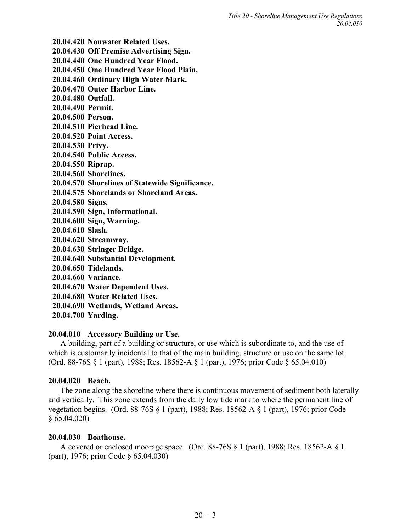**20.04.420 Nonwater Related Uses. 20.04.430 Off Premise Advertising Sign. 20.04.440 One Hundred Year Flood. 20.04.450 One Hundred Year Flood Plain. 20.04.460 Ordinary High Water Mark. 20.04.470 Outer Harbor Line. 20.04.480 Outfall. 20.04.490 Permit. 20.04.500 Person. 20.04.510 Pierhead Line. 20.04.520 Point Access. 20.04.530 Privy. 20.04.540 Public Access. 20.04.550 Riprap. 20.04.560 Shorelines. 20.04.570 Shorelines of Statewide Significance. 20.04.575 Shorelands or Shoreland Areas. 20.04.580 Signs. 20.04.590 Sign, Informational. 20.04.600 Sign, Warning. 20.04.610 Slash. 20.04.620 Streamway. 20.04.630 Stringer Bridge. 20.04.640 Substantial Development. 20.04.650 Tidelands. 20.04.660 Variance. 20.04.670 Water Dependent Uses. 20.04.680 Water Related Uses. 20.04.690 Wetlands, Wetland Areas. 20.04.700 Yarding.**

## **20.04.010 Accessory Building or Use.**

A building, part of a building or structure, or use which is subordinate to, and the use of which is customarily incidental to that of the main building, structure or use on the same lot. (Ord. 88-76S § 1 (part), 1988; Res. 18562-A § 1 (part), 1976; prior Code § 65.04.010)

# **20.04.020 Beach.**

The zone along the shoreline where there is continuous movement of sediment both laterally and vertically. This zone extends from the daily low tide mark to where the permanent line of vegetation begins. (Ord. 88-76S § 1 (part), 1988; Res. 18562-A § 1 (part), 1976; prior Code § 65.04.020)

# **20.04.030 Boathouse.**

A covered or enclosed moorage space. (Ord. 88-76S § 1 (part), 1988; Res. 18562-A § 1 (part), 1976; prior Code § 65.04.030)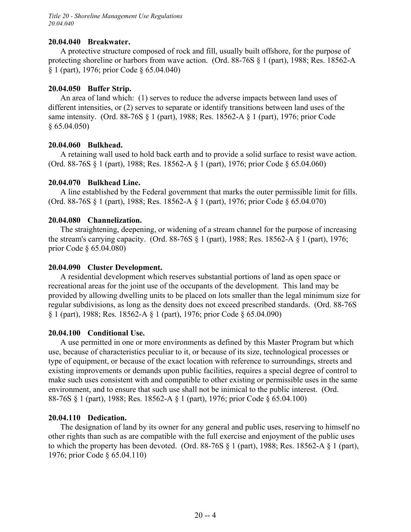*Title 20 - Shoreline Management Use Regulations 20.04.040*

#### **20.04.040 Breakwater.**

A protective structure composed of rock and fill, usually built offshore, for the purpose of protecting shoreline or harbors from wave action. (Ord. 88-76S § 1 (part), 1988; Res. 18562-A § 1 (part), 1976; prior Code § 65.04.040)

#### **20.04.050 Buffer Strip.**

An area of land which: (1) serves to reduce the adverse impacts between land uses of different intensities, or (2) serves to separate or identify transitions between land uses of the same intensity. (Ord. 88-76S § 1 (part), 1988; Res. 18562-A § 1 (part), 1976; prior Code § 65.04.050)

#### **20.04.060 Bulkhead.**

A retaining wall used to hold back earth and to provide a solid surface to resist wave action. (Ord. 88-76S § 1 (part), 1988; Res. 18562-A § 1 (part), 1976; prior Code § 65.04.060)

#### **20.04.070 Bulkhead Line.**

A line established by the Federal government that marks the outer permissible limit for fills. (Ord. 88-76S § 1 (part), 1988; Res. 18562-A § 1 (part), 1976; prior Code § 65.04.070)

#### **20.04.080 Channelization.**

The straightening, deepening, or widening of a stream channel for the purpose of increasing the stream's carrying capacity. (Ord. 88-76S § 1 (part), 1988; Res. 18562-A § 1 (part), 1976; prior Code § 65.04.080)

#### **20.04.090 Cluster Development.**

A residential development which reserves substantial portions of land as open space or recreational areas for the joint use of the occupants of the development. This land may be provided by allowing dwelling units to be placed on lots smaller than the legal minimum size for regular subdivisions, as long as the density does not exceed prescribed standards. (Ord. 88-76S § 1 (part), 1988; Res. 18562-A § 1 (part), 1976; prior Code § 65.04.090)

#### **20.04.100 Conditional Use.**

A use permitted in one or more environments as defined by this Master Program but which use, because of characteristics peculiar to it, or because of its size, technological processes or type of equipment, or because of the exact location with reference to surroundings, streets and existing improvements or demands upon public facilities, requires a special degree of control to make such uses consistent with and compatible to other existing or permissible uses in the same environment, and to ensure that such use shall not be inimical to the public interest. (Ord. 88-76S § 1 (part), 1988; Res. 18562-A § 1 (part), 1976; prior Code § 65.04.100)

#### **20.04.110 Dedication.**

The designation of land by its owner for any general and public uses, reserving to himself no other rights than such as are compatible with the full exercise and enjoyment of the public uses to which the property has been devoted. (Ord. 88-76S § 1 (part), 1988; Res. 18562-A § 1 (part), 1976; prior Code § 65.04.110)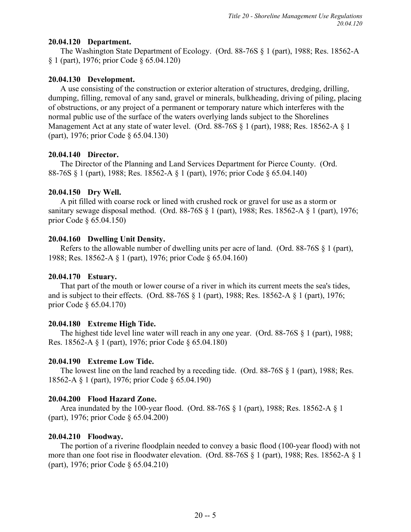## **20.04.120 Department.**

The Washington State Department of Ecology. (Ord. 88-76S § 1 (part), 1988; Res. 18562-A § 1 (part), 1976; prior Code § 65.04.120)

## **20.04.130 Development.**

A use consisting of the construction or exterior alteration of structures, dredging, drilling, dumping, filling, removal of any sand, gravel or minerals, bulkheading, driving of piling, placing of obstructions, or any project of a permanent or temporary nature which interferes with the normal public use of the surface of the waters overlying lands subject to the Shorelines Management Act at any state of water level. (Ord. 88-76S  $\S$  1 (part), 1988; Res. 18562-A  $\S$  1 (part), 1976; prior Code § 65.04.130)

## **20.04.140 Director.**

The Director of the Planning and Land Services Department for Pierce County. (Ord. 88-76S § 1 (part), 1988; Res. 18562-A § 1 (part), 1976; prior Code § 65.04.140)

# **20.04.150 Dry Well.**

A pit filled with coarse rock or lined with crushed rock or gravel for use as a storm or sanitary sewage disposal method. (Ord. 88-76S § 1 (part), 1988; Res. 18562-A § 1 (part), 1976; prior Code § 65.04.150)

# **20.04.160 Dwelling Unit Density.**

Refers to the allowable number of dwelling units per acre of land. (Ord. 88-76S § 1 (part), 1988; Res. 18562-A § 1 (part), 1976; prior Code § 65.04.160)

# **20.04.170 Estuary.**

That part of the mouth or lower course of a river in which its current meets the sea's tides, and is subject to their effects. (Ord. 88-76S § 1 (part), 1988; Res. 18562-A § 1 (part), 1976; prior Code § 65.04.170)

# **20.04.180 Extreme High Tide.**

The highest tide level line water will reach in any one year. (Ord. 88-76S  $\S$  1 (part), 1988; Res. 18562-A § 1 (part), 1976; prior Code § 65.04.180)

# **20.04.190 Extreme Low Tide.**

The lowest line on the land reached by a receding tide. (Ord. 88-76S  $\S$  1 (part), 1988; Res. 18562-A § 1 (part), 1976; prior Code § 65.04.190)

# **20.04.200 Flood Hazard Zone.**

Area inundated by the 100-year flood. (Ord. 88-76S  $\S$  1 (part), 1988; Res. 18562-A  $\S$  1 (part), 1976; prior Code § 65.04.200)

# **20.04.210 Floodway.**

The portion of a riverine floodplain needed to convey a basic flood (100-year flood) with not more than one foot rise in floodwater elevation. (Ord. 88-76S § 1 (part), 1988; Res. 18562-A § 1 (part), 1976; prior Code § 65.04.210)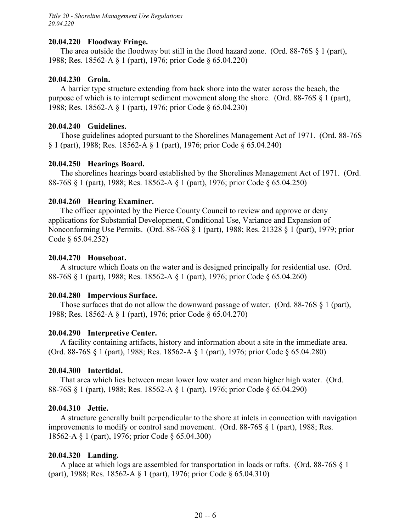### **20.04.220 Floodway Fringe.**

The area outside the floodway but still in the flood hazard zone. (Ord. 88-76S  $\S$  1 (part), 1988; Res. 18562-A § 1 (part), 1976; prior Code § 65.04.220)

## **20.04.230 Groin.**

A barrier type structure extending from back shore into the water across the beach, the purpose of which is to interrupt sediment movement along the shore. (Ord. 88-76S § 1 (part), 1988; Res. 18562-A § 1 (part), 1976; prior Code § 65.04.230)

## **20.04.240 Guidelines.**

Those guidelines adopted pursuant to the Shorelines Management Act of 1971. (Ord. 88-76S § 1 (part), 1988; Res. 18562-A § 1 (part), 1976; prior Code § 65.04.240)

## **20.04.250 Hearings Board.**

The shorelines hearings board established by the Shorelines Management Act of 1971. (Ord. 88-76S § 1 (part), 1988; Res. 18562-A § 1 (part), 1976; prior Code § 65.04.250)

## **20.04.260 Hearing Examiner.**

The officer appointed by the Pierce County Council to review and approve or deny applications for Substantial Development, Conditional Use, Variance and Expansion of Nonconforming Use Permits. (Ord. 88-76S § 1 (part), 1988; Res. 21328 § 1 (part), 1979; prior Code § 65.04.252)

### **20.04.270 Houseboat.**

A structure which floats on the water and is designed principally for residential use. (Ord. 88-76S § 1 (part), 1988; Res. 18562-A § 1 (part), 1976; prior Code § 65.04.260)

### **20.04.280 Impervious Surface.**

Those surfaces that do not allow the downward passage of water. (Ord. 88-76S § 1 (part), 1988; Res. 18562-A § 1 (part), 1976; prior Code § 65.04.270)

### **20.04.290 Interpretive Center.**

A facility containing artifacts, history and information about a site in the immediate area. (Ord. 88-76S § 1 (part), 1988; Res. 18562-A § 1 (part), 1976; prior Code § 65.04.280)

# **20.04.300 Intertidal.**

That area which lies between mean lower low water and mean higher high water. (Ord. 88-76S § 1 (part), 1988; Res. 18562-A § 1 (part), 1976; prior Code § 65.04.290)

### **20.04.310 Jettie.**

A structure generally built perpendicular to the shore at inlets in connection with navigation improvements to modify or control sand movement. (Ord. 88-76S § 1 (part), 1988; Res. 18562-A § 1 (part), 1976; prior Code § 65.04.300)

### **20.04.320 Landing.**

A place at which logs are assembled for transportation in loads or rafts. (Ord. 88-76S § 1 (part), 1988; Res. 18562-A § 1 (part), 1976; prior Code § 65.04.310)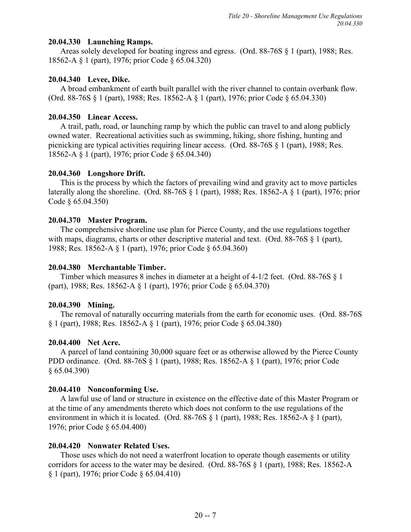## **20.04.330 Launching Ramps.**

Areas solely developed for boating ingress and egress. (Ord. 88-76S § 1 (part), 1988; Res. 18562-A § 1 (part), 1976; prior Code § 65.04.320)

# **20.04.340 Levee, Dike.**

A broad embankment of earth built parallel with the river channel to contain overbank flow. (Ord. 88-76S § 1 (part), 1988; Res. 18562-A § 1 (part), 1976; prior Code § 65.04.330)

## **20.04.350 Linear Access.**

A trail, path, road, or launching ramp by which the public can travel to and along publicly owned water. Recreational activities such as swimming, hiking, shore fishing, hunting and picnicking are typical activities requiring linear access. (Ord. 88-76S § 1 (part), 1988; Res. 18562-A § 1 (part), 1976; prior Code § 65.04.340)

## **20.04.360 Longshore Drift.**

This is the process by which the factors of prevailing wind and gravity act to move particles laterally along the shoreline. (Ord. 88-76S § 1 (part), 1988; Res. 18562-A § 1 (part), 1976; prior Code § 65.04.350)

## **20.04.370 Master Program.**

The comprehensive shoreline use plan for Pierce County, and the use regulations together with maps, diagrams, charts or other descriptive material and text. (Ord. 88-76S § 1 (part), 1988; Res. 18562-A § 1 (part), 1976; prior Code § 65.04.360)

## **20.04.380 Merchantable Timber.**

Timber which measures 8 inches in diameter at a height of 4-1/2 feet. (Ord. 88-76S § 1 (part), 1988; Res. 18562-A § 1 (part), 1976; prior Code § 65.04.370)

# **20.04.390 Mining.**

The removal of naturally occurring materials from the earth for economic uses. (Ord. 88-76S § 1 (part), 1988; Res. 18562-A § 1 (part), 1976; prior Code § 65.04.380)

# **20.04.400 Net Acre.**

A parcel of land containing 30,000 square feet or as otherwise allowed by the Pierce County PDD ordinance. (Ord. 88-76S § 1 (part), 1988; Res. 18562-A § 1 (part), 1976; prior Code § 65.04.390)

# **20.04.410 Nonconforming Use.**

A lawful use of land or structure in existence on the effective date of this Master Program or at the time of any amendments thereto which does not conform to the use regulations of the environment in which it is located. (Ord. 88-76S § 1 (part), 1988; Res. 18562-A § 1 (part), 1976; prior Code § 65.04.400)

# **20.04.420 Nonwater Related Uses.**

Those uses which do not need a waterfront location to operate though easements or utility corridors for access to the water may be desired. (Ord. 88-76S § 1 (part), 1988; Res. 18562-A § 1 (part), 1976; prior Code § 65.04.410)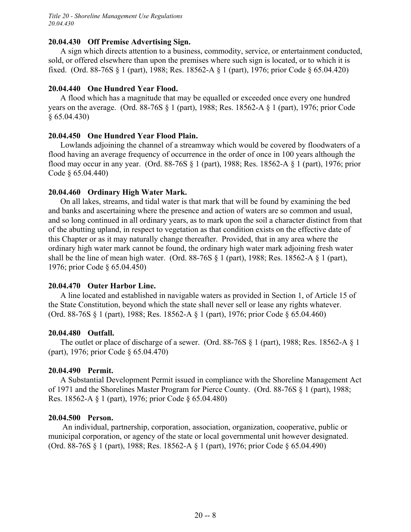*Title 20 - Shoreline Management Use Regulations 20.04.430*

#### **20.04.430 Off Premise Advertising Sign.**

A sign which directs attention to a business, commodity, service, or entertainment conducted, sold, or offered elsewhere than upon the premises where such sign is located, or to which it is fixed. (Ord. 88-76S § 1 (part), 1988; Res. 18562-A § 1 (part), 1976; prior Code § 65.04.420)

#### **20.04.440 One Hundred Year Flood.**

A flood which has a magnitude that may be equalled or exceeded once every one hundred years on the average. (Ord. 88-76S § 1 (part), 1988; Res. 18562-A § 1 (part), 1976; prior Code § 65.04.430)

#### **20.04.450 One Hundred Year Flood Plain.**

Lowlands adjoining the channel of a streamway which would be covered by floodwaters of a flood having an average frequency of occurrence in the order of once in 100 years although the flood may occur in any year. (Ord. 88-76S § 1 (part), 1988; Res. 18562-A § 1 (part), 1976; prior Code § 65.04.440)

#### **20.04.460 Ordinary High Water Mark.**

On all lakes, streams, and tidal water is that mark that will be found by examining the bed and banks and ascertaining where the presence and action of waters are so common and usual, and so long continued in all ordinary years, as to mark upon the soil a character distinct from that of the abutting upland, in respect to vegetation as that condition exists on the effective date of this Chapter or as it may naturally change thereafter. Provided, that in any area where the ordinary high water mark cannot be found, the ordinary high water mark adjoining fresh water shall be the line of mean high water. (Ord.  $88-76S \tbinom{8}{1}$  (part), 1988; Res. 18562-A  $\tbinom{8}{1}$  (part), 1976; prior Code § 65.04.450)

#### **20.04.470 Outer Harbor Line.**

A line located and established in navigable waters as provided in Section 1, of Article 15 of the State Constitution, beyond which the state shall never sell or lease any rights whatever. (Ord. 88-76S § 1 (part), 1988; Res. 18562-A § 1 (part), 1976; prior Code § 65.04.460)

#### **20.04.480 Outfall.**

The outlet or place of discharge of a sewer. (Ord. 88-76S § 1 (part), 1988; Res. 18562-A § 1 (part), 1976; prior Code § 65.04.470)

#### **20.04.490 Permit.**

A Substantial Development Permit issued in compliance with the Shoreline Management Act of 1971 and the Shorelines Master Program for Pierce County. (Ord. 88-76S § 1 (part), 1988; Res. 18562-A § 1 (part), 1976; prior Code § 65.04.480)

#### **20.04.500 Person.**

 An individual, partnership, corporation, association, organization, cooperative, public or municipal corporation, or agency of the state or local governmental unit however designated. (Ord. 88-76S § 1 (part), 1988; Res. 18562-A § 1 (part), 1976; prior Code § 65.04.490)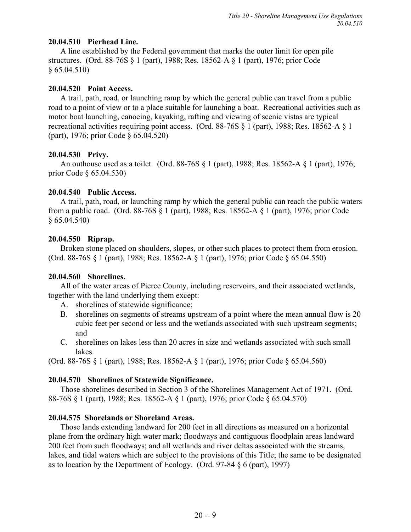# **20.04.510 Pierhead Line.**

A line established by the Federal government that marks the outer limit for open pile structures. (Ord. 88-76S § 1 (part), 1988; Res. 18562-A § 1 (part), 1976; prior Code § 65.04.510)

## **20.04.520 Point Access.**

A trail, path, road, or launching ramp by which the general public can travel from a public road to a point of view or to a place suitable for launching a boat. Recreational activities such as motor boat launching, canoeing, kayaking, rafting and viewing of scenic vistas are typical recreational activities requiring point access. (Ord. 88-76S § 1 (part), 1988; Res. 18562-A § 1 (part), 1976; prior Code § 65.04.520)

## **20.04.530 Privy.**

An outhouse used as a toilet. (Ord. 88-76S § 1 (part), 1988; Res. 18562-A § 1 (part), 1976; prior Code § 65.04.530)

# **20.04.540 Public Access.**

A trail, path, road, or launching ramp by which the general public can reach the public waters from a public road. (Ord. 88-76S § 1 (part), 1988; Res. 18562-A § 1 (part), 1976; prior Code  $§ 65.04.540$ 

## **20.04.550 Riprap.**

Broken stone placed on shoulders, slopes, or other such places to protect them from erosion. (Ord. 88-76S § 1 (part), 1988; Res. 18562-A § 1 (part), 1976; prior Code § 65.04.550)

# **20.04.560 Shorelines.**

All of the water areas of Pierce County, including reservoirs, and their associated wetlands, together with the land underlying them except:

- A. shorelines of statewide significance;
- B. shorelines on segments of streams upstream of a point where the mean annual flow is 20 cubic feet per second or less and the wetlands associated with such upstream segments; and
- C. shorelines on lakes less than 20 acres in size and wetlands associated with such small lakes.

(Ord. 88-76S § 1 (part), 1988; Res. 18562-A § 1 (part), 1976; prior Code § 65.04.560)

# **20.04.570 Shorelines of Statewide Significance.**

Those shorelines described in Section 3 of the Shorelines Management Act of 1971. (Ord. 88-76S § 1 (part), 1988; Res. 18562-A § 1 (part), 1976; prior Code § 65.04.570)

# **20.04.575 Shorelands or Shoreland Areas.**

Those lands extending landward for 200 feet in all directions as measured on a horizontal plane from the ordinary high water mark; floodways and contiguous floodplain areas landward 200 feet from such floodways; and all wetlands and river deltas associated with the streams, lakes, and tidal waters which are subject to the provisions of this Title; the same to be designated as to location by the Department of Ecology. (Ord. 97-84 § 6 (part), 1997)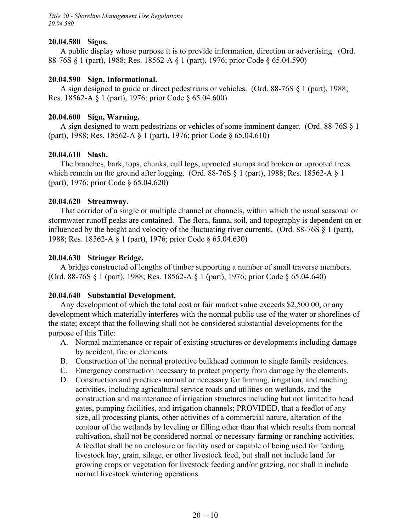*Title 20 - Shoreline Management Use Regulations 20.04.580*

#### **20.04.580 Signs.**

A public display whose purpose it is to provide information, direction or advertising. (Ord. 88-76S § 1 (part), 1988; Res. 18562-A § 1 (part), 1976; prior Code § 65.04.590)

#### **20.04.590 Sign, Informational.**

A sign designed to guide or direct pedestrians or vehicles. (Ord. 88-76S § 1 (part), 1988; Res. 18562-A § 1 (part), 1976; prior Code § 65.04.600)

#### **20.04.600 Sign, Warning.**

A sign designed to warn pedestrians or vehicles of some imminent danger. (Ord. 88-76S § 1 (part), 1988; Res. 18562-A § 1 (part), 1976; prior Code § 65.04.610)

#### **20.04.610 Slash.**

The branches, bark, tops, chunks, cull logs, uprooted stumps and broken or uprooted trees which remain on the ground after logging. (Ord. 88-76S § 1 (part), 1988; Res. 18562-A § 1 (part), 1976; prior Code § 65.04.620)

#### **20.04.620 Streamway.**

That corridor of a single or multiple channel or channels, within which the usual seasonal or stormwater runoff peaks are contained. The flora, fauna, soil, and topography is dependent on or influenced by the height and velocity of the fluctuating river currents. (Ord. 88-76S § 1 (part), 1988; Res. 18562-A § 1 (part), 1976; prior Code § 65.04.630)

#### **20.04.630 Stringer Bridge.**

A bridge constructed of lengths of timber supporting a number of small traverse members. (Ord. 88-76S § 1 (part), 1988; Res. 18562-A § 1 (part), 1976; prior Code § 65.04.640)

### **20.04.640 Substantial Development.**

Any development of which the total cost or fair market value exceeds \$2,500.00, or any development which materially interferes with the normal public use of the water or shorelines of the state; except that the following shall not be considered substantial developments for the purpose of this Title:

- A. Normal maintenance or repair of existing structures or developments including damage by accident, fire or elements.
- B. Construction of the normal protective bulkhead common to single family residences.
- C. Emergency construction necessary to protect property from damage by the elements.
- D. Construction and practices normal or necessary for farming, irrigation, and ranching activities, including agricultural service roads and utilities on wetlands, and the construction and maintenance of irrigation structures including but not limited to head gates, pumping facilities, and irrigation channels; PROVIDED, that a feedlot of any size, all processing plants, other activities of a commercial nature, alteration of the contour of the wetlands by leveling or filling other than that which results from normal cultivation, shall not be considered normal or necessary farming or ranching activities. A feedlot shall be an enclosure or facility used or capable of being used for feeding livestock hay, grain, silage, or other livestock feed, but shall not include land for growing crops or vegetation for livestock feeding and/or grazing, nor shall it include normal livestock wintering operations.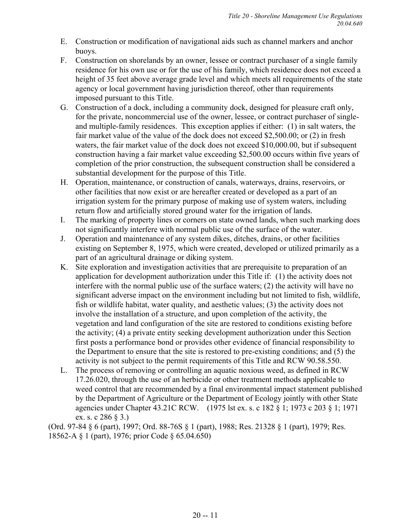- E. Construction or modification of navigational aids such as channel markers and anchor buoys.
- F. Construction on shorelands by an owner, lessee or contract purchaser of a single family residence for his own use or for the use of his family, which residence does not exceed a height of 35 feet above average grade level and which meets all requirements of the state agency or local government having jurisdiction thereof, other than requirements imposed pursuant to this Title.
- G. Construction of a dock, including a community dock, designed for pleasure craft only, for the private, noncommercial use of the owner, lessee, or contract purchaser of singleand multiple-family residences. This exception applies if either: (1) in salt waters, the fair market value of the value of the dock does not exceed \$2,500.00; or (2) in fresh waters, the fair market value of the dock does not exceed \$10,000.00, but if subsequent construction having a fair market value exceeding \$2,500.00 occurs within five years of completion of the prior construction, the subsequent construction shall be considered a substantial development for the purpose of this Title.
- H. Operation, maintenance, or construction of canals, waterways, drains, reservoirs, or other facilities that now exist or are hereafter created or developed as a part of an irrigation system for the primary purpose of making use of system waters, including return flow and artificially stored ground water for the irrigation of lands.
- I. The marking of property lines or corners on state owned lands, when such marking does not significantly interfere with normal public use of the surface of the water.
- J. Operation and maintenance of any system dikes, ditches, drains, or other facilities existing on September 8, 1975, which were created, developed or utilized primarily as a part of an agricultural drainage or diking system.
- K. Site exploration and investigation activities that are prerequisite to preparation of an application for development authorization under this Title if: (1) the activity does not interfere with the normal public use of the surface waters; (2) the activity will have no significant adverse impact on the environment including but not limited to fish, wildlife, fish or wildlife habitat, water quality, and aesthetic values; (3) the activity does not involve the installation of a structure, and upon completion of the activity, the vegetation and land configuration of the site are restored to conditions existing before the activity; (4) a private entity seeking development authorization under this Section first posts a performance bond or provides other evidence of financial responsibility to the Department to ensure that the site is restored to pre-existing conditions; and (5) the activity is not subject to the permit requirements of this Title and RCW 90.58.550.
- L. The process of removing or controlling an aquatic noxious weed, as defined in RCW 17.26.020, through the use of an herbicide or other treatment methods applicable to weed control that are recommended by a final environmental impact statement published by the Department of Agriculture or the Department of Ecology jointly with other State agencies under Chapter 43.21C RCW. (1975 lst ex. s. c 182 § 1; 1973 c 203 § 1; 1971 ex. s. c 286 § 3.)

(Ord. 97-84 § 6 (part), 1997; Ord. 88-76S § 1 (part), 1988; Res. 21328 § 1 (part), 1979; Res. 18562-A § 1 (part), 1976; prior Code § 65.04.650)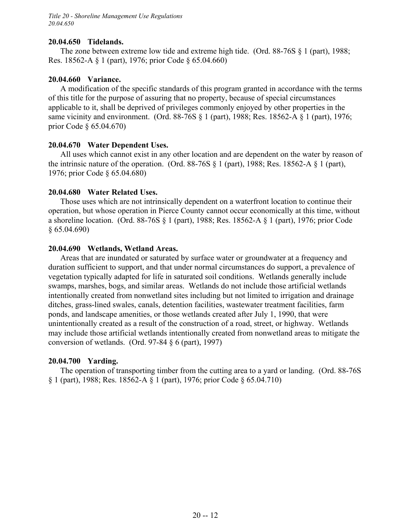*Title 20 - Shoreline Management Use Regulations 20.04.650*

#### **20.04.650 Tidelands.**

The zone between extreme low tide and extreme high tide. (Ord. 88-76S § 1 (part), 1988; Res. 18562-A § 1 (part), 1976; prior Code § 65.04.660)

### **20.04.660 Variance.**

A modification of the specific standards of this program granted in accordance with the terms of this title for the purpose of assuring that no property, because of special circumstances applicable to it, shall be deprived of privileges commonly enjoyed by other properties in the same vicinity and environment. (Ord. 88-76S § 1 (part), 1988; Res. 18562-A § 1 (part), 1976; prior Code § 65.04.670)

### **20.04.670 Water Dependent Uses.**

All uses which cannot exist in any other location and are dependent on the water by reason of the intrinsic nature of the operation. (Ord.  $88-76S \tbinom{8}{1}$  (part), 1988; Res. 18562-A  $\tbinom{8}{1}$  (part), 1976; prior Code § 65.04.680)

### **20.04.680 Water Related Uses.**

Those uses which are not intrinsically dependent on a waterfront location to continue their operation, but whose operation in Pierce County cannot occur economically at this time, without a shoreline location. (Ord. 88-76S § 1 (part), 1988; Res. 18562-A § 1 (part), 1976; prior Code § 65.04.690)

#### **20.04.690 Wetlands, Wetland Areas.**

Areas that are inundated or saturated by surface water or groundwater at a frequency and duration sufficient to support, and that under normal circumstances do support, a prevalence of vegetation typically adapted for life in saturated soil conditions. Wetlands generally include swamps, marshes, bogs, and similar areas. Wetlands do not include those artificial wetlands intentionally created from nonwetland sites including but not limited to irrigation and drainage ditches, grass-lined swales, canals, detention facilities, wastewater treatment facilities, farm ponds, and landscape amenities, or those wetlands created after July 1, 1990, that were unintentionally created as a result of the construction of a road, street, or highway. Wetlands may include those artificial wetlands intentionally created from nonwetland areas to mitigate the conversion of wetlands. (Ord. 97-84 § 6 (part), 1997)

#### **20.04.700 Yarding.**

The operation of transporting timber from the cutting area to a yard or landing. (Ord. 88-76S § 1 (part), 1988; Res. 18562-A § 1 (part), 1976; prior Code § 65.04.710)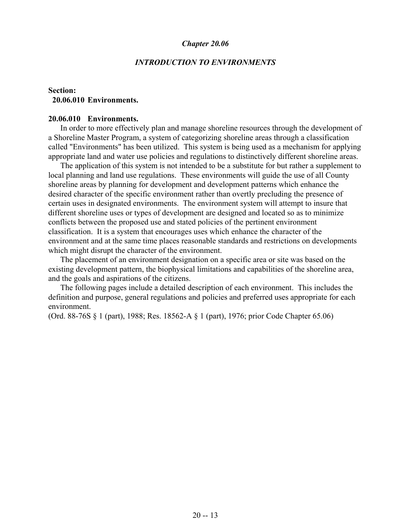#### *INTRODUCTION TO ENVIRONMENTS*

## **Section: 20.06.010 Environments.**

#### **20.06.010 Environments.**

In order to more effectively plan and manage shoreline resources through the development of a Shoreline Master Program, a system of categorizing shoreline areas through a classification called "Environments" has been utilized. This system is being used as a mechanism for applying appropriate land and water use policies and regulations to distinctively different shoreline areas.

The application of this system is not intended to be a substitute for but rather a supplement to local planning and land use regulations. These environments will guide the use of all County shoreline areas by planning for development and development patterns which enhance the desired character of the specific environment rather than overtly precluding the presence of certain uses in designated environments. The environment system will attempt to insure that different shoreline uses or types of development are designed and located so as to minimize conflicts between the proposed use and stated policies of the pertinent environment classification. It is a system that encourages uses which enhance the character of the environment and at the same time places reasonable standards and restrictions on developments which might disrupt the character of the environment.

The placement of an environment designation on a specific area or site was based on the existing development pattern, the biophysical limitations and capabilities of the shoreline area, and the goals and aspirations of the citizens.

The following pages include a detailed description of each environment. This includes the definition and purpose, general regulations and policies and preferred uses appropriate for each environment.

(Ord. 88-76S § 1 (part), 1988; Res. 18562-A § 1 (part), 1976; prior Code Chapter 65.06)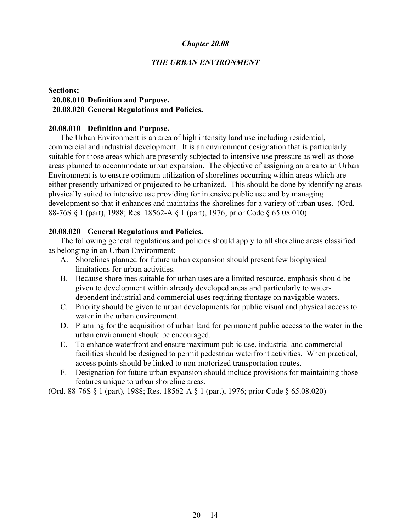#### *THE URBAN ENVIRONMENT*

## **Sections: 20.08.010 Definition and Purpose. 20.08.020 General Regulations and Policies.**

#### **20.08.010 Definition and Purpose.**

The Urban Environment is an area of high intensity land use including residential, commercial and industrial development. It is an environment designation that is particularly suitable for those areas which are presently subjected to intensive use pressure as well as those areas planned to accommodate urban expansion. The objective of assigning an area to an Urban Environment is to ensure optimum utilization of shorelines occurring within areas which are either presently urbanized or projected to be urbanized. This should be done by identifying areas physically suited to intensive use providing for intensive public use and by managing development so that it enhances and maintains the shorelines for a variety of urban uses. (Ord. 88-76S § 1 (part), 1988; Res. 18562-A § 1 (part), 1976; prior Code § 65.08.010)

#### **20.08.020 General Regulations and Policies.**

The following general regulations and policies should apply to all shoreline areas classified as belonging in an Urban Environment:

- A. Shorelines planned for future urban expansion should present few biophysical limitations for urban activities.
- B. Because shorelines suitable for urban uses are a limited resource, emphasis should be given to development within already developed areas and particularly to waterdependent industrial and commercial uses requiring frontage on navigable waters.
- C. Priority should be given to urban developments for public visual and physical access to water in the urban environment.
- D. Planning for the acquisition of urban land for permanent public access to the water in the urban environment should be encouraged.
- E. To enhance waterfront and ensure maximum public use, industrial and commercial facilities should be designed to permit pedestrian waterfront activities. When practical, access points should be linked to non-motorized transportation routes.
- F. Designation for future urban expansion should include provisions for maintaining those features unique to urban shoreline areas.

(Ord. 88-76S § 1 (part), 1988; Res. 18562-A § 1 (part), 1976; prior Code § 65.08.020)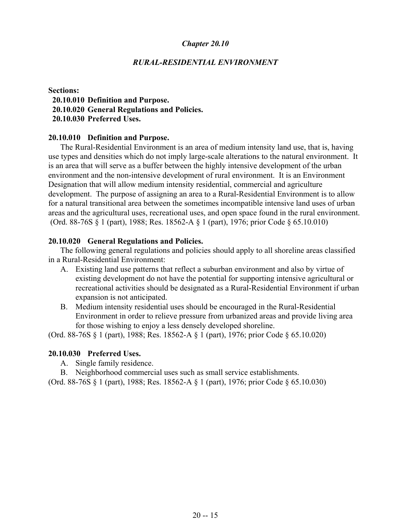#### *RURAL-RESIDENTIAL ENVIRONMENT*

#### **Sections:**

 **20.10.010 Definition and Purpose. 20.10.020 General Regulations and Policies. 20.10.030 Preferred Uses.**

#### **20.10.010 Definition and Purpose.**

The Rural-Residential Environment is an area of medium intensity land use, that is, having use types and densities which do not imply large-scale alterations to the natural environment. It is an area that will serve as a buffer between the highly intensive development of the urban environment and the non-intensive development of rural environment. It is an Environment Designation that will allow medium intensity residential, commercial and agriculture development. The purpose of assigning an area to a Rural-Residential Environment is to allow for a natural transitional area between the sometimes incompatible intensive land uses of urban areas and the agricultural uses, recreational uses, and open space found in the rural environment. (Ord. 88-76S § 1 (part), 1988; Res. 18562-A § 1 (part), 1976; prior Code § 65.10.010)

#### **20.10.020 General Regulations and Policies.**

The following general regulations and policies should apply to all shoreline areas classified in a Rural-Residential Environment:

- A. Existing land use patterns that reflect a suburban environment and also by virtue of existing development do not have the potential for supporting intensive agricultural or recreational activities should be designated as a Rural-Residential Environment if urban expansion is not anticipated.
- B. Medium intensity residential uses should be encouraged in the Rural-Residential Environment in order to relieve pressure from urbanized areas and provide living area for those wishing to enjoy a less densely developed shoreline.

(Ord. 88-76S § 1 (part), 1988; Res. 18562-A § 1 (part), 1976; prior Code § 65.10.020)

### **20.10.030 Preferred Uses.**

A. Single family residence.

B. Neighborhood commercial uses such as small service establishments.

(Ord. 88-76S § 1 (part), 1988; Res. 18562-A § 1 (part), 1976; prior Code § 65.10.030)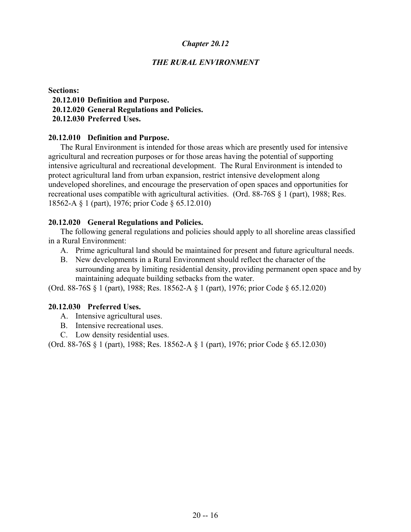# *THE RURAL ENVIRONMENT*

#### **Sections:**

 **20.12.010 Definition and Purpose. 20.12.020 General Regulations and Policies.**

 **20.12.030 Preferred Uses.**

## **20.12.010 Definition and Purpose.**

The Rural Environment is intended for those areas which are presently used for intensive agricultural and recreation purposes or for those areas having the potential of supporting intensive agricultural and recreational development. The Rural Environment is intended to protect agricultural land from urban expansion, restrict intensive development along undeveloped shorelines, and encourage the preservation of open spaces and opportunities for recreational uses compatible with agricultural activities. (Ord. 88-76S § 1 (part), 1988; Res. 18562-A § 1 (part), 1976; prior Code § 65.12.010)

## **20.12.020 General Regulations and Policies.**

The following general regulations and policies should apply to all shoreline areas classified in a Rural Environment:

- A. Prime agricultural land should be maintained for present and future agricultural needs.
- B. New developments in a Rural Environment should reflect the character of the surrounding area by limiting residential density, providing permanent open space and by maintaining adequate building setbacks from the water.

(Ord. 88-76S § 1 (part), 1988; Res. 18562-A § 1 (part), 1976; prior Code § 65.12.020)

# **20.12.030 Preferred Uses.**

- A. Intensive agricultural uses.
- B. Intensive recreational uses.
- C. Low density residential uses.

(Ord. 88-76S § 1 (part), 1988; Res. 18562-A § 1 (part), 1976; prior Code § 65.12.030)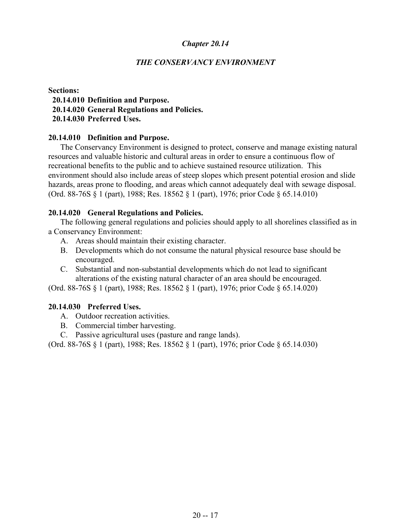## *THE CONSERVANCY ENVIRONMENT*

#### **Sections:**

 **20.14.010 Definition and Purpose. 20.14.020 General Regulations and Policies.**

 **20.14.030 Preferred Uses.**

### **20.14.010 Definition and Purpose.**

The Conservancy Environment is designed to protect, conserve and manage existing natural resources and valuable historic and cultural areas in order to ensure a continuous flow of recreational benefits to the public and to achieve sustained resource utilization. This environment should also include areas of steep slopes which present potential erosion and slide hazards, areas prone to flooding, and areas which cannot adequately deal with sewage disposal. (Ord. 88-76S § 1 (part), 1988; Res. 18562 § 1 (part), 1976; prior Code § 65.14.010)

## **20.14.020 General Regulations and Policies.**

The following general regulations and policies should apply to all shorelines classified as in a Conservancy Environment:

- A. Areas should maintain their existing character.
- B. Developments which do not consume the natural physical resource base should be encouraged.
- C. Substantial and non-substantial developments which do not lead to significant alterations of the existing natural character of an area should be encouraged.

(Ord. 88-76S § 1 (part), 1988; Res. 18562 § 1 (part), 1976; prior Code § 65.14.020)

# **20.14.030 Preferred Uses.**

- A. Outdoor recreation activities.
- B. Commercial timber harvesting.
- C. Passive agricultural uses (pasture and range lands).

(Ord. 88-76S § 1 (part), 1988; Res. 18562 § 1 (part), 1976; prior Code § 65.14.030)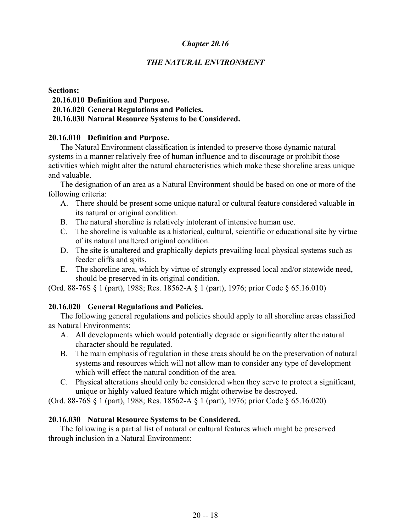# *THE NATURAL ENVIRONMENT*

#### **Sections:**

 **20.16.010 Definition and Purpose.**

 **20.16.020 General Regulations and Policies.**

## **20.16.030 Natural Resource Systems to be Considered.**

## **20.16.010 Definition and Purpose.**

The Natural Environment classification is intended to preserve those dynamic natural systems in a manner relatively free of human influence and to discourage or prohibit those activities which might alter the natural characteristics which make these shoreline areas unique and valuable.

The designation of an area as a Natural Environment should be based on one or more of the following criteria:

- A. There should be present some unique natural or cultural feature considered valuable in its natural or original condition.
- B. The natural shoreline is relatively intolerant of intensive human use.
- C. The shoreline is valuable as a historical, cultural, scientific or educational site by virtue of its natural unaltered original condition.
- D. The site is unaltered and graphically depicts prevailing local physical systems such as feeder cliffs and spits.
- E. The shoreline area, which by virtue of strongly expressed local and/or statewide need, should be preserved in its original condition.

(Ord. 88-76S § 1 (part), 1988; Res. 18562-A § 1 (part), 1976; prior Code § 65.16.010)

# **20.16.020 General Regulations and Policies.**

The following general regulations and policies should apply to all shoreline areas classified as Natural Environments:

- A. All developments which would potentially degrade or significantly alter the natural character should be regulated.
- B. The main emphasis of regulation in these areas should be on the preservation of natural systems and resources which will not allow man to consider any type of development which will effect the natural condition of the area.
- C. Physical alterations should only be considered when they serve to protect a significant, unique or highly valued feature which might otherwise be destroyed.

(Ord. 88-76S § 1 (part), 1988; Res. 18562-A § 1 (part), 1976; prior Code § 65.16.020)

### **20.16.030 Natural Resource Systems to be Considered.**

The following is a partial list of natural or cultural features which might be preserved through inclusion in a Natural Environment: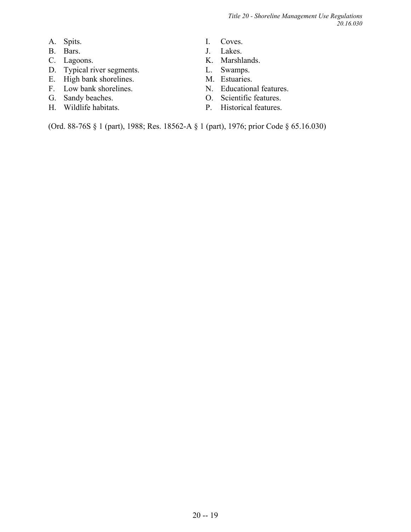*Title 20 - Shoreline Management Use Regulations 20.16.030*

- A. Spits.
- B. Bars.
- C. Lagoons.
- D. Typical river segments.
- E. High bank shorelines.
- F. Low bank shorelines.
- G. Sandy beaches.
- H. Wildlife habitats.
- I. Coves.
- J. Lakes.
- K. Marshlands.
- L. Swamps.
- M. Estuaries.
- N. Educational features.
- O. Scientific features.
- P. Historical features.

(Ord. 88-76S § 1 (part), 1988; Res. 18562-A § 1 (part), 1976; prior Code § 65.16.030)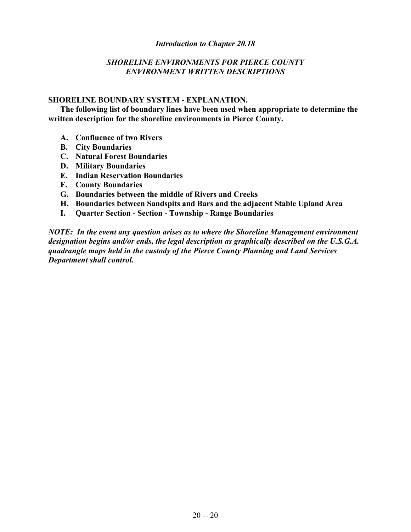#### *Introduction to Chapter 20.18*

## *SHORELINE ENVIRONMENTS FOR PIERCE COUNTY ENVIRONMENT WRITTEN DESCRIPTIONS*

#### **SHORELINE BOUNDARY SYSTEM - EXPLANATION.**

**The following list of boundary lines have been used when appropriate to determine the written description for the shoreline environments in Pierce County.**

- **A. Confluence of two Rivers**
- **B. City Boundaries**
- **C. Natural Forest Boundaries**
- **D. Military Boundaries**
- **E. Indian Reservation Boundaries**
- **F. County Boundaries**
- **G. Boundaries between the middle of Rivers and Creeks**
- **H. Boundaries between Sandspits and Bars and the adjacent Stable Upland Area**
- **I. Quarter Section Section Township Range Boundaries**

*NOTE: In the event any question arises as to where the Shoreline Management environment designation begins and/or ends, the legal description as graphically described on the U.S.G.A. quadrangle maps held in the custody of the Pierce County Planning and Land Services Department shall control.*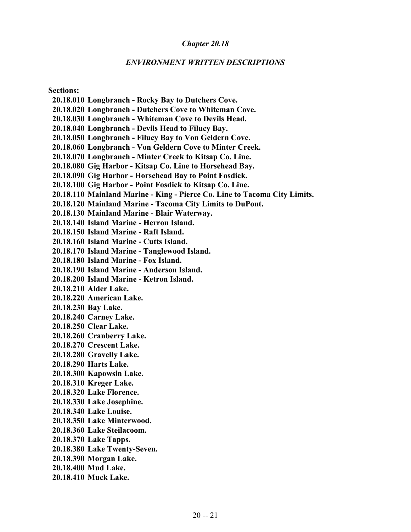#### *ENVIRONMENT WRITTEN DESCRIPTIONS*

**Sections:**

 **20.18.010 Longbranch - Rocky Bay to Dutchers Cove.**

 **20.18.020 Longbranch - Dutchers Cove to Whiteman Cove.**

 **20.18.030 Longbranch - Whiteman Cove to Devils Head.**

 **20.18.040 Longbranch - Devils Head to Filucy Bay.**

 **20.18.050 Longbranch - Filucy Bay to Von Geldern Cove.**

 **20.18.060 Longbranch - Von Geldern Cove to Minter Creek.**

 **20.18.070 Longbranch - Minter Creek to Kitsap Co. Line.**

 **20.18.080 Gig Harbor - Kitsap Co. Line to Horsehead Bay.**

 **20.18.090 Gig Harbor - Horsehead Bay to Point Fosdick.**

 **20.18.100 Gig Harbor - Point Fosdick to Kitsap Co. Line.**

 **20.18.110 Mainland Marine - King - Pierce Co. Line to Tacoma City Limits.**

 **20.18.120 Mainland Marine - Tacoma City Limits to DuPont.**

 **20.18.130 Mainland Marine - Blair Waterway.**

 **20.18.140 Island Marine - Herron Island.**

 **20.18.150 Island Marine - Raft Island.**

 **20.18.160 Island Marine - Cutts Island.**

 **20.18.170 Island Marine - Tanglewood Island.**

 **20.18.180 Island Marine - Fox Island.**

 **20.18.190 Island Marine - Anderson Island.**

 **20.18.200 Island Marine - Ketron Island.**

 **20.18.210 Alder Lake.**

 **20.18.220 American Lake.**

 **20.18.230 Bay Lake.**

 **20.18.240 Carney Lake.**

 **20.18.250 Clear Lake.**

 **20.18.260 Cranberry Lake.**

 **20.18.270 Crescent Lake.**

 **20.18.280 Gravelly Lake.**

 **20.18.290 Harts Lake.**

 **20.18.300 Kapowsin Lake.**

 **20.18.310 Kreger Lake.**

 **20.18.320 Lake Florence.**

 **20.18.330 Lake Josephine.**

 **20.18.340 Lake Louise.**

 **20.18.350 Lake Minterwood.**

 **20.18.360 Lake Steilacoom.**

 **20.18.370 Lake Tapps.**

 **20.18.380 Lake Twenty-Seven.**

 **20.18.390 Morgan Lake.**

 **20.18.400 Mud Lake.**

 **20.18.410 Muck Lake.**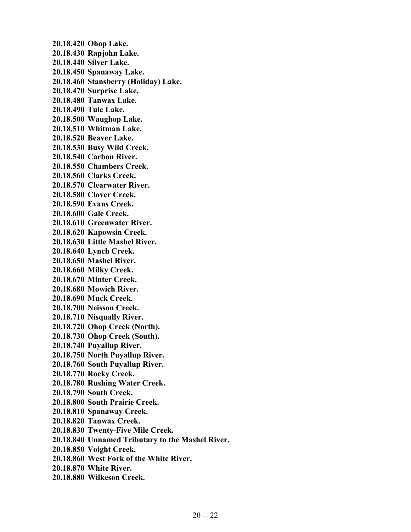**20.18.420 Ohop Lake. 20.18.430 Rapjohn Lake. 20.18.440 Silver Lake. 20.18.450 Spanaway Lake. 20.18.460 Stansberry (Holiday) Lake. 20.18.470 Surprise Lake. 20.18.480 Tanwax Lake. 20.18.490 Tule Lake. 20.18.500 Waughop Lake. 20.18.510 Whitman Lake. 20.18.520 Beaver Lake. 20.18.530 Busy Wild Creek. 20.18.540 Carbon River. 20.18.550 Chambers Creek. 20.18.560 Clarks Creek. 20.18.570 Clearwater River. 20.18.580 Clover Creek. 20.18.590 Evans Creek. 20.18.600 Gale Creek. 20.18.610 Greenwater River. 20.18.620 Kapowsin Creek. 20.18.630 Little Mashel River. 20.18.640 Lynch Creek. 20.18.650 Mashel River. 20.18.660 Milky Creek. 20.18.670 Minter Creek. 20.18.680 Mowich River. 20.18.690 Muck Creek. 20.18.700 Neisson Creek. 20.18.710 Nisqually River. 20.18.720 Ohop Creek (North). 20.18.730 Ohop Creek (South). 20.18.740 Puyallup River. 20.18.750 North Puyallup River. 20.18.760 South Puyallup River. 20.18.770 Rocky Creek. 20.18.780 Rushing Water Creek. 20.18.790 South Creek. 20.18.800 South Prairie Creek. 20.18.810 Spanaway Creek. 20.18.820 Tanwax Creek. 20.18.830 Twenty-Five Mile Creek. 20.18.840 Unnamed Tributary to the Mashel River. 20.18.850 Voight Creek. 20.18.860 West Fork of the White River. 20.18.870 White River. 20.18.880 Wilkeson Creek.**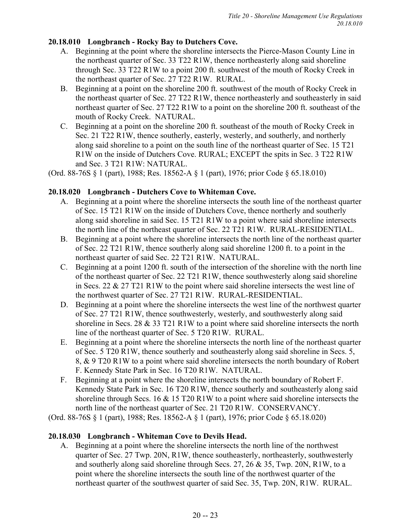# **20.18.010 Longbranch - Rocky Bay to Dutchers Cove.**

- A. Beginning at the point where the shoreline intersects the Pierce-Mason County Line in the northeast quarter of Sec. 33 T22 R1W, thence northeasterly along said shoreline through Sec. 33 T22 R1W to a point 200 ft. southwest of the mouth of Rocky Creek in the northeast quarter of Sec. 27 T22 R1W. RURAL.
- B. Beginning at a point on the shoreline 200 ft. southwest of the mouth of Rocky Creek in the northeast quarter of Sec. 27 T22 R1W, thence northeasterly and southeasterly in said northeast quarter of Sec. 27 T22 R1W to a point on the shoreline 200 ft. southeast of the mouth of Rocky Creek. NATURAL.
- C. Beginning at a point on the shoreline 200 ft. southeast of the mouth of Rocky Creek in Sec. 21 T22 R1W, thence southerly, easterly, westerly, and southerly, and northerly along said shoreline to a point on the south line of the northeast quarter of Sec. 15 T21 R1W on the inside of Dutchers Cove. RURAL; EXCEPT the spits in Sec. 3 T22 R1W and Sec. 3 T21 R1W: NATURAL.

(Ord. 88-76S § 1 (part), 1988; Res. 18562-A § 1 (part), 1976; prior Code § 65.18.010)

# **20.18.020 Longbranch - Dutchers Cove to Whiteman Cove.**

- A. Beginning at a point where the shoreline intersects the south line of the northeast quarter of Sec. 15 T21 R1W on the inside of Dutchers Cove, thence northerly and southerly along said shoreline in said Sec. 15 T21 R1W to a point where said shoreline intersects the north line of the northeast quarter of Sec. 22 T21 R1W. RURAL-RESIDENTIAL.
- B. Beginning at a point where the shoreline intersects the north line of the northeast quarter of Sec. 22 T21 R1W, thence southerly along said shoreline 1200 ft. to a point in the northeast quarter of said Sec. 22 T21 R1W. NATURAL.
- C. Beginning at a point 1200 ft. south of the intersection of the shoreline with the north line of the northeast quarter of Sec. 22 T21 R1W, thence southwesterly along said shoreline in Secs. 22 & 27 T21 R1W to the point where said shoreline intersects the west line of the northwest quarter of Sec. 27 T21 R1W. RURAL-RESIDENTIAL.
- D. Beginning at a point where the shoreline intersects the west line of the northwest quarter of Sec. 27 T21 R1W, thence southwesterly, westerly, and southwesterly along said shoreline in Secs. 28 & 33 T21 R1W to a point where said shoreline intersects the north line of the northeast quarter of Sec. 5 T20 R1W. RURAL.
- E. Beginning at a point where the shoreline intersects the north line of the northeast quarter of Sec. 5 T20 R1W, thence southerly and southeasterly along said shoreline in Secs. 5, 8, & 9 T20 R1W to a point where said shoreline intersects the north boundary of Robert F. Kennedy State Park in Sec. 16 T20 R1W. NATURAL.
- F. Beginning at a point where the shoreline intersects the north boundary of Robert F. Kennedy State Park in Sec. 16 T20 R1W, thence southerly and southeasterly along said shoreline through Secs. 16 & 15 T20 R1W to a point where said shoreline intersects the north line of the northeast quarter of Sec. 21 T20 R1W. CONSERVANCY.

(Ord. 88-76S § 1 (part), 1988; Res. 18562-A § 1 (part), 1976; prior Code § 65.18.020)

# **20.18.030 Longbranch - Whiteman Cove to Devils Head.**

A. Beginning at a point where the shoreline intersects the north line of the northwest quarter of Sec. 27 Twp. 20N, R1W, thence southeasterly, northeasterly, southwesterly and southerly along said shoreline through Secs. 27, 26 & 35, Twp. 20N, R1W, to a point where the shoreline intersects the south line of the northwest quarter of the northeast quarter of the southwest quarter of said Sec. 35, Twp. 20N, R1W. RURAL.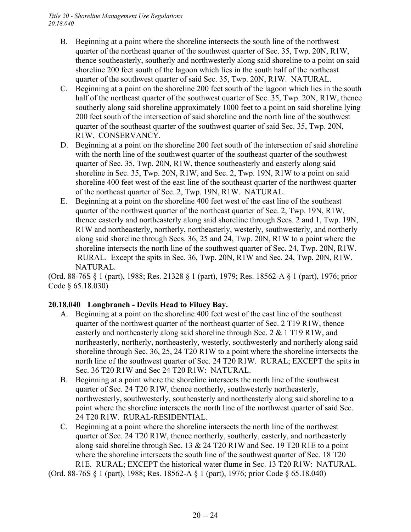- B. Beginning at a point where the shoreline intersects the south line of the northwest quarter of the northeast quarter of the southwest quarter of Sec. 35, Twp. 20N, R1W, thence southeasterly, southerly and northwesterly along said shoreline to a point on said shoreline 200 feet south of the lagoon which lies in the south half of the northeast quarter of the southwest quarter of said Sec. 35, Twp. 20N, R1W. NATURAL.
- C. Beginning at a point on the shoreline 200 feet south of the lagoon which lies in the south half of the northeast quarter of the southwest quarter of Sec. 35, Twp. 20N, R1W, thence southerly along said shoreline approximately 1000 feet to a point on said shoreline lying 200 feet south of the intersection of said shoreline and the north line of the southwest quarter of the southeast quarter of the southwest quarter of said Sec. 35, Twp. 20N, R1W. CONSERVANCY.
- D. Beginning at a point on the shoreline 200 feet south of the intersection of said shoreline with the north line of the southwest quarter of the southeast quarter of the southwest quarter of Sec. 35, Twp. 20N, R1W, thence southeasterly and easterly along said shoreline in Sec. 35, Twp. 20N, R1W, and Sec. 2, Twp. 19N, R1W to a point on said shoreline 400 feet west of the east line of the southeast quarter of the northwest quarter of the northeast quarter of Sec. 2, Twp. 19N, R1W. NATURAL.
- E. Beginning at a point on the shoreline 400 feet west of the east line of the southeast quarter of the northwest quarter of the northeast quarter of Sec. 2, Twp. 19N, R1W, thence easterly and northeasterly along said shoreline through Secs. 2 and 1, Twp. 19N, R1W and northeasterly, northerly, northeasterly, westerly, southwesterly, and northerly along said shoreline through Secs. 36, 25 and 24, Twp. 20N, R1W to a point where the shoreline intersects the north line of the southwest quarter of Sec. 24, Twp. 20N, R1W. RURAL. Except the spits in Sec. 36, Twp. 20N, R1W and Sec. 24, Twp. 20N, R1W. NATURAL.

(Ord. 88-76S § 1 (part), 1988; Res. 21328 § 1 (part), 1979; Res. 18562-A § 1 (part), 1976; prior Code § 65.18.030)

# **20.18.040 Longbranch - Devils Head to Filucy Bay.**

- A. Beginning at a point on the shoreline 400 feet west of the east line of the southeast quarter of the northwest quarter of the northeast quarter of Sec. 2 T19 R1W, thence easterly and northeasterly along said shoreline through Sec. 2 & 1 T19 R1W, and northeasterly, northerly, northeasterly, westerly, southwesterly and northerly along said shoreline through Sec. 36, 25, 24 T20 R1W to a point where the shoreline intersects the north line of the southwest quarter of Sec. 24 T20 R1W. RURAL; EXCEPT the spits in Sec. 36 T20 R1W and Sec 24 T20 R1W: NATURAL.
- B. Beginning at a point where the shoreline intersects the north line of the southwest quarter of Sec. 24 T20 R1W, thence northerly, southwesterly northeasterly, northwesterly, southwesterly, southeasterly and northeasterly along said shoreline to a point where the shoreline intersects the north line of the northwest quarter of said Sec. 24 T20 R1W. RURAL-RESIDENTIAL.
- C. Beginning at a point where the shoreline intersects the north line of the northwest quarter of Sec. 24 T20 R1W, thence northerly, southerly, easterly, and northeasterly along said shoreline through Sec. 13 & 24 T20 R1W and Sec. 19 T20 R1E to a point where the shoreline intersects the south line of the southwest quarter of Sec. 18 T20 R1E. RURAL; EXCEPT the historical water flume in Sec. 13 T20 R1W: NATURAL.

(Ord. 88-76S § 1 (part), 1988; Res. 18562-A § 1 (part), 1976; prior Code § 65.18.040)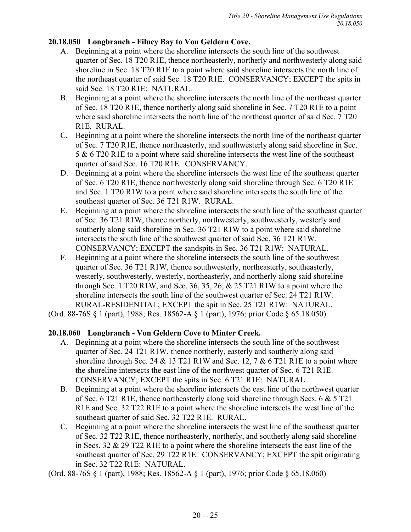# **20.18.050 Longbranch - Filucy Bay to Von Geldern Cove.**

- A. Beginning at a point where the shoreline intersects the south line of the southwest quarter of Sec. 18 T20 R1E, thence northeasterly, northerly and northwesterly along said shoreline in Sec. 18 T20 R1E to a point where said shoreline intersects the north line of the northeast quarter of said Sec. 18 T20 R1E. CONSERVANCY; EXCEPT the spits in said Sec. 18 T20 R1E: NATURAL.
- B. Beginning at a point where the shoreline intersects the north line of the northeast quarter of Sec. 18 T20 R1E, thence northerly along said shoreline in Sec. 7 T20 R1E to a point where said shoreline intersects the north line of the northeast quarter of said Sec. 7 T20 R1E. RURAL.
- C. Beginning at a point where the shoreline intersects the north line of the northeast quarter of Sec. 7 T20 R1E, thence northeasterly, and southwesterly along said shoreline in Sec. 5 & 6 T20 R1E to a point where said shoreline intersects the west line of the southeast quarter of said Sec. 16 T20 R1E. CONSERVANCY.
- D. Beginning at a point where the shoreline intersects the west line of the southeast quarter of Sec. 6 T20 R1E, thence northwesterly along said shoreline through Sec. 6 T20 R1E and Sec. 1 T20 R1W to a point where said shoreline intersects the south line of the southeast quarter of Sec. 36 T21 R1W. RURAL.
- E. Beginning at a point where the shoreline intersects the south line of the southeast quarter of Sec. 36 T21 R1W, thence northerly, northwesterly, southwesterly, westerly and southerly along said shoreline in Sec. 36 T21 R1W to a point where said shoreline intersects the south line of the southwest quarter of said Sec. 36 T21 R1W. CONSERVANCY; EXCEPT the sandspits in Sec. 36 T21 R1W: NATURAL.
- F. Beginning at a point where the shoreline intersects the south line of the southwest quarter of Sec. 36 T21 R1W, thence southwesterly, northeasterly, southeasterly, westerly, southwesterly, westerly, northeasterly, and northerly along said shoreline through Sec. 1 T20 R1W, and Sec. 36, 35, 26,  $& 25$  T21 R1W to a point where the shoreline intersects the south line of the southwest quarter of Sec. 24 T21 R1W. RURAL-RESIDENTIAL; EXCEPT the spit in Sec. 25 T21 R1W: NATURAL.
- (Ord. 88-76S § 1 (part), 1988; Res. 18562-A § 1 (part), 1976; prior Code § 65.18.050)

# **20.18.060 Longbranch - Von Geldern Cove to Minter Creek.**

- A. Beginning at a point where the shoreline intersects the south line of the southwest quarter of Sec. 24 T21 R1W, thence northerly, easterly and southerly along said shoreline through Sec. 24  $\&$  13 T21 R1W and Sec. 12, 7  $\&$  6 T21 R1E to a point where the shoreline intersects the east line of the northwest quarter of Sec. 6 T21 R1E. CONSERVANCY; EXCEPT the spits in Sec. 6 T21 R1E: NATURAL.
- B. Beginning at a point where the shoreline intersects the east line of the northwest quarter of Sec. 6 T21 R1E, thence northeasterly along said shoreline through Secs. 6 & 5 T21 R1E and Sec. 32 T22 R1E to a point where the shoreline intersects the west line of the southeast quarter of said Sec. 32 T22 R1E. RURAL.
- C. Beginning at a point where the shoreline intersects the west line of the southeast quarter of Sec. 32 T22 R1E, thence northeasterly, northerly, and southerly along said shoreline in Secs. 32 & 29 T22 R1E to a point where the shoreline intersects the east line of the southeast quarter of Sec. 29 T22 R1E. CONSERVANCY; EXCEPT the spit originating in Sec. 32 T22 R1E: NATURAL.

(Ord. 88-76S § 1 (part), 1988; Res. 18562-A § 1 (part), 1976; prior Code § 65.18.060)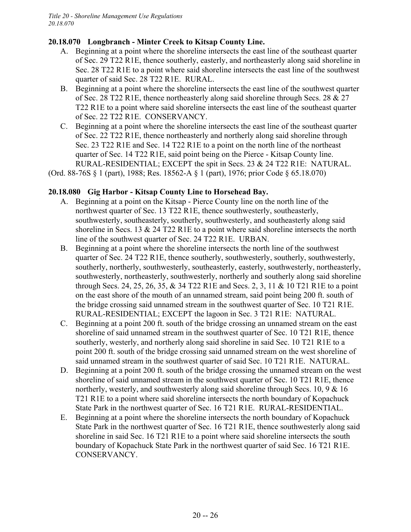# **20.18.070 Longbranch - Minter Creek to Kitsap County Line.**

- A. Beginning at a point where the shoreline intersects the east line of the southeast quarter of Sec. 29 T22 R1E, thence southerly, easterly, and northeasterly along said shoreline in Sec. 28 T22 R1E to a point where said shoreline intersects the east line of the southwest quarter of said Sec. 28 T22 R1E. RURAL.
- B. Beginning at a point where the shoreline intersects the east line of the southwest quarter of Sec. 28 T22 R1E, thence northeasterly along said shoreline through Secs. 28 & 27 T22 R1E to a point where said shoreline intersects the east line of the southeast quarter of Sec. 22 T22 R1E. CONSERVANCY.
- C. Beginning at a point where the shoreline intersects the east line of the southeast quarter of Sec. 22 T22 R1E, thence northeasterly and northerly along said shoreline through Sec. 23 T22 R1E and Sec. 14 T22 R1E to a point on the north line of the northeast quarter of Sec. 14 T22 R1E, said point being on the Pierce - Kitsap County line. RURAL-RESIDENTIAL; EXCEPT the spit in Secs. 23 & 24 T22 R1E: NATURAL.

(Ord. 88-76S § 1 (part), 1988; Res. 18562-A § 1 (part), 1976; prior Code § 65.18.070)

# **20.18.080 Gig Harbor - Kitsap County Line to Horsehead Bay.**

- A. Beginning at a point on the Kitsap Pierce County line on the north line of the northwest quarter of Sec. 13 T22 R1E, thence southwesterly, southeasterly, southwesterly, southeasterly, southerly, southwesterly, and southeasterly along said shoreline in Secs. 13 & 24 T22 R1E to a point where said shoreline intersects the north line of the southwest quarter of Sec. 24 T22 R1E. URBAN.
- B. Beginning at a point where the shoreline intersects the north line of the southwest quarter of Sec. 24 T22 R1E, thence southerly, southwesterly, southerly, southwesterly, southerly, northerly, southwesterly, southeasterly, easterly, southwesterly, northeasterly, southwesterly, northeasterly, southwesterly, northerly and southerly along said shoreline through Secs. 24, 25, 26, 35, & 34 T22 R1E and Secs. 2, 3, 11 & 10 T21 R1E to a point on the east shore of the mouth of an unnamed stream, said point being 200 ft. south of the bridge crossing said unnamed stream in the southwest quarter of Sec. 10 T21 R1E. RURAL-RESIDENTIAL; EXCEPT the lagoon in Sec. 3 T21 R1E: NATURAL.
- C. Beginning at a point 200 ft. south of the bridge crossing an unnamed stream on the east shoreline of said unnamed stream in the southwest quarter of Sec. 10 T21 R1E, thence southerly, westerly, and northerly along said shoreline in said Sec. 10 T21 R1E to a point 200 ft. south of the bridge crossing said unnamed stream on the west shoreline of said unnamed stream in the southwest quarter of said Sec. 10 T21 R1E. NATURAL.
- D. Beginning at a point 200 ft. south of the bridge crossing the unnamed stream on the west shoreline of said unnamed stream in the southwest quarter of Sec. 10 T21 R1E, thence northerly, westerly, and southwesterly along said shoreline through Secs. 10, 9 & 16 T21 R1E to a point where said shoreline intersects the north boundary of Kopachuck State Park in the northwest quarter of Sec. 16 T21 R1E. RURAL-RESIDENTIAL.
- E. Beginning at a point where the shoreline intersects the north boundary of Kopachuck State Park in the northwest quarter of Sec. 16 T21 R1E, thence southwesterly along said shoreline in said Sec. 16 T21 R1E to a point where said shoreline intersects the south boundary of Kopachuck State Park in the northwest quarter of said Sec. 16 T21 R1E. CONSERVANCY.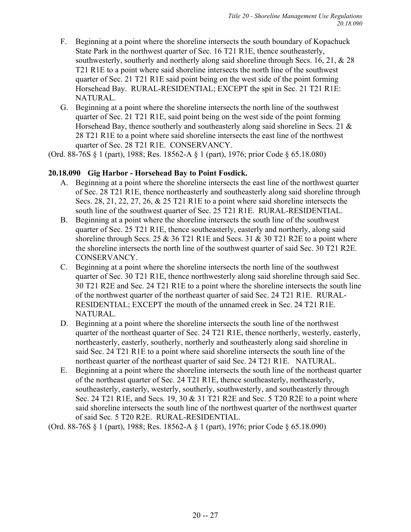- F. Beginning at a point where the shoreline intersects the south boundary of Kopachuck State Park in the northwest quarter of Sec. 16 T21 R1E, thence southeasterly, southwesterly, southerly and northerly along said shoreline through Secs. 16, 21, & 28 T21 R1E to a point where said shoreline intersects the north line of the southwest quarter of Sec. 21 T21 R1E said point being on the west side of the point forming Horsehead Bay. RURAL-RESIDENTIAL; EXCEPT the spit in Sec. 21 T21 R1E: NATURAL.
- G. Beginning at a point where the shoreline intersects the north line of the southwest quarter of Sec. 21 T21 R1E, said point being on the west side of the point forming Horsehead Bay, thence southerly and southeasterly along said shoreline in Secs. 21  $\&$ 28 T21 R1E to a point where said shoreline intersects the east line of the northwest quarter of Sec. 28 T21 R1E. CONSERVANCY.

(Ord. 88-76S § 1 (part), 1988; Res. 18562-A § 1 (part), 1976; prior Code § 65.18.080)

# **20.18.090 Gig Harbor - Horsehead Bay to Point Fosdick.**

- A. Beginning at a point where the shoreline intersects the east line of the northwest quarter of Sec. 28 T21 R1E, thence northeasterly and southeasterly along said shoreline through Secs. 28, 21, 22, 27, 26, & 25 T21 R1E to a point where said shoreline intersects the south line of the southwest quarter of Sec. 25 T21 R1E. RURAL-RESIDENTIAL.
- B. Beginning at a point where the shoreline intersects the south line of the southwest quarter of Sec. 25 T21 R1E, thence southeasterly, easterly and northerly, along said shoreline through Secs. 25  $\&$  36 T21 R1E and Secs. 31  $\&$  30 T21 R2E to a point where the shoreline intersects the north line of the southwest quarter of said Sec. 30 T21 R2E. CONSERVANCY.
- C. Beginning at a point where the shoreline intersects the north line of the southwest quarter of Sec. 30 T21 R1E, thence northwesterly along said shoreline through said Sec. 30 T21 R2E and Sec. 24 T21 R1E to a point where the shoreline intersects the south line of the northwest quarter of the northeast quarter of said Sec. 24 T21 R1E. RURAL-RESIDENTIAL; EXCEPT the mouth of the unnamed creek in Sec. 24 T21 R1E. NATURAL.
- D. Beginning at a point where the shoreline intersects the south line of the northwest quarter of the northeast quarter of Sec. 24 T21 R1E, thence northerly, westerly, easterly, northeasterly, easterly, southerly, northerly and southeasterly along said shoreline in said Sec. 24 T21 R1E to a point where said shoreline intersects the south line of the northeast quarter of the northeast quarter of said Sec. 24 T21 R1E. NATURAL.
- E. Beginning at a point where the shoreline intersects the south line of the northeast quarter of the northeast quarter of Sec. 24 T21 R1E, thence southeasterly, northeasterly, southeasterly, easterly, westerly, southerly, southwesterly, and southeasterly through Sec. 24 T21 R1E, and Secs. 19, 30 & 31 T21 R2E and Sec. 5 T20 R2E to a point where said shoreline intersects the south line of the northwest quarter of the northwest quarter of said Sec. 5 T20 R2E. RURAL-RESIDENTIAL.

(Ord. 88-76S § 1 (part), 1988; Res. 18562-A § 1 (part), 1976; prior Code § 65.18.090)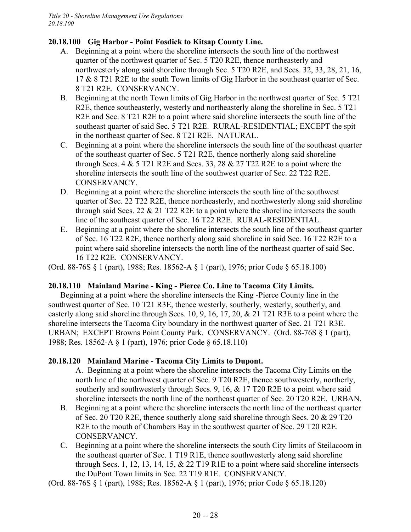# **20.18.100 Gig Harbor - Point Fosdick to Kitsap County Line.**

- A. Beginning at a point where the shoreline intersects the south line of the northwest quarter of the northwest quarter of Sec. 5 T20 R2E, thence northeasterly and northwesterly along said shoreline through Sec. 5 T20 R2E, and Secs. 32, 33, 28, 21, 16, 17 & 8 T21 R2E to the south Town limits of Gig Harbor in the southeast quarter of Sec. 8 T21 R2E. CONSERVANCY.
- B. Beginning at the north Town limits of Gig Harbor in the northwest quarter of Sec. 5 T21 R2E, thence southeasterly, westerly and northeasterly along the shoreline in Sec. 5 T21 R2E and Sec. 8 T21 R2E to a point where said shoreline intersects the south line of the southeast quarter of said Sec. 5 T21 R2E. RURAL-RESIDENTIAL; EXCEPT the spit in the northeast quarter of Sec. 8 T21 R2E. NATURAL.
- C. Beginning at a point where the shoreline intersects the south line of the southeast quarter of the southeast quarter of Sec. 5 T21 R2E, thence northerly along said shoreline through Secs. 4  $&$  5 T21 R2E and Secs. 33, 28  $&$  27 T22 R2E to a point where the shoreline intersects the south line of the southwest quarter of Sec. 22 T22 R2E. CONSERVANCY.
- D. Beginning at a point where the shoreline intersects the south line of the southwest quarter of Sec. 22 T22 R2E, thence northeasterly, and northwesterly along said shoreline through said Secs. 22  $& 21$  T22 R2E to a point where the shoreline intersects the south line of the southeast quarter of Sec. 16 T22 R2E. RURAL-RESIDENTIAL.
- E. Beginning at a point where the shoreline intersects the south line of the southeast quarter of Sec. 16 T22 R2E, thence northerly along said shoreline in said Sec. 16 T22 R2E to a point where said shoreline intersects the north line of the northeast quarter of said Sec. 16 T22 R2E. CONSERVANCY.

(Ord. 88-76S § 1 (part), 1988; Res. 18562-A § 1 (part), 1976; prior Code § 65.18.100)

# **20.18.110 Mainland Marine - King - Pierce Co. Line to Tacoma City Limits.**

Beginning at a point where the shoreline intersects the King -Pierce County line in the southwest quarter of Sec. 10 T21 R3E, thence westerly, southerly, westerly, southerly, and easterly along said shoreline through Secs. 10, 9, 16, 17, 20, & 21 T21 R3E to a point where the shoreline intersects the Tacoma City boundary in the northwest quarter of Sec. 21 T21 R3E. URBAN; EXCEPT Browns Point County Park. CONSERVANCY. (Ord. 88-76S § 1 (part), 1988; Res. 18562-A § 1 (part), 1976; prior Code § 65.18.110)

# **20.18.120 Mainland Marine - Tacoma City Limits to Dupont.**

A. Beginning at a point where the shoreline intersects the Tacoma City Limits on the north line of the northwest quarter of Sec. 9 T20 R2E, thence southwesterly, northerly, southerly and southwesterly through Secs. 9, 16, & 17 T20 R2E to a point where said shoreline intersects the north line of the northeast quarter of Sec. 20 T20 R2E. URBAN.

- B. Beginning at a point where the shoreline intersects the north line of the northeast quarter of Sec. 20 T20 R2E, thence southerly along said shoreline through Secs. 20 & 29 T20 R2E to the mouth of Chambers Bay in the southwest quarter of Sec. 29 T20 R2E. CONSERVANCY.
- C. Beginning at a point where the shoreline intersects the south City limits of Steilacoom in the southeast quarter of Sec. 1 T19 R1E, thence southwesterly along said shoreline through Secs. 1, 12, 13, 14, 15,  $\&$  22 T19 R1E to a point where said shoreline intersects the DuPont Town limits in Sec. 22 T19 R1E. CONSERVANCY.

(Ord. 88-76S § 1 (part), 1988; Res. 18562-A § 1 (part), 1976; prior Code § 65.18.120)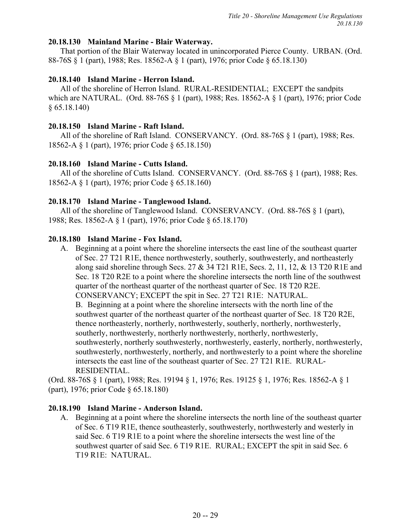## **20.18.130 Mainland Marine - Blair Waterway.**

That portion of the Blair Waterway located in unincorporated Pierce County. URBAN. (Ord. 88-76S § 1 (part), 1988; Res. 18562-A § 1 (part), 1976; prior Code § 65.18.130)

## **20.18.140 Island Marine - Herron Island.**

All of the shoreline of Herron Island. RURAL-RESIDENTIAL; EXCEPT the sandpits which are NATURAL. (Ord. 88-76S § 1 (part), 1988; Res. 18562-A § 1 (part), 1976; prior Code § 65.18.140)

## **20.18.150 Island Marine - Raft Island.**

All of the shoreline of Raft Island. CONSERVANCY. (Ord. 88-76S § 1 (part), 1988; Res. 18562-A § 1 (part), 1976; prior Code § 65.18.150)

## **20.18.160 Island Marine - Cutts Island.**

All of the shoreline of Cutts Island. CONSERVANCY. (Ord. 88-76S § 1 (part), 1988; Res. 18562-A § 1 (part), 1976; prior Code § 65.18.160)

### **20.18.170 Island Marine - Tanglewood Island.**

All of the shoreline of Tanglewood Island. CONSERVANCY. (Ord. 88-76S § 1 (part), 1988; Res. 18562-A § 1 (part), 1976; prior Code § 65.18.170)

### **20.18.180 Island Marine - Fox Island.**

A. Beginning at a point where the shoreline intersects the east line of the southeast quarter of Sec. 27 T21 R1E, thence northwesterly, southerly, southwesterly, and northeasterly along said shoreline through Secs. 27 & 34 T21 R1E, Secs. 2, 11, 12, & 13 T20 R1E and Sec. 18 T20 R2E to a point where the shoreline intersects the north line of the southwest quarter of the northeast quarter of the northeast quarter of Sec. 18 T20 R2E. CONSERVANCY; EXCEPT the spit in Sec. 27 T21 R1E: NATURAL. B. Beginning at a point where the shoreline intersects with the north line of the southwest quarter of the northeast quarter of the northeast quarter of Sec. 18 T20 R2E, thence northeasterly, northerly, northwesterly, southerly, northerly, northwesterly, southerly, northwesterly, northerly northwesterly, northerly, northwesterly, southwesterly, northerly southwesterly, northwesterly, easterly, northerly, northwesterly, southwesterly, northwesterly, northerly, and northwesterly to a point where the shoreline intersects the east line of the southeast quarter of Sec. 27 T21 R1E. RURAL-RESIDENTIAL.

(Ord. 88-76S § 1 (part), 1988; Res. 19194 § 1, 1976; Res. 19125 § 1, 1976; Res. 18562-A § 1 (part), 1976; prior Code § 65.18.180)

### **20.18.190 Island Marine - Anderson Island.**

A. Beginning at a point where the shoreline intersects the north line of the southeast quarter of Sec. 6 T19 R1E, thence southeasterly, southwesterly, northwesterly and westerly in said Sec. 6 T19 R1E to a point where the shoreline intersects the west line of the southwest quarter of said Sec. 6 T19 R1E. RURAL; EXCEPT the spit in said Sec. 6 T19 R1E: NATURAL.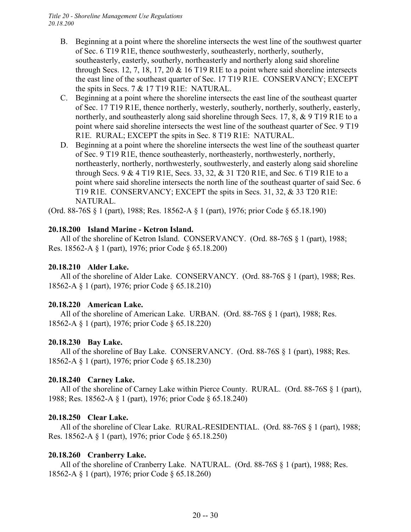- B. Beginning at a point where the shoreline intersects the west line of the southwest quarter of Sec. 6 T19 R1E, thence southwesterly, southeasterly, northerly, southerly, southeasterly, easterly, southerly, northeasterly and northerly along said shoreline through Secs. 12, 7, 18, 17, 20  $&$  16 T19 R1E to a point where said shoreline intersects the east line of the southeast quarter of Sec. 17 T19 R1E. CONSERVANCY; EXCEPT the spits in Secs. 7 & 17 T19 R1E: NATURAL.
- C. Beginning at a point where the shoreline intersects the east line of the southeast quarter of Sec. 17 T19 R1E, thence northerly, westerly, southerly, northerly, southerly, easterly, northerly, and southeasterly along said shoreline through Secs. 17, 8, & 9 T19 R1E to a point where said shoreline intersects the west line of the southeast quarter of Sec. 9 T19 R1E. RURAL; EXCEPT the spits in Sec. 8 T19 R1E: NATURAL.
- D. Beginning at a point where the shoreline intersects the west line of the southeast quarter of Sec. 9 T19 R1E, thence southeasterly, northeasterly, northwesterly, northerly, northeasterly, northerly, northwesterly, southwesterly, and easterly along said shoreline through Secs. 9 & 4 T19 R1E, Secs. 33, 32, & 31 T20 R1E, and Sec. 6 T19 R1E to a point where said shoreline intersects the north line of the southeast quarter of said Sec. 6 T19 R1E. CONSERVANCY; EXCEPT the spits in Secs. 31, 32, & 33 T20 R1E: NATURAL.

(Ord. 88-76S § 1 (part), 1988; Res. 18562-A § 1 (part), 1976; prior Code § 65.18.190)

## **20.18.200 Island Marine - Ketron Island.**

All of the shoreline of Ketron Island. CONSERVANCY. (Ord. 88-76S § 1 (part), 1988; Res. 18562-A § 1 (part), 1976; prior Code § 65.18.200)

## **20.18.210 Alder Lake.**

All of the shoreline of Alder Lake. CONSERVANCY. (Ord. 88-76S § 1 (part), 1988; Res. 18562-A § 1 (part), 1976; prior Code § 65.18.210)

### **20.18.220 American Lake.**

All of the shoreline of American Lake. URBAN. (Ord. 88-76S § 1 (part), 1988; Res. 18562-A § 1 (part), 1976; prior Code § 65.18.220)

# **20.18.230 Bay Lake.**

All of the shoreline of Bay Lake. CONSERVANCY. (Ord. 88-76S § 1 (part), 1988; Res. 18562-A § 1 (part), 1976; prior Code § 65.18.230)

# **20.18.240 Carney Lake.**

All of the shoreline of Carney Lake within Pierce County. RURAL. (Ord. 88-76S § 1 (part), 1988; Res. 18562-A § 1 (part), 1976; prior Code § 65.18.240)

# **20.18.250 Clear Lake.**

All of the shoreline of Clear Lake. RURAL-RESIDENTIAL. (Ord. 88-76S § 1 (part), 1988; Res. 18562-A § 1 (part), 1976; prior Code § 65.18.250)

# **20.18.260 Cranberry Lake.**

All of the shoreline of Cranberry Lake. NATURAL. (Ord. 88-76S § 1 (part), 1988; Res. 18562-A § 1 (part), 1976; prior Code § 65.18.260)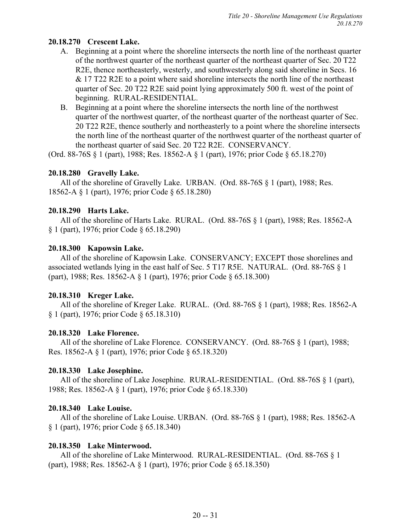# **20.18.270 Crescent Lake.**

- A. Beginning at a point where the shoreline intersects the north line of the northeast quarter of the northwest quarter of the northeast quarter of the northeast quarter of Sec. 20 T22 R2E, thence northeasterly, westerly, and southwesterly along said shoreline in Secs. 16 & 17 T22 R2E to a point where said shoreline intersects the north line of the northeast quarter of Sec. 20 T22 R2E said point lying approximately 500 ft. west of the point of beginning. RURAL-RESIDENTIAL.
- B. Beginning at a point where the shoreline intersects the north line of the northwest quarter of the northwest quarter, of the northeast quarter of the northeast quarter of Sec. 20 T22 R2E, thence southerly and northeasterly to a point where the shoreline intersects the north line of the northeast quarter of the northwest quarter of the northeast quarter of the northeast quarter of said Sec. 20 T22 R2E. CONSERVANCY.

(Ord. 88-76S § 1 (part), 1988; Res. 18562-A § 1 (part), 1976; prior Code § 65.18.270)

# **20.18.280 Gravelly Lake.**

All of the shoreline of Gravelly Lake. URBAN. (Ord. 88-76S § 1 (part), 1988; Res. 18562-A § 1 (part), 1976; prior Code § 65.18.280)

## **20.18.290 Harts Lake.**

All of the shoreline of Harts Lake. RURAL. (Ord. 88-76S § 1 (part), 1988; Res. 18562-A § 1 (part), 1976; prior Code § 65.18.290)

## **20.18.300 Kapowsin Lake.**

All of the shoreline of Kapowsin Lake. CONSERVANCY; EXCEPT those shorelines and associated wetlands lying in the east half of Sec. 5 T17 R5E. NATURAL. (Ord. 88-76S § 1 (part), 1988; Res. 18562-A § 1 (part), 1976; prior Code § 65.18.300)

### **20.18.310 Kreger Lake.**

All of the shoreline of Kreger Lake. RURAL. (Ord. 88-76S § 1 (part), 1988; Res. 18562-A § 1 (part), 1976; prior Code § 65.18.310)

# **20.18.320 Lake Florence.**

All of the shoreline of Lake Florence. CONSERVANCY. (Ord. 88-76S § 1 (part), 1988; Res. 18562-A § 1 (part), 1976; prior Code § 65.18.320)

# **20.18.330 Lake Josephine.**

All of the shoreline of Lake Josephine. RURAL-RESIDENTIAL. (Ord. 88-76S § 1 (part), 1988; Res. 18562-A § 1 (part), 1976; prior Code § 65.18.330)

### **20.18.340 Lake Louise.**

All of the shoreline of Lake Louise. URBAN. (Ord. 88-76S § 1 (part), 1988; Res. 18562-A § 1 (part), 1976; prior Code § 65.18.340)

### **20.18.350 Lake Minterwood.**

All of the shoreline of Lake Minterwood. RURAL-RESIDENTIAL. (Ord. 88-76S § 1 (part), 1988; Res. 18562-A § 1 (part), 1976; prior Code § 65.18.350)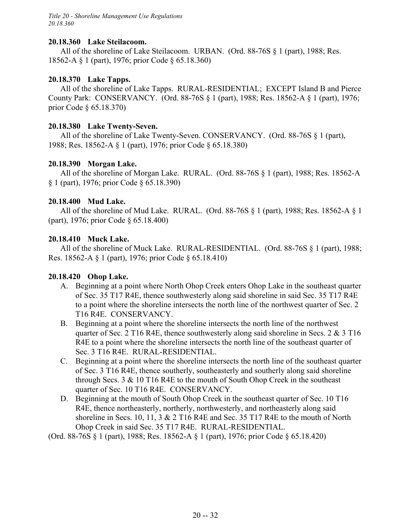*Title 20 - Shoreline Management Use Regulations 20.18.360*

#### **20.18.360 Lake Steilacoom.**

All of the shoreline of Lake Steilacoom. URBAN. (Ord. 88-76S § 1 (part), 1988; Res. 18562-A § 1 (part), 1976; prior Code § 65.18.360)

### **20.18.370 Lake Tapps.**

All of the shoreline of Lake Tapps. RURAL-RESIDENTIAL; EXCEPT Island B and Pierce County Park: CONSERVANCY. (Ord. 88-76S § 1 (part), 1988; Res. 18562-A § 1 (part), 1976; prior Code § 65.18.370)

#### **20.18.380 Lake Twenty-Seven.**

All of the shoreline of Lake Twenty-Seven. CONSERVANCY. (Ord. 88-76S § 1 (part), 1988; Res. 18562-A § 1 (part), 1976; prior Code § 65.18.380)

#### **20.18.390 Morgan Lake.**

All of the shoreline of Morgan Lake. RURAL. (Ord. 88-76S § 1 (part), 1988; Res. 18562-A § 1 (part), 1976; prior Code § 65.18.390)

#### **20.18.400 Mud Lake.**

All of the shoreline of Mud Lake. RURAL. (Ord. 88-76S § 1 (part), 1988; Res. 18562-A § 1 (part), 1976; prior Code § 65.18.400)

#### **20.18.410 Muck Lake.**

All of the shoreline of Muck Lake. RURAL-RESIDENTIAL. (Ord. 88-76S § 1 (part), 1988; Res. 18562-A § 1 (part), 1976; prior Code § 65.18.410)

### **20.18.420 Ohop Lake.**

- A. Beginning at a point where North Ohop Creek enters Ohop Lake in the southeast quarter of Sec. 35 T17 R4E, thence southwesterly along said shoreline in said Sec. 35 T17 R4E to a point where the shoreline intersects the north line of the northwest quarter of Sec. 2 T16 R4E. CONSERVANCY.
- B. Beginning at a point where the shoreline intersects the north line of the northwest quarter of Sec. 2 T16 R4E, thence southwesterly along said shoreline in Secs. 2  $\&$  3 T16 R4E to a point where the shoreline intersects the north line of the southeast quarter of Sec. 3 T16 R4E. RURAL-RESIDENTIAL.
- C. Beginning at a point where the shoreline intersects the north line of the southeast quarter of Sec. 3 T16 R4E, thence southerly, southeasterly and southerly along said shoreline through Secs. 3 & 10 T16 R4E to the mouth of South Ohop Creek in the southeast quarter of Sec. 10 T16 R4E. CONSERVANCY.
- D. Beginning at the mouth of South Ohop Creek in the southeast quarter of Sec. 10 T16 R4E, thence northeasterly, northerly, northwesterly, and northeasterly along said shoreline in Secs. 10, 11, 3 & 2 T16 R4E and Sec. 35 T17 R4E to the mouth of North Ohop Creek in said Sec. 35 T17 R4E. RURAL-RESIDENTIAL.

(Ord. 88-76S § 1 (part), 1988; Res. 18562-A § 1 (part), 1976; prior Code § 65.18.420)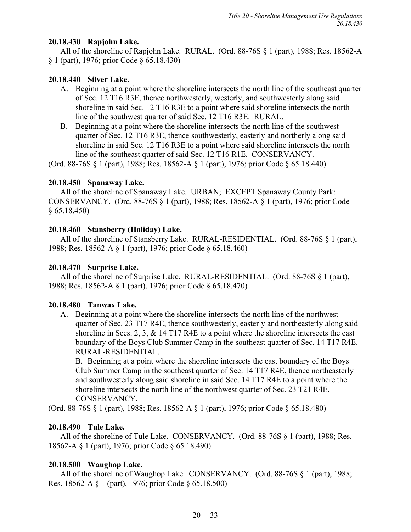## **20.18.430 Rapjohn Lake.**

All of the shoreline of Rapjohn Lake. RURAL. (Ord. 88-76S § 1 (part), 1988; Res. 18562-A § 1 (part), 1976; prior Code § 65.18.430)

## **20.18.440 Silver Lake.**

- A. Beginning at a point where the shoreline intersects the north line of the southeast quarter of Sec. 12 T16 R3E, thence northwesterly, westerly, and southwesterly along said shoreline in said Sec. 12 T16 R3E to a point where said shoreline intersects the north line of the southwest quarter of said Sec. 12 T16 R3E. RURAL.
- B. Beginning at a point where the shoreline intersects the north line of the southwest quarter of Sec. 12 T16 R3E, thence southwesterly, easterly and northerly along said shoreline in said Sec. 12 T16 R3E to a point where said shoreline intersects the north line of the southeast quarter of said Sec. 12 T16 R1E. CONSERVANCY.

(Ord. 88-76S § 1 (part), 1988; Res. 18562-A § 1 (part), 1976; prior Code § 65.18.440)

## **20.18.450 Spanaway Lake.**

All of the shoreline of Spanaway Lake. URBAN; EXCEPT Spanaway County Park: CONSERVANCY. (Ord. 88-76S § 1 (part), 1988; Res. 18562-A § 1 (part), 1976; prior Code § 65.18.450)

## **20.18.460 Stansberry (Holiday) Lake.**

All of the shoreline of Stansberry Lake. RURAL-RESIDENTIAL. (Ord. 88-76S § 1 (part), 1988; Res. 18562-A § 1 (part), 1976; prior Code § 65.18.460)

## **20.18.470 Surprise Lake.**

All of the shoreline of Surprise Lake. RURAL-RESIDENTIAL. (Ord. 88-76S § 1 (part), 1988; Res. 18562-A § 1 (part), 1976; prior Code § 65.18.470)

### **20.18.480 Tanwax Lake.**

A. Beginning at a point where the shoreline intersects the north line of the northwest quarter of Sec. 23 T17 R4E, thence southwesterly, easterly and northeasterly along said shoreline in Secs. 2, 3, & 14 T17 R4E to a point where the shoreline intersects the east boundary of the Boys Club Summer Camp in the southeast quarter of Sec. 14 T17 R4E. RURAL-RESIDENTIAL.

B. Beginning at a point where the shoreline intersects the east boundary of the Boys Club Summer Camp in the southeast quarter of Sec. 14 T17 R4E, thence northeasterly and southwesterly along said shoreline in said Sec. 14 T17 R4E to a point where the shoreline intersects the north line of the northwest quarter of Sec. 23 T21 R4E. CONSERVANCY.

(Ord. 88-76S § 1 (part), 1988; Res. 18562-A § 1 (part), 1976; prior Code § 65.18.480)

# **20.18.490 Tule Lake.**

All of the shoreline of Tule Lake. CONSERVANCY. (Ord. 88-76S § 1 (part), 1988; Res. 18562-A § 1 (part), 1976; prior Code § 65.18.490)

# **20.18.500 Waughop Lake.**

All of the shoreline of Waughop Lake. CONSERVANCY. (Ord. 88-76S § 1 (part), 1988; Res. 18562-A § 1 (part), 1976; prior Code § 65.18.500)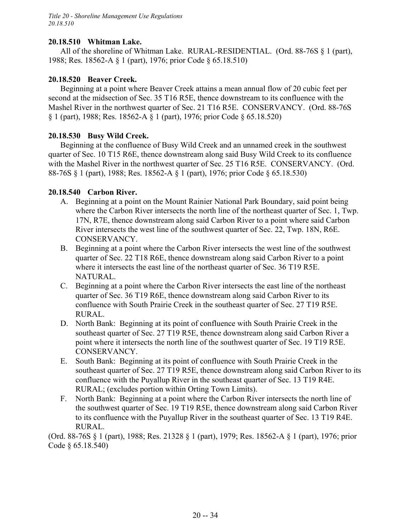## **20.18.510 Whitman Lake.**

All of the shoreline of Whitman Lake. RURAL-RESIDENTIAL. (Ord. 88-76S § 1 (part), 1988; Res. 18562-A § 1 (part), 1976; prior Code § 65.18.510)

## **20.18.520 Beaver Creek.**

Beginning at a point where Beaver Creek attains a mean annual flow of 20 cubic feet per second at the midsection of Sec. 35 T16 R5E, thence downstream to its confluence with the Mashel River in the northwest quarter of Sec. 21 T16 R5E. CONSERVANCY. (Ord. 88-76S § 1 (part), 1988; Res. 18562-A § 1 (part), 1976; prior Code § 65.18.520)

## **20.18.530 Busy Wild Creek.**

Beginning at the confluence of Busy Wild Creek and an unnamed creek in the southwest quarter of Sec. 10 T15 R6E, thence downstream along said Busy Wild Creek to its confluence with the Mashel River in the northwest quarter of Sec. 25 T16 R5E. CONSERVANCY. (Ord. 88-76S § 1 (part), 1988; Res. 18562-A § 1 (part), 1976; prior Code § 65.18.530)

## **20.18.540 Carbon River.**

- A. Beginning at a point on the Mount Rainier National Park Boundary, said point being where the Carbon River intersects the north line of the northeast quarter of Sec. 1, Twp. 17N, R7E, thence downstream along said Carbon River to a point where said Carbon River intersects the west line of the southwest quarter of Sec. 22, Twp. 18N, R6E. CONSERVANCY.
- B. Beginning at a point where the Carbon River intersects the west line of the southwest quarter of Sec. 22 T18 R6E, thence downstream along said Carbon River to a point where it intersects the east line of the northeast quarter of Sec. 36 T19 R5E. NATURAL.
- C. Beginning at a point where the Carbon River intersects the east line of the northeast quarter of Sec. 36 T19 R6E, thence downstream along said Carbon River to its confluence with South Prairie Creek in the southeast quarter of Sec. 27 T19 R5E. RURAL.
- D. North Bank: Beginning at its point of confluence with South Prairie Creek in the southeast quarter of Sec. 27 T19 R5E, thence downstream along said Carbon River a point where it intersects the north line of the southwest quarter of Sec. 19 T19 R5E. CONSERVANCY.
- E. South Bank: Beginning at its point of confluence with South Prairie Creek in the southeast quarter of Sec. 27 T19 R5E, thence downstream along said Carbon River to its confluence with the Puyallup River in the southeast quarter of Sec. 13 T19 R4E. RURAL; (excludes portion within Orting Town Limits).
- F. North Bank: Beginning at a point where the Carbon River intersects the north line of the southwest quarter of Sec. 19 T19 R5E, thence downstream along said Carbon River to its confluence with the Puyallup River in the southeast quarter of Sec. 13 T19 R4E. RURAL.

(Ord. 88-76S § 1 (part), 1988; Res. 21328 § 1 (part), 1979; Res. 18562-A § 1 (part), 1976; prior Code § 65.18.540)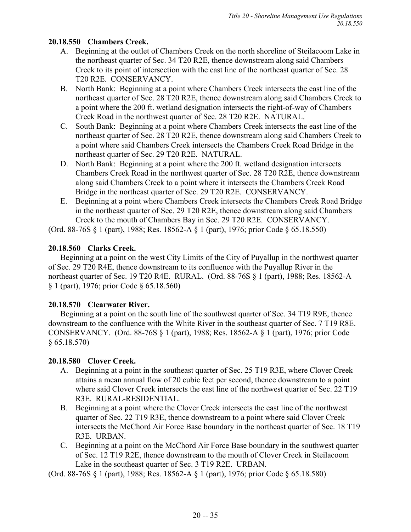# **20.18.550 Chambers Creek.**

- A. Beginning at the outlet of Chambers Creek on the north shoreline of Steilacoom Lake in the northeast quarter of Sec. 34 T20 R2E, thence downstream along said Chambers Creek to its point of intersection with the east line of the northeast quarter of Sec. 28 T20 R2E. CONSERVANCY.
- B. North Bank: Beginning at a point where Chambers Creek intersects the east line of the northeast quarter of Sec. 28 T20 R2E, thence downstream along said Chambers Creek to a point where the 200 ft. wetland designation intersects the right-of-way of Chambers Creek Road in the northwest quarter of Sec. 28 T20 R2E. NATURAL.
- C. South Bank: Beginning at a point where Chambers Creek intersects the east line of the northeast quarter of Sec. 28 T20 R2E, thence downstream along said Chambers Creek to a point where said Chambers Creek intersects the Chambers Creek Road Bridge in the northeast quarter of Sec. 29 T20 R2E. NATURAL.
- D. North Bank: Beginning at a point where the 200 ft. wetland designation intersects Chambers Creek Road in the northwest quarter of Sec. 28 T20 R2E, thence downstream along said Chambers Creek to a point where it intersects the Chambers Creek Road Bridge in the northeast quarter of Sec. 29 T20 R2E. CONSERVANCY.
- E. Beginning at a point where Chambers Creek intersects the Chambers Creek Road Bridge in the northeast quarter of Sec. 29 T20 R2E, thence downstream along said Chambers Creek to the mouth of Chambers Bay in Sec. 29 T20 R2E. CONSERVANCY.

(Ord. 88-76S § 1 (part), 1988; Res. 18562-A § 1 (part), 1976; prior Code § 65.18.550)

# **20.18.560 Clarks Creek.**

Beginning at a point on the west City Limits of the City of Puyallup in the northwest quarter of Sec. 29 T20 R4E, thence downstream to its confluence with the Puyallup River in the northeast quarter of Sec. 19 T20 R4E. RURAL. (Ord. 88-76S § 1 (part), 1988; Res. 18562-A § 1 (part), 1976; prior Code § 65.18.560)

# **20.18.570 Clearwater River.**

Beginning at a point on the south line of the southwest quarter of Sec. 34 T19 R9E, thence downstream to the confluence with the White River in the southeast quarter of Sec. 7 T19 R8E. CONSERVANCY. (Ord. 88-76S § 1 (part), 1988; Res. 18562-A § 1 (part), 1976; prior Code § 65.18.570)

# **20.18.580 Clover Creek.**

- A. Beginning at a point in the southeast quarter of Sec. 25 T19 R3E, where Clover Creek attains a mean annual flow of 20 cubic feet per second, thence downstream to a point where said Clover Creek intersects the east line of the northwest quarter of Sec. 22 T19 R3E. RURAL-RESIDENTIAL.
- B. Beginning at a point where the Clover Creek intersects the east line of the northwest quarter of Sec. 22 T19 R3E, thence downstream to a point where said Clover Creek intersects the McChord Air Force Base boundary in the northeast quarter of Sec. 18 T19 R3E. URBAN.
- C. Beginning at a point on the McChord Air Force Base boundary in the southwest quarter of Sec. 12 T19 R2E, thence downstream to the mouth of Clover Creek in Steilacoom Lake in the southeast quarter of Sec. 3 T19 R2E. URBAN.

(Ord. 88-76S § 1 (part), 1988; Res. 18562-A § 1 (part), 1976; prior Code § 65.18.580)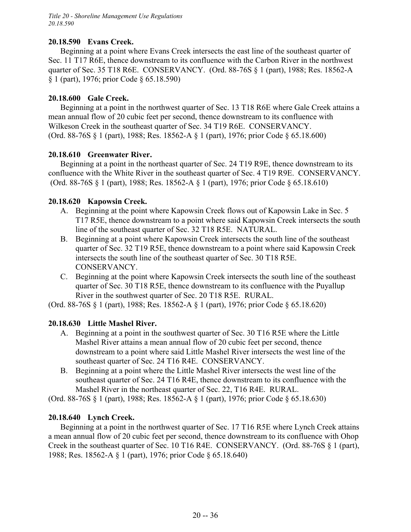### **20.18.590 Evans Creek.**

Beginning at a point where Evans Creek intersects the east line of the southeast quarter of Sec. 11 T17 R6E, thence downstream to its confluence with the Carbon River in the northwest quarter of Sec. 35 T18 R6E. CONSERVANCY. (Ord. 88-76S § 1 (part), 1988; Res. 18562-A § 1 (part), 1976; prior Code § 65.18.590)

### **20.18.600 Gale Creek.**

Beginning at a point in the northwest quarter of Sec. 13 T18 R6E where Gale Creek attains a mean annual flow of 20 cubic feet per second, thence downstream to its confluence with Wilkeson Creek in the southeast quarter of Sec. 34 T19 R6E. CONSERVANCY. (Ord. 88-76S § 1 (part), 1988; Res. 18562-A § 1 (part), 1976; prior Code § 65.18.600)

#### **20.18.610 Greenwater River.**

Beginning at a point in the northeast quarter of Sec. 24 T19 R9E, thence downstream to its confluence with the White River in the southeast quarter of Sec. 4 T19 R9E. CONSERVANCY. (Ord. 88-76S § 1 (part), 1988; Res. 18562-A § 1 (part), 1976; prior Code § 65.18.610)

### **20.18.620 Kapowsin Creek.**

- A. Beginning at the point where Kapowsin Creek flows out of Kapowsin Lake in Sec. 5 T17 R5E, thence downstream to a point where said Kapowsin Creek intersects the south line of the southeast quarter of Sec. 32 T18 R5E. NATURAL.
- B. Beginning at a point where Kapowsin Creek intersects the south line of the southeast quarter of Sec. 32 T19 R5E, thence downstream to a point where said Kapowsin Creek intersects the south line of the southeast quarter of Sec. 30 T18 R5E. CONSERVANCY.
- C. Beginning at the point where Kapowsin Creek intersects the south line of the southeast quarter of Sec. 30 T18 R5E, thence downstream to its confluence with the Puyallup River in the southwest quarter of Sec. 20 T18 R5E. RURAL.

(Ord. 88-76S § 1 (part), 1988; Res. 18562-A § 1 (part), 1976; prior Code § 65.18.620)

#### **20.18.630 Little Mashel River.**

- A. Beginning at a point in the southwest quarter of Sec. 30 T16 R5E where the Little Mashel River attains a mean annual flow of 20 cubic feet per second, thence downstream to a point where said Little Mashel River intersects the west line of the southeast quarter of Sec. 24 T16 R4E. CONSERVANCY.
- B. Beginning at a point where the Little Mashel River intersects the west line of the southeast quarter of Sec. 24 T16 R4E, thence downstream to its confluence with the Mashel River in the northeast quarter of Sec. 22, T16 R4E. RURAL.

(Ord. 88-76S § 1 (part), 1988; Res. 18562-A § 1 (part), 1976; prior Code § 65.18.630)

#### **20.18.640 Lynch Creek.**

Beginning at a point in the northwest quarter of Sec. 17 T16 R5E where Lynch Creek attains a mean annual flow of 20 cubic feet per second, thence downstream to its confluence with Ohop Creek in the southeast quarter of Sec. 10 T16 R4E. CONSERVANCY. (Ord. 88-76S § 1 (part), 1988; Res. 18562-A § 1 (part), 1976; prior Code § 65.18.640)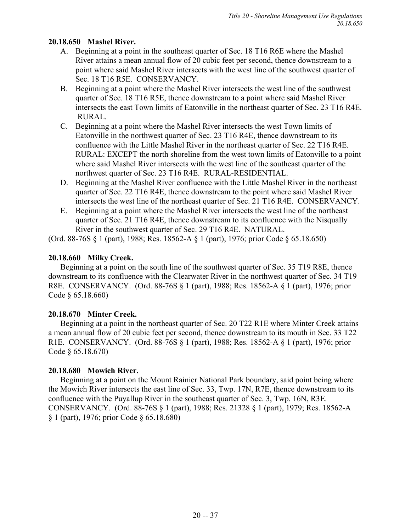## **20.18.650 Mashel River.**

- A. Beginning at a point in the southeast quarter of Sec. 18 T16 R6E where the Mashel River attains a mean annual flow of 20 cubic feet per second, thence downstream to a point where said Mashel River intersects with the west line of the southwest quarter of Sec. 18 T16 R5E. CONSERVANCY.
- B. Beginning at a point where the Mashel River intersects the west line of the southwest quarter of Sec. 18 T16 R5E, thence downstream to a point where said Mashel River intersects the east Town limits of Eatonville in the northeast quarter of Sec. 23 T16 R4E. RURAL.
- C. Beginning at a point where the Mashel River intersects the west Town limits of Eatonville in the northwest quarter of Sec. 23 T16 R4E, thence downstream to its confluence with the Little Mashel River in the northeast quarter of Sec. 22 T16 R4E. RURAL: EXCEPT the north shoreline from the west town limits of Eatonville to a point where said Mashel River intersects with the west line of the southeast quarter of the northwest quarter of Sec. 23 T16 R4E. RURAL-RESIDENTIAL.
- D. Beginning at the Mashel River confluence with the Little Mashel River in the northeast quarter of Sec. 22 T16 R4E, thence downstream to the point where said Mashel River intersects the west line of the northeast quarter of Sec. 21 T16 R4E. CONSERVANCY.
- E. Beginning at a point where the Mashel River intersects the west line of the northeast quarter of Sec. 21 T16 R4E, thence downstream to its confluence with the Nisqually River in the southwest quarter of Sec. 29 T16 R4E. NATURAL.

(Ord. 88-76S § 1 (part), 1988; Res. 18562-A § 1 (part), 1976; prior Code § 65.18.650)

# **20.18.660 Milky Creek.**

Beginning at a point on the south line of the southwest quarter of Sec. 35 T19 R8E, thence downstream to its confluence with the Clearwater River in the northwest quarter of Sec. 34 T19 R8E. CONSERVANCY. (Ord. 88-76S § 1 (part), 1988; Res. 18562-A § 1 (part), 1976; prior Code § 65.18.660)

# **20.18.670 Minter Creek.**

Beginning at a point in the northeast quarter of Sec. 20 T22 R1E where Minter Creek attains a mean annual flow of 20 cubic feet per second, thence downstream to its mouth in Sec. 33 T22 R1E. CONSERVANCY. (Ord. 88-76S § 1 (part), 1988; Res. 18562-A § 1 (part), 1976; prior Code § 65.18.670)

# **20.18.680 Mowich River.**

Beginning at a point on the Mount Rainier National Park boundary, said point being where the Mowich River intersects the east line of Sec. 33, Twp. 17N, R7E, thence downstream to its confluence with the Puyallup River in the southeast quarter of Sec. 3, Twp. 16N, R3E. CONSERVANCY. (Ord. 88-76S § 1 (part), 1988; Res. 21328 § 1 (part), 1979; Res. 18562-A § 1 (part), 1976; prior Code § 65.18.680)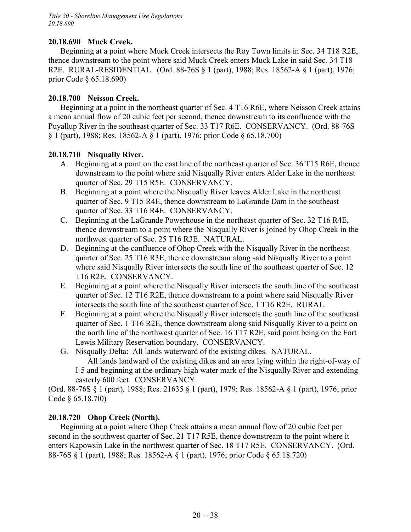## **20.18.690 Muck Creek.**

Beginning at a point where Muck Creek intersects the Roy Town limits in Sec. 34 T18 R2E, thence downstream to the point where said Muck Creek enters Muck Lake in said Sec. 34 T18 R2E. RURAL-RESIDENTIAL. (Ord. 88-76S § 1 (part), 1988; Res. 18562-A § 1 (part), 1976; prior Code § 65.18.690)

### **20.18.700 Neisson Creek.**

Beginning at a point in the northeast quarter of Sec. 4 T16 R6E, where Neisson Creek attains a mean annual flow of 20 cubic feet per second, thence downstream to its confluence with the Puyallup River in the southeast quarter of Sec. 33 T17 R6E. CONSERVANCY. (Ord. 88-76S § 1 (part), 1988; Res. 18562-A § 1 (part), 1976; prior Code § 65.18.700)

### **20.18.710 Nisqually River.**

- A. Beginning at a point on the east line of the northeast quarter of Sec. 36 T15 R6E, thence downstream to the point where said Nisqually River enters Alder Lake in the northeast quarter of Sec. 29 T15 R5E. CONSERVANCY.
- B. Beginning at a point where the Nisqually River leaves Alder Lake in the northeast quarter of Sec. 9 T15 R4E, thence downstream to LaGrande Dam in the southeast quarter of Sec. 33 T16 R4E. CONSERVANCY.
- C. Beginning at the LaGrande Powerhouse in the northeast quarter of Sec. 32 T16 R4E, thence downstream to a point where the Nisqually River is joined by Ohop Creek in the northwest quarter of Sec. 25 T16 R3E. NATURAL.
- D. Beginning at the confluence of Ohop Creek with the Nisqually River in the northeast quarter of Sec. 25 T16 R3E, thence downstream along said Nisqually River to a point where said Nisqually River intersects the south line of the southeast quarter of Sec. 12 T16 R2E. CONSERVANCY.
- E. Beginning at a point where the Nisqually River intersects the south line of the southeast quarter of Sec. 12 T16 R2E, thence downstream to a point where said Nisqually River intersects the south line of the southeast quarter of Sec. 1 T16 R2E. RURAL.
- F. Beginning at a point where the Nisqually River intersects the south line of the southeast quarter of Sec. 1 T16 R2E, thence downstream along said Nisqually River to a point on the north line of the northwest quarter of Sec. 16 T17 R2E, said point being on the Fort Lewis Military Reservation boundary. CONSERVANCY.
- G. Nisqually Delta: All lands waterward of the existing dikes. NATURAL. All lands landward of the existing dikes and an area lying within the right-of-way of I-5 and beginning at the ordinary high water mark of the Nisqually River and extending easterly 600 feet. CONSERVANCY.

(Ord. 88-76S § 1 (part), 1988; Res. 21635 § 1 (part), 1979; Res. 18562-A § 1 (part), 1976; prior Code § 65.18.7l0)

# **20.18.720 Ohop Creek (North).**

Beginning at a point where Ohop Creek attains a mean annual flow of 20 cubic feet per second in the southwest quarter of Sec. 21 T17 R5E, thence downstream to the point where it enters Kapowsin Lake in the northwest quarter of Sec. 18 T17 R5E. CONSERVANCY. (Ord. 88-76S § 1 (part), 1988; Res. 18562-A § 1 (part), 1976; prior Code § 65.18.720)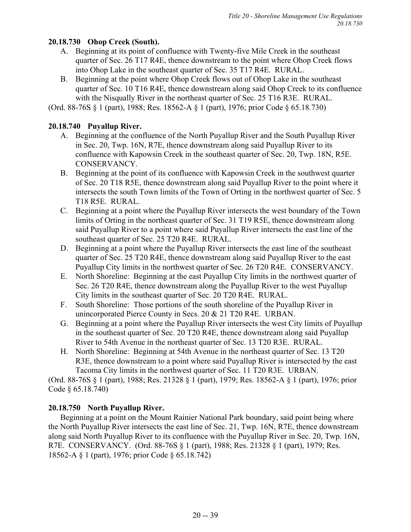# **20.18.730 Ohop Creek (South).**

- A. Beginning at its point of confluence with Twenty-five Mile Creek in the southeast quarter of Sec. 26 T17 R4E, thence downstream to the point where Ohop Creek flows into Ohop Lake in the southeast quarter of Sec. 35 T17 R4E. RURAL.
- B. Beginning at the point where Ohop Creek flows out of Ohop Lake in the southeast quarter of Sec. 10 T16 R4E, thence downstream along said Ohop Creek to its confluence with the Nisqually River in the northeast quarter of Sec. 25 T16 R3E. RURAL.

(Ord. 88-76S § 1 (part), 1988; Res. 18562-A § 1 (part), 1976; prior Code § 65.18.730)

# **20.18.740 Puyallup River.**

- A. Beginning at the confluence of the North Puyallup River and the South Puyallup River in Sec. 20, Twp. 16N, R7E, thence downstream along said Puyallup River to its confluence with Kapowsin Creek in the southeast quarter of Sec. 20, Twp. 18N, R5E. CONSERVANCY.
- B. Beginning at the point of its confluence with Kapowsin Creek in the southwest quarter of Sec. 20 T18 R5E, thence downstream along said Puyallup River to the point where it intersects the south Town limits of the Town of Orting in the northwest quarter of Sec. 5 T18 R5E. RURAL.
- C. Beginning at a point where the Puyallup River intersects the west boundary of the Town limits of Orting in the northeast quarter of Sec. 31 T19 R5E, thence downstream along said Puyallup River to a point where said Puyallup River intersects the east line of the southeast quarter of Sec. 25 T20 R4E. RURAL.
- D. Beginning at a point where the Puyallup River intersects the east line of the southeast quarter of Sec. 25 T20 R4E, thence downstream along said Puyallup River to the east Puyallup City limits in the northwest quarter of Sec. 26 T20 R4E. CONSERVANCY.
- E. North Shoreline: Beginning at the east Puyallup City limits in the northwest quarter of Sec. 26 T20 R4E, thence downstream along the Puyallup River to the west Puyallup City limits in the southeast quarter of Sec. 20 T20 R4E. RURAL.
- F. South Shoreline: Those portions of the south shoreline of the Puyallup River in unincorporated Pierce County in Secs. 20 & 21 T20 R4E. URBAN.
- G. Beginning at a point where the Puyallup River intersects the west City limits of Puyallup in the southeast quarter of Sec. 20 T20 R4E, thence downstream along said Puyallup River to 54th Avenue in the northeast quarter of Sec. 13 T20 R3E. RURAL.
- H. North Shoreline: Beginning at 54th Avenue in the northeast quarter of Sec. 13 T20 R3E, thence downstream to a point where said Puyallup River is intersected by the east Tacoma City limits in the northwest quarter of Sec. 11 T20 R3E. URBAN.

(Ord. 88-76S § 1 (part), 1988; Res. 21328 § 1 (part), 1979; Res. 18562-A § 1 (part), 1976; prior Code § 65.18.740)

# **20.18.750 North Puyallup River.**

Beginning at a point on the Mount Rainier National Park boundary, said point being where the North Puyallup River intersects the east line of Sec. 21, Twp. 16N, R7E, thence downstream along said North Puyallup River to its confluence with the Puyallup River in Sec. 20, Twp. 16N, R7E. CONSERVANCY. (Ord. 88-76S § 1 (part), 1988; Res. 21328 § 1 (part), 1979; Res. 18562-A § 1 (part), 1976; prior Code § 65.18.742)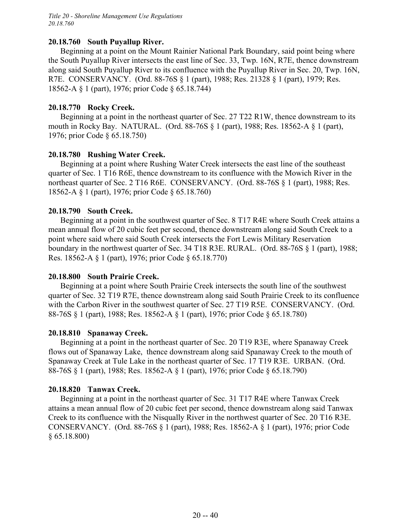### **20.18.760 South Puyallup River.**

Beginning at a point on the Mount Rainier National Park Boundary, said point being where the South Puyallup River intersects the east line of Sec. 33, Twp. 16N, R7E, thence downstream along said South Puyallup River to its confluence with the Puyallup River in Sec. 20, Twp. 16N, R7E. CONSERVANCY. (Ord. 88-76S § 1 (part), 1988; Res. 21328 § 1 (part), 1979; Res. 18562-A § 1 (part), 1976; prior Code § 65.18.744)

### **20.18.770 Rocky Creek.**

Beginning at a point in the northeast quarter of Sec. 27 T22 R1W, thence downstream to its mouth in Rocky Bay. NATURAL. (Ord. 88-76S § 1 (part), 1988; Res. 18562-A § 1 (part), 1976; prior Code § 65.18.750)

### **20.18.780 Rushing Water Creek.**

Beginning at a point where Rushing Water Creek intersects the east line of the southeast quarter of Sec. 1 T16 R6E, thence downstream to its confluence with the Mowich River in the northeast quarter of Sec. 2 T16 R6E. CONSERVANCY. (Ord. 88-76S § 1 (part), 1988; Res. 18562-A § 1 (part), 1976; prior Code § 65.18.760)

### **20.18.790 South Creek.**

Beginning at a point in the southwest quarter of Sec. 8 T17 R4E where South Creek attains a mean annual flow of 20 cubic feet per second, thence downstream along said South Creek to a point where said where said South Creek intersects the Fort Lewis Military Reservation boundary in the northwest quarter of Sec. 34 T18 R3E. RURAL. (Ord. 88-76S § 1 (part), 1988; Res. 18562-A § 1 (part), 1976; prior Code § 65.18.770)

#### **20.18.800 South Prairie Creek.**

Beginning at a point where South Prairie Creek intersects the south line of the southwest quarter of Sec. 32 T19 R7E, thence downstream along said South Prairie Creek to its confluence with the Carbon River in the southwest quarter of Sec. 27 T19 R5E. CONSERVANCY. (Ord. 88-76S § 1 (part), 1988; Res. 18562-A § 1 (part), 1976; prior Code § 65.18.780)

#### **20.18.810 Spanaway Creek.**

Beginning at a point in the northeast quarter of Sec. 20 T19 R3E, where Spanaway Creek flows out of Spanaway Lake, thence downstream along said Spanaway Creek to the mouth of Spanaway Creek at Tule Lake in the northeast quarter of Sec. 17 T19 R3E. URBAN. (Ord. 88-76S § 1 (part), 1988; Res. 18562-A § 1 (part), 1976; prior Code § 65.18.790)

#### **20.18.820 Tanwax Creek.**

Beginning at a point in the northeast quarter of Sec. 31 T17 R4E where Tanwax Creek attains a mean annual flow of 20 cubic feet per second, thence downstream along said Tanwax Creek to its confluence with the Nisqually River in the northwest quarter of Sec. 20 T16 R3E. CONSERVANCY. (Ord. 88-76S § 1 (part), 1988; Res. 18562-A § 1 (part), 1976; prior Code § 65.18.800)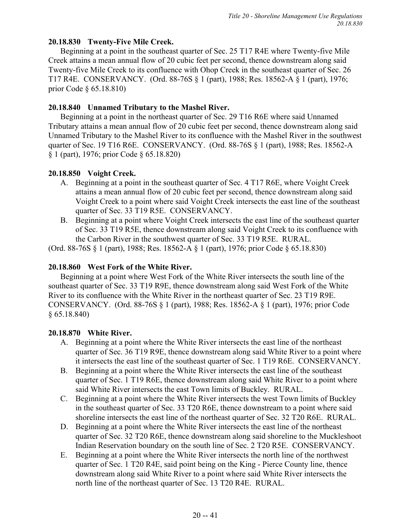# **20.18.830 Twenty-Five Mile Creek.**

Beginning at a point in the southeast quarter of Sec. 25 T17 R4E where Twenty-five Mile Creek attains a mean annual flow of 20 cubic feet per second, thence downstream along said Twenty-five Mile Creek to its confluence with Ohop Creek in the southeast quarter of Sec. 26 T17 R4E. CONSERVANCY. (Ord. 88-76S § 1 (part), 1988; Res. 18562-A § 1 (part), 1976; prior Code § 65.18.810)

### **20.18.840 Unnamed Tributary to the Mashel River.**

Beginning at a point in the northeast quarter of Sec. 29 T16 R6E where said Unnamed Tributary attains a mean annual flow of 20 cubic feet per second, thence downstream along said Unnamed Tributary to the Mashel River to its confluence with the Mashel River in the southwest quarter of Sec. 19 T16 R6E. CONSERVANCY. (Ord. 88-76S § 1 (part), 1988; Res. 18562-A § 1 (part), 1976; prior Code § 65.18.820)

### **20.18.850 Voight Creek.**

- A. Beginning at a point in the southeast quarter of Sec. 4 T17 R6E, where Voight Creek attains a mean annual flow of 20 cubic feet per second, thence downstream along said Voight Creek to a point where said Voight Creek intersects the east line of the southeast quarter of Sec. 33 T19 R5E. CONSERVANCY.
- B. Beginning at a point where Voight Creek intersects the east line of the southeast quarter of Sec. 33 T19 R5E, thence downstream along said Voight Creek to its confluence with the Carbon River in the southwest quarter of Sec. 33 T19 R5E. RURAL.

(Ord. 88-76S § 1 (part), 1988; Res. 18562-A § 1 (part), 1976; prior Code § 65.18.830)

## **20.18.860 West Fork of the White River.**

Beginning at a point where West Fork of the White River intersects the south line of the southeast quarter of Sec. 33 T19 R9E, thence downstream along said West Fork of the White River to its confluence with the White River in the northeast quarter of Sec. 23 T19 R9E. CONSERVANCY. (Ord. 88-76S § 1 (part), 1988; Res. 18562-A § 1 (part), 1976; prior Code § 65.18.840)

# **20.18.870 White River.**

- A. Beginning at a point where the White River intersects the east line of the northeast quarter of Sec. 36 T19 R9E, thence downstream along said White River to a point where it intersects the east line of the southeast quarter of Sec. 1 T19 R6E. CONSERVANCY.
- B. Beginning at a point where the White River intersects the east line of the southeast quarter of Sec. 1 T19 R6E, thence downstream along said White River to a point where said White River intersects the east Town limits of Buckley. RURAL.
- C. Beginning at a point where the White River intersects the west Town limits of Buckley in the southeast quarter of Sec. 33 T20 R6E, thence downstream to a point where said shoreline intersects the east line of the northeast quarter of Sec. 32 T20 R6E. RURAL.
- D. Beginning at a point where the White River intersects the east line of the northeast quarter of Sec. 32 T20 R6E, thence downstream along said shoreline to the Muckleshoot Indian Reservation boundary on the south line of Sec. 2 T20 R5E. CONSERVANCY.
- E. Beginning at a point where the White River intersects the north line of the northwest quarter of Sec. 1 T20 R4E, said point being on the King - Pierce County line, thence downstream along said White River to a point where said White River intersects the north line of the northeast quarter of Sec. 13 T20 R4E. RURAL.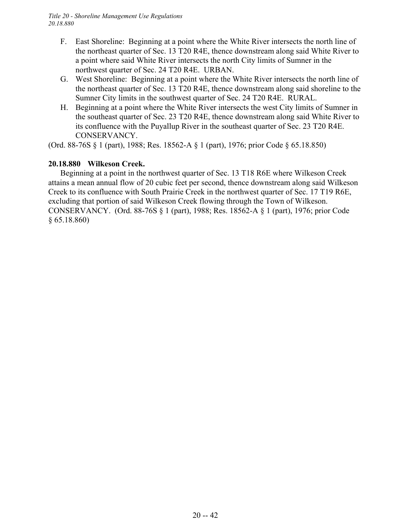- F. East Shoreline: Beginning at a point where the White River intersects the north line of the northeast quarter of Sec. 13 T20 R4E, thence downstream along said White River to a point where said White River intersects the north City limits of Sumner in the northwest quarter of Sec. 24 T20 R4E. URBAN.
- G. West Shoreline: Beginning at a point where the White River intersects the north line of the northeast quarter of Sec. 13 T20 R4E, thence downstream along said shoreline to the Sumner City limits in the southwest quarter of Sec. 24 T20 R4E. RURAL.
- H. Beginning at a point where the White River intersects the west City limits of Sumner in the southeast quarter of Sec. 23 T20 R4E, thence downstream along said White River to its confluence with the Puyallup River in the southeast quarter of Sec. 23 T20 R4E. CONSERVANCY.

(Ord. 88-76S § 1 (part), 1988; Res. 18562-A § 1 (part), 1976; prior Code § 65.18.850)

### **20.18.880 Wilkeson Creek.**

Beginning at a point in the northwest quarter of Sec. 13 T18 R6E where Wilkeson Creek attains a mean annual flow of 20 cubic feet per second, thence downstream along said Wilkeson Creek to its confluence with South Prairie Creek in the northwest quarter of Sec. 17 T19 R6E, excluding that portion of said Wilkeson Creek flowing through the Town of Wilkeson. CONSERVANCY. (Ord. 88-76S § 1 (part), 1988; Res. 18562-A § 1 (part), 1976; prior Code § 65.18.860)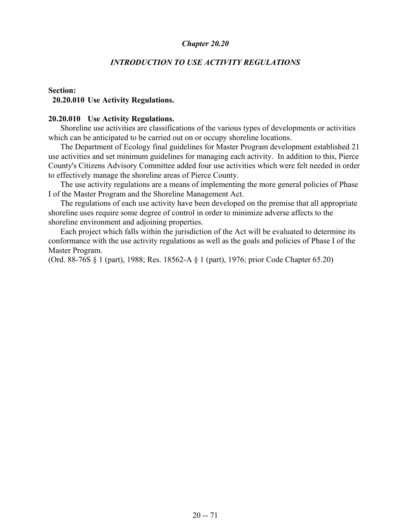## *INTRODUCTION TO USE ACTIVITY REGULATIONS*

### **Section: 20.20.010 Use Activity Regulations.**

#### **20.20.010 Use Activity Regulations.**

Shoreline use activities are classifications of the various types of developments or activities which can be anticipated to be carried out on or occupy shoreline locations.

The Department of Ecology final guidelines for Master Program development established 21 use activities and set minimum guidelines for managing each activity. In addition to this, Pierce County's Citizens Advisory Committee added four use activities which were felt needed in order to effectively manage the shoreline areas of Pierce County.

The use activity regulations are a means of implementing the more general policies of Phase I of the Master Program and the Shoreline Management Act.

The regulations of each use activity have been developed on the premise that all appropriate shoreline uses require some degree of control in order to minimize adverse affects to the shoreline environment and adjoining properties.

Each project which falls within the jurisdiction of the Act will be evaluated to determine its conformance with the use activity regulations as well as the goals and policies of Phase I of the Master Program.

(Ord. 88-76S § 1 (part), 1988; Res. 18562-A § 1 (part), 1976; prior Code Chapter 65.20)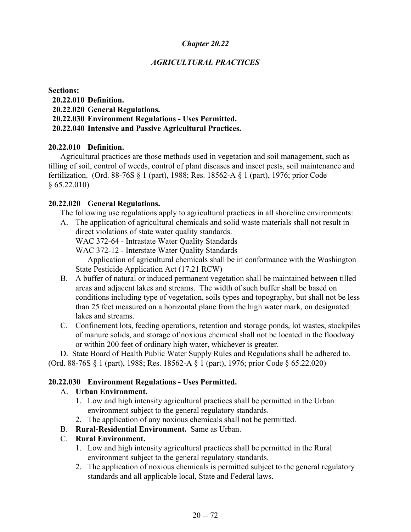# *AGRICULTURAL PRACTICES*

#### **Sections:**

- **20.22.010 Definition.**
- **20.22.020 General Regulations.**
- **20.22.030 Environment Regulations Uses Permitted.**

# **20.22.040 Intensive and Passive Agricultural Practices.**

# **20.22.010 Definition.**

Agricultural practices are those methods used in vegetation and soil management, such as tilling of soil, control of weeds, control of plant diseases and insect pests, soil maintenance and fertilization. (Ord. 88-76S § 1 (part), 1988; Res. 18562-A § 1 (part), 1976; prior Code § 65.22.010)

# **20.22.020 General Regulations.**

The following use regulations apply to agricultural practices in all shoreline environments:

A. The application of agricultural chemicals and solid waste materials shall not result in direct violations of state water quality standards.

WAC 372-64 - Intrastate Water Quality Standards

WAC 372-12 - Interstate Water Quality Standards

Application of agricultural chemicals shall be in conformance with the Washington State Pesticide Application Act (17.21 RCW)

- B. A buffer of natural or induced permanent vegetation shall be maintained between tilled areas and adjacent lakes and streams. The width of such buffer shall be based on conditions including type of vegetation, soils types and topography, but shall not be less than 25 feet measured on a horizontal plane from the high water mark, on designated lakes and streams.
- C. Confinement lots, feeding operations, retention and storage ponds, lot wastes, stockpiles of manure solids, and storage of noxious chemical shall not be located in the floodway or within 200 feet of ordinary high water, whichever is greater.

D. State Board of Health Public Water Supply Rules and Regulations shall be adhered to. (Ord. 88-76S § 1 (part), 1988; Res. 18562-A § 1 (part), 1976; prior Code § 65.22.020)

# **20.22.030 Environment Regulations - Uses Permitted.**

# A. **Urban Environment.**

- 1. Low and high intensity agricultural practices shall be permitted in the Urban environment subject to the general regulatory standards.
- 2. The application of any noxious chemicals shall not be permitted.
- B. **Rural-Residential Environment.** Same as Urban.

# C. **Rural Environment.**

- 1. Low and high intensity agricultural practices shall be permitted in the Rural environment subject to the general regulatory standards.
- 2. The application of noxious chemicals is permitted subject to the general regulatory standards and all applicable local, State and Federal laws.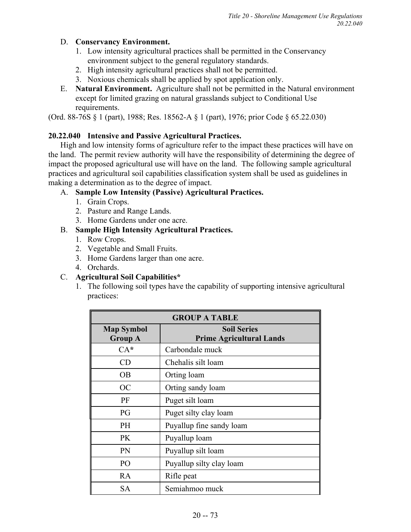# D. **Conservancy Environment.**

- 1. Low intensity agricultural practices shall be permitted in the Conservancy environment subject to the general regulatory standards.
- 2. High intensity agricultural practices shall not be permitted.
- 3. Noxious chemicals shall be applied by spot application only.
- E. **Natural Environment.** Agriculture shall not be permitted in the Natural environment except for limited grazing on natural grasslands subject to Conditional Use requirements.

(Ord. 88-76S § 1 (part), 1988; Res. 18562-A § 1 (part), 1976; prior Code § 65.22.030)

# **20.22.040 Intensive and Passive Agricultural Practices.**

High and low intensity forms of agriculture refer to the impact these practices will have on the land. The permit review authority will have the responsibility of determining the degree of impact the proposed agricultural use will have on the land. The following sample agricultural practices and agricultural soil capabilities classification system shall be used as guidelines in making a determination as to the degree of impact.

# A. **Sample Low Intensity (Passive) Agricultural Practices.**

- 1. Grain Crops.
- 2. Pasture and Range Lands.
- 3. Home Gardens under one acre.

# B. **Sample High Intensity Agricultural Practices.**

- 1. Row Crops.
- 2. Vegetable and Small Fruits.
- 3. Home Gardens larger than one acre.
- 4. Orchards.

# C. **Agricultural Soil Capabilities\***

1. The following soil types have the capability of supporting intensive agricultural practices:

| <b>GROUP A TABLE</b> |                                 |  |
|----------------------|---------------------------------|--|
| <b>Map Symbol</b>    | <b>Soil Series</b>              |  |
| <b>Group A</b>       | <b>Prime Agricultural Lands</b> |  |
| $CA*$                | Carbondale muck                 |  |
| CD                   | Chehalis silt loam              |  |
| OВ                   | Orting loam                     |  |
| OC                   | Orting sandy loam               |  |
| PF                   | Puget silt loam                 |  |
| PG                   | Puget silty clay loam           |  |
| <b>PH</b>            | Puyallup fine sandy loam        |  |
| <b>PK</b>            | Puyallup loam                   |  |
| PN                   | Puyallup silt loam              |  |
| PO                   | Puyallup silty clay loam        |  |
| RA                   | Rifle peat                      |  |
| <b>SA</b>            | Semiahmoo muck                  |  |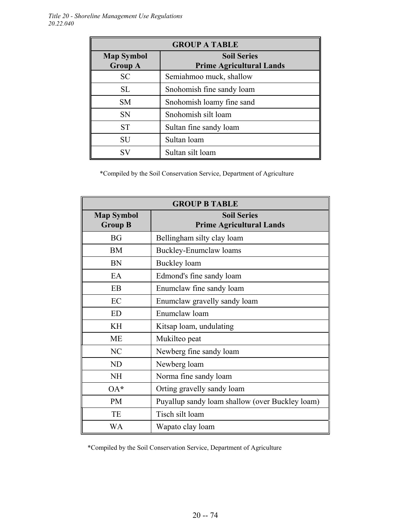| <b>GROUP A TABLE</b>                |                                                       |  |
|-------------------------------------|-------------------------------------------------------|--|
| <b>Map Symbol</b><br><b>Group A</b> | <b>Soil Series</b><br><b>Prime Agricultural Lands</b> |  |
| <b>SC</b>                           | Semiahmoo muck, shallow                               |  |
| <b>SL</b>                           | Snohomish fine sandy loam                             |  |
| <b>SM</b>                           | Snohomish loamy fine sand                             |  |
| <b>SN</b>                           | Snohomish silt loam                                   |  |
| <b>ST</b>                           | Sultan fine sandy loam                                |  |
| SU                                  | Sultan loam                                           |  |
| <b>SV</b>                           | Sultan silt loam                                      |  |

\*Compiled by the Soil Conservation Service, Department of Agriculture

| <b>GROUP B TABLE</b>                                                                         |                                                 |  |
|----------------------------------------------------------------------------------------------|-------------------------------------------------|--|
| <b>Soil Series</b><br><b>Map Symbol</b><br><b>Group B</b><br><b>Prime Agricultural Lands</b> |                                                 |  |
| <b>BG</b>                                                                                    | Bellingham silty clay loam                      |  |
| <b>BM</b>                                                                                    | <b>Buckley-Enumclaw loams</b>                   |  |
| BN                                                                                           | Buckley loam                                    |  |
| EA                                                                                           | Edmond's fine sandy loam                        |  |
| EB                                                                                           | Enumclaw fine sandy loam                        |  |
| EC                                                                                           | Enumclaw gravelly sandy loam                    |  |
| ED                                                                                           | Enumclaw loam                                   |  |
| KH                                                                                           | Kitsap loam, undulating                         |  |
| <b>ME</b>                                                                                    | Mukilteo peat                                   |  |
| NC                                                                                           | Newberg fine sandy loam                         |  |
| ND                                                                                           | Newberg loam                                    |  |
| <b>NH</b>                                                                                    | Norma fine sandy loam                           |  |
| $OA*$                                                                                        | Orting gravelly sandy loam                      |  |
| <b>PM</b>                                                                                    | Puyallup sandy loam shallow (over Buckley loam) |  |
| TE                                                                                           | Tisch silt loam                                 |  |
| WA                                                                                           | Wapato clay loam                                |  |

\*Compiled by the Soil Conservation Service, Department of Agriculture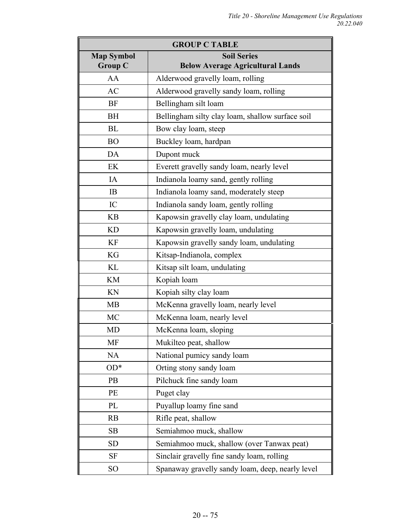| <b>GROUP C TABLE</b>                |                                                               |  |  |
|-------------------------------------|---------------------------------------------------------------|--|--|
| <b>Map Symbol</b><br><b>Group C</b> | <b>Soil Series</b><br><b>Below Average Agricultural Lands</b> |  |  |
| AA                                  | Alderwood gravelly loam, rolling                              |  |  |
| AC                                  | Alderwood gravelly sandy loam, rolling                        |  |  |
| <b>BF</b>                           | Bellingham silt loam                                          |  |  |
| <b>BH</b>                           | Bellingham silty clay loam, shallow surface soil              |  |  |
| <b>BL</b>                           | Bow clay loam, steep                                          |  |  |
| <b>BO</b>                           | Buckley loam, hardpan                                         |  |  |
| DA                                  | Dupont muck                                                   |  |  |
| EK                                  | Everett gravelly sandy loam, nearly level                     |  |  |
| IA                                  | Indianola loamy sand, gently rolling                          |  |  |
| <b>IB</b>                           | Indianola loamy sand, moderately steep                        |  |  |
| IC                                  | Indianola sandy loam, gently rolling                          |  |  |
| <b>KB</b>                           | Kapowsin gravelly clay loam, undulating                       |  |  |
| <b>KD</b>                           | Kapowsin gravelly loam, undulating                            |  |  |
| <b>KF</b>                           | Kapowsin gravelly sandy loam, undulating                      |  |  |
| <b>KG</b>                           | Kitsap-Indianola, complex                                     |  |  |
| KL                                  | Kitsap silt loam, undulating                                  |  |  |
| <b>KM</b>                           | Kopiah loam                                                   |  |  |
| KN                                  | Kopiah silty clay loam                                        |  |  |
| <b>MB</b>                           | McKenna gravelly loam, nearly level                           |  |  |
| <b>MC</b>                           | McKenna loam, nearly level                                    |  |  |
| <b>MD</b>                           | McKenna loam, sloping                                         |  |  |
| МF                                  | Mukilteo peat, shallow                                        |  |  |
| <b>NA</b>                           | National pumicy sandy loam                                    |  |  |
| $OD*$                               | Orting stony sandy loam                                       |  |  |
| <b>PB</b>                           | Pilchuck fine sandy loam                                      |  |  |
| PE                                  | Puget clay                                                    |  |  |
| PL                                  | Puyallup loamy fine sand                                      |  |  |
| <b>RB</b>                           | Rifle peat, shallow                                           |  |  |
| SB                                  | Semiahmoo muck, shallow                                       |  |  |
| <b>SD</b>                           | Semiahmoo muck, shallow (over Tanwax peat)                    |  |  |
| <b>SF</b>                           | Sinclair gravelly fine sandy loam, rolling                    |  |  |
| SO <sub>1</sub>                     | Spanaway gravelly sandy loam, deep, nearly level              |  |  |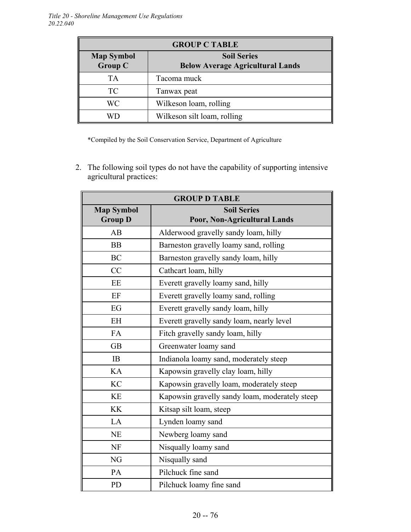| <b>GROUP C TABLE</b>                |                                                               |  |
|-------------------------------------|---------------------------------------------------------------|--|
| <b>Map Symbol</b><br><b>Group C</b> | <b>Soil Series</b><br><b>Below Average Agricultural Lands</b> |  |
| <b>TA</b>                           | Tacoma muck                                                   |  |
| <b>TC</b>                           | Tanwax peat                                                   |  |
| WC                                  | Wilkeson loam, rolling                                        |  |
|                                     | Wilkeson silt loam, rolling                                   |  |

\*Compiled by the Soil Conservation Service, Department of Agriculture

2. The following soil types do not have the capability of supporting intensive agricultural practices:

| <b>GROUP D TABLE</b>                |                                                    |  |  |
|-------------------------------------|----------------------------------------------------|--|--|
| <b>Map Symbol</b><br><b>Group D</b> | <b>Soil Series</b><br>Poor, Non-Agricultural Lands |  |  |
| AB                                  | Alderwood gravelly sandy loam, hilly               |  |  |
| <b>BB</b>                           | Barneston gravelly loamy sand, rolling             |  |  |
| <b>BC</b>                           | Barneston gravelly sandy loam, hilly               |  |  |
| CC                                  | Cathcart loam, hilly                               |  |  |
| EE                                  | Everett gravelly loamy sand, hilly                 |  |  |
| EF                                  | Everett gravelly loamy sand, rolling               |  |  |
| EG                                  | Everett gravelly sandy loam, hilly                 |  |  |
| <b>EH</b>                           | Everett gravelly sandy loam, nearly level          |  |  |
| <b>FA</b>                           | Fitch gravelly sandy loam, hilly                   |  |  |
| <b>GB</b>                           | Greenwater loamy sand                              |  |  |
| IB                                  | Indianola loamy sand, moderately steep             |  |  |
| KA                                  | Kapowsin gravelly clay loam, hilly                 |  |  |
| <b>KC</b>                           | Kapowsin gravelly loam, moderately steep           |  |  |
| <b>KE</b>                           | Kapowsin gravelly sandy loam, moderately steep     |  |  |
| <b>KK</b>                           | Kitsap silt loam, steep                            |  |  |
| LA                                  | Lynden loamy sand                                  |  |  |
| <b>NE</b>                           | Newberg loamy sand                                 |  |  |
| <b>NF</b>                           | Nisqually loamy sand                               |  |  |
| NG                                  | Nisqually sand                                     |  |  |
| PA                                  | Pilchuck fine sand                                 |  |  |
| PD                                  | Pilchuck loamy fine sand                           |  |  |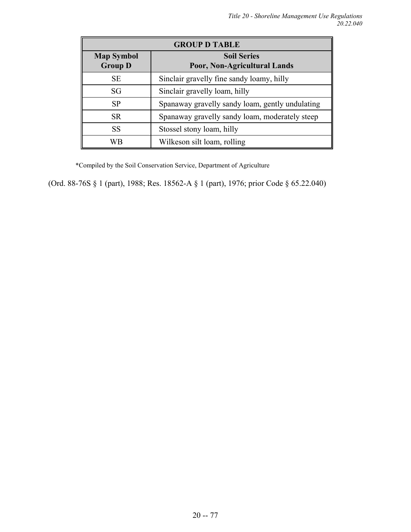| <b>GROUP D TABLE</b>                |                                                    |  |
|-------------------------------------|----------------------------------------------------|--|
| <b>Map Symbol</b><br><b>Group D</b> | <b>Soil Series</b><br>Poor, Non-Agricultural Lands |  |
| <b>SE</b>                           | Sinclair gravelly fine sandy loamy, hilly          |  |
| SG                                  | Sinclair gravelly loam, hilly                      |  |
| <b>SP</b>                           | Spanaway gravelly sandy loam, gently undulating    |  |
| <b>SR</b>                           | Spanaway gravelly sandy loam, moderately steep     |  |
| <b>SS</b>                           | Stossel stony loam, hilly                          |  |
| WВ                                  | Wilkeson silt loam, rolling                        |  |

\*Compiled by the Soil Conservation Service, Department of Agriculture

(Ord. 88-76S § 1 (part), 1988; Res. 18562-A § 1 (part), 1976; prior Code § 65.22.040)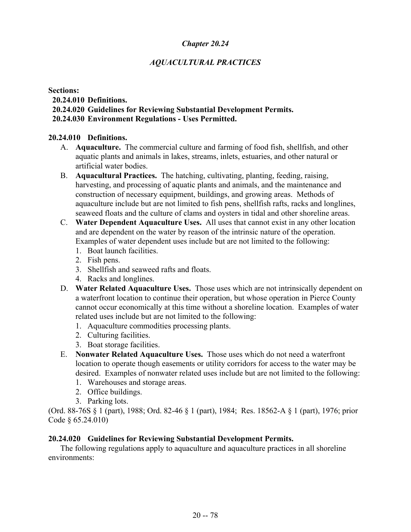# *AQUACULTURAL PRACTICES*

#### **Sections:**

### **20.24.010 Definitions.**

# **20.24.020 Guidelines for Reviewing Substantial Development Permits.**

## **20.24.030 Environment Regulations - Uses Permitted.**

### **20.24.010 Definitions.**

- A. **Aquaculture.** The commercial culture and farming of food fish, shellfish, and other aquatic plants and animals in lakes, streams, inlets, estuaries, and other natural or artificial water bodies.
- B. **Aquacultural Practices.** The hatching, cultivating, planting, feeding, raising, harvesting, and processing of aquatic plants and animals, and the maintenance and construction of necessary equipment, buildings, and growing areas. Methods of aquaculture include but are not limited to fish pens, shellfish rafts, racks and longlines, seaweed floats and the culture of clams and oysters in tidal and other shoreline areas.
- C. **Water Dependent Aquaculture Uses.** All uses that cannot exist in any other location and are dependent on the water by reason of the intrinsic nature of the operation. Examples of water dependent uses include but are not limited to the following:
	- 1. Boat launch facilities.
	- 2. Fish pens.
	- 3. Shellfish and seaweed rafts and floats.
	- 4. Racks and longlines.
- D. **Water Related Aquaculture Uses.** Those uses which are not intrinsically dependent on a waterfront location to continue their operation, but whose operation in Pierce County cannot occur economically at this time without a shoreline location. Examples of water related uses include but are not limited to the following:
	- 1. Aquaculture commodities processing plants.
	- 2. Culturing facilities.
	- 3. Boat storage facilities.
- E. **Nonwater Related Aquaculture Uses.** Those uses which do not need a waterfront location to operate though easements or utility corridors for access to the water may be desired. Examples of nonwater related uses include but are not limited to the following:
	- 1. Warehouses and storage areas.
	- 2. Office buildings.
	- 3. Parking lots.

(Ord. 88-76S § 1 (part), 1988; Ord. 82-46 § 1 (part), 1984; Res. 18562-A § 1 (part), 1976; prior Code § 65.24.010)

# **20.24.020 Guidelines for Reviewing Substantial Development Permits.**

The following regulations apply to aquaculture and aquaculture practices in all shoreline environments: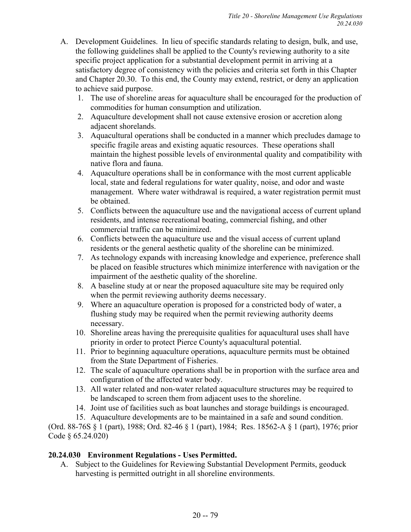- A. Development Guidelines. In lieu of specific standards relating to design, bulk, and use, the following guidelines shall be applied to the County's reviewing authority to a site specific project application for a substantial development permit in arriving at a satisfactory degree of consistency with the policies and criteria set forth in this Chapter and Chapter 20.30. To this end, the County may extend, restrict, or deny an application to achieve said purpose.
	- 1. The use of shoreline areas for aquaculture shall be encouraged for the production of commodities for human consumption and utilization.
	- 2. Aquaculture development shall not cause extensive erosion or accretion along adjacent shorelands.
	- 3. Aquacultural operations shall be conducted in a manner which precludes damage to specific fragile areas and existing aquatic resources. These operations shall maintain the highest possible levels of environmental quality and compatibility with native flora and fauna.
	- 4. Aquaculture operations shall be in conformance with the most current applicable local, state and federal regulations for water quality, noise, and odor and waste management. Where water withdrawal is required, a water registration permit must be obtained.
	- 5. Conflicts between the aquaculture use and the navigational access of current upland residents, and intense recreational boating, commercial fishing, and other commercial traffic can be minimized.
	- 6. Conflicts between the aquaculture use and the visual access of current upland residents or the general aesthetic quality of the shoreline can be minimized.
	- 7. As technology expands with increasing knowledge and experience, preference shall be placed on feasible structures which minimize interference with navigation or the impairment of the aesthetic quality of the shoreline.
	- 8. A baseline study at or near the proposed aquaculture site may be required only when the permit reviewing authority deems necessary.
	- 9. Where an aquaculture operation is proposed for a constricted body of water, a flushing study may be required when the permit reviewing authority deems necessary.
	- 10. Shoreline areas having the prerequisite qualities for aquacultural uses shall have priority in order to protect Pierce County's aquacultural potential.
	- 11. Prior to beginning aquaculture operations, aquaculture permits must be obtained from the State Department of Fisheries.
	- 12. The scale of aquaculture operations shall be in proportion with the surface area and configuration of the affected water body.
	- 13. All water related and non-water related aquaculture structures may be required to be landscaped to screen them from adjacent uses to the shoreline.
	- 14. Joint use of facilities such as boat launches and storage buildings is encouraged.
	- 15. Aquaculture developments are to be maintained in a safe and sound condition.

(Ord. 88-76S § 1 (part), 1988; Ord. 82-46 § 1 (part), 1984; Res. 18562-A § 1 (part), 1976; prior Code § 65.24.020)

# **20.24.030 Environment Regulations - Uses Permitted.**

A. Subject to the Guidelines for Reviewing Substantial Development Permits, geoduck harvesting is permitted outright in all shoreline environments.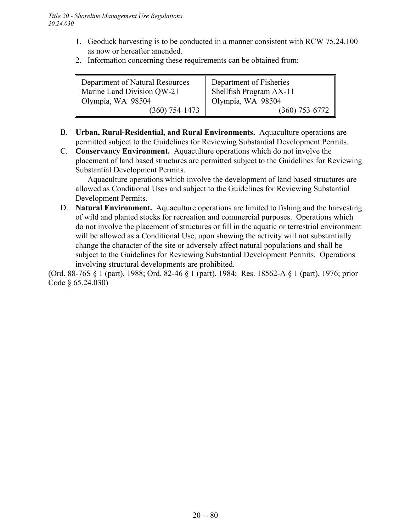- 1. Geoduck harvesting is to be conducted in a manner consistent with RCW 75.24.100 as now or hereafter amended.
- 2. Information concerning these requirements can be obtained from:

| Department of Natural Resources<br>Marine Land Division QW-21 | Department of Fisheries<br>Shellfish Program AX-11 |
|---------------------------------------------------------------|----------------------------------------------------|
| Olympia, WA 98504                                             | Olympia, WA 98504                                  |
| $(360)$ 754-1473                                              | $(360) 753 - 6772$                                 |

- B. **Urban, Rural-Residential, and Rural Environments.** Aquaculture operations are permitted subject to the Guidelines for Reviewing Substantial Development Permits.
- C. **Conservancy Environment.** Aquaculture operations which do not involve the placement of land based structures are permitted subject to the Guidelines for Reviewing Substantial Development Permits.

Aquaculture operations which involve the development of land based structures are allowed as Conditional Uses and subject to the Guidelines for Reviewing Substantial Development Permits.

D. **Natural Environment.** Aquaculture operations are limited to fishing and the harvesting of wild and planted stocks for recreation and commercial purposes. Operations which do not involve the placement of structures or fill in the aquatic or terrestrial environment will be allowed as a Conditional Use, upon showing the activity will not substantially change the character of the site or adversely affect natural populations and shall be subject to the Guidelines for Reviewing Substantial Development Permits. Operations involving structural developments are prohibited.

(Ord. 88-76S § 1 (part), 1988; Ord. 82-46 § 1 (part), 1984; Res. 18562-A § 1 (part), 1976; prior Code § 65.24.030)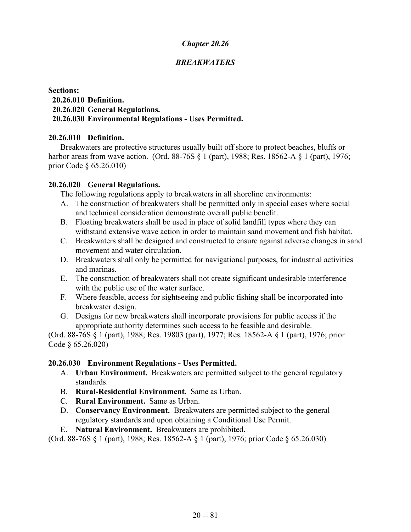# *BREAKWATERS*

### **Sections: 20.26.010 Definition. 20.26.020 General Regulations. 20.26.030 Environmental Regulations - Uses Permitted.**

### **20.26.010 Definition.**

Breakwaters are protective structures usually built off shore to protect beaches, bluffs or harbor areas from wave action. (Ord. 88-76S § 1 (part), 1988; Res. 18562-A § 1 (part), 1976; prior Code § 65.26.010)

### **20.26.020 General Regulations.**

The following regulations apply to breakwaters in all shoreline environments:

- A. The construction of breakwaters shall be permitted only in special cases where social and technical consideration demonstrate overall public benefit.
- B. Floating breakwaters shall be used in place of solid landfill types where they can withstand extensive wave action in order to maintain sand movement and fish habitat.
- C. Breakwaters shall be designed and constructed to ensure against adverse changes in sand movement and water circulation.
- D. Breakwaters shall only be permitted for navigational purposes, for industrial activities and marinas.
- E. The construction of breakwaters shall not create significant undesirable interference with the public use of the water surface.
- F. Where feasible, access for sightseeing and public fishing shall be incorporated into breakwater design.
- G. Designs for new breakwaters shall incorporate provisions for public access if the appropriate authority determines such access to be feasible and desirable.

(Ord. 88-76S § 1 (part), 1988; Res. 19803 (part), 1977; Res. 18562-A § 1 (part), 1976; prior Code § 65.26.020)

#### **20.26.030 Environment Regulations - Uses Permitted.**

- A. **Urban Environment.** Breakwaters are permitted subject to the general regulatory standards.
- B. **Rural-Residential Environment.** Same as Urban.
- C. **Rural Environment.** Same as Urban.
- D. **Conservancy Environment.** Breakwaters are permitted subject to the general regulatory standards and upon obtaining a Conditional Use Permit.
- E. **Natural Environment.** Breakwaters are prohibited.

(Ord. 88-76S § 1 (part), 1988; Res. 18562-A § 1 (part), 1976; prior Code § 65.26.030)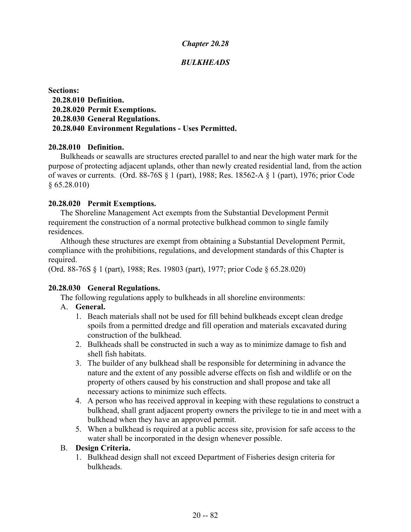# *BULKHEADS*

**Sections: 20.28.010 Definition. 20.28.020 Permit Exemptions. 20.28.030 General Regulations. 20.28.040 Environment Regulations - Uses Permitted.**

#### **20.28.010 Definition.**

Bulkheads or seawalls are structures erected parallel to and near the high water mark for the purpose of protecting adjacent uplands, other than newly created residential land, from the action of waves or currents. (Ord. 88-76S § 1 (part), 1988; Res. 18562-A § 1 (part), 1976; prior Code  $§ 65.28.010$ 

### **20.28.020 Permit Exemptions.**

The Shoreline Management Act exempts from the Substantial Development Permit requirement the construction of a normal protective bulkhead common to single family residences.

Although these structures are exempt from obtaining a Substantial Development Permit, compliance with the prohibitions, regulations, and development standards of this Chapter is required.

(Ord. 88-76S § 1 (part), 1988; Res. 19803 (part), 1977; prior Code § 65.28.020)

# **20.28.030 General Regulations.**

The following regulations apply to bulkheads in all shoreline environments:

# A. **General.**

- 1. Beach materials shall not be used for fill behind bulkheads except clean dredge spoils from a permitted dredge and fill operation and materials excavated during construction of the bulkhead.
- 2. Bulkheads shall be constructed in such a way as to minimize damage to fish and shell fish habitats.
- 3. The builder of any bulkhead shall be responsible for determining in advance the nature and the extent of any possible adverse effects on fish and wildlife or on the property of others caused by his construction and shall propose and take all necessary actions to minimize such effects.
- 4. A person who has received approval in keeping with these regulations to construct a bulkhead, shall grant adjacent property owners the privilege to tie in and meet with a bulkhead when they have an approved permit.
- 5. When a bulkhead is required at a public access site, provision for safe access to the water shall be incorporated in the design whenever possible.

### B. **Design Criteria.**

1. Bulkhead design shall not exceed Department of Fisheries design criteria for bulkheads.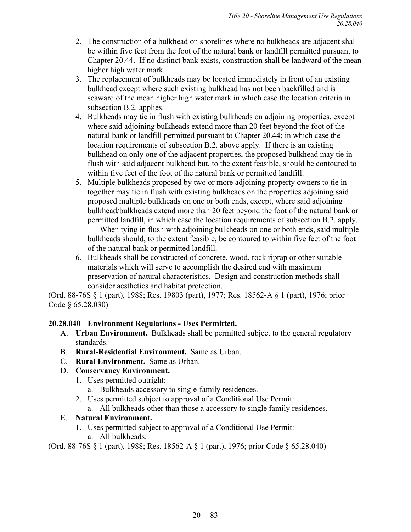- 2. The construction of a bulkhead on shorelines where no bulkheads are adjacent shall be within five feet from the foot of the natural bank or landfill permitted pursuant to Chapter 20.44. If no distinct bank exists, construction shall be landward of the mean higher high water mark.
- 3. The replacement of bulkheads may be located immediately in front of an existing bulkhead except where such existing bulkhead has not been backfilled and is seaward of the mean higher high water mark in which case the location criteria in subsection B.2. applies.
- 4. Bulkheads may tie in flush with existing bulkheads on adjoining properties, except where said adjoining bulkheads extend more than 20 feet beyond the foot of the natural bank or landfill permitted pursuant to Chapter 20.44; in which case the location requirements of subsection B.2. above apply. If there is an existing bulkhead on only one of the adjacent properties, the proposed bulkhead may tie in flush with said adjacent bulkhead but, to the extent feasible, should be contoured to within five feet of the foot of the natural bank or permitted landfill.
- 5. Multiple bulkheads proposed by two or more adjoining property owners to tie in together may tie in flush with existing bulkheads on the properties adjoining said proposed multiple bulkheads on one or both ends, except, where said adjoining bulkhead/bulkheads extend more than 20 feet beyond the foot of the natural bank or permitted landfill, in which case the location requirements of subsection B.2. apply.

When tying in flush with adjoining bulkheads on one or both ends, said multiple bulkheads should, to the extent feasible, be contoured to within five feet of the foot of the natural bank or permitted landfill.

6. Bulkheads shall be constructed of concrete, wood, rock riprap or other suitable materials which will serve to accomplish the desired end with maximum preservation of natural characteristics. Design and construction methods shall consider aesthetics and habitat protection.

(Ord. 88-76S § 1 (part), 1988; Res. 19803 (part), 1977; Res. 18562-A § 1 (part), 1976; prior Code § 65.28.030)

# **20.28.040 Environment Regulations - Uses Permitted.**

- A. **Urban Environment.** Bulkheads shall be permitted subject to the general regulatory standards.
- B. **Rural-Residential Environment.** Same as Urban.
- C. **Rural Environment.** Same as Urban.

# D. **Conservancy Environment.**

- 1. Uses permitted outright:
	- a. Bulkheads accessory to single-family residences.
- 2. Uses permitted subject to approval of a Conditional Use Permit:
- a. All bulkheads other than those a accessory to single family residences.

# E. **Natural Environment.**

- 1. Uses permitted subject to approval of a Conditional Use Permit:
	- a. All bulkheads.

(Ord. 88-76S § 1 (part), 1988; Res. 18562-A § 1 (part), 1976; prior Code § 65.28.040)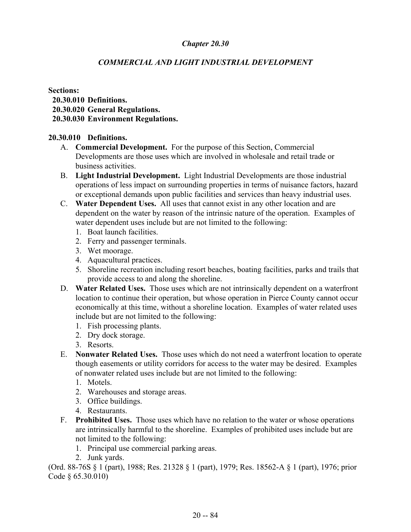# *COMMERCIAL AND LIGHT INDUSTRIAL DEVELOPMENT*

**Sections: 20.30.010 Definitions. 20.30.020 General Regulations. 20.30.030 Environment Regulations.**

#### **20.30.010 Definitions.**

- A. **Commercial Development.** For the purpose of this Section, Commercial Developments are those uses which are involved in wholesale and retail trade or business activities.
- B. **Light Industrial Development.** Light Industrial Developments are those industrial operations of less impact on surrounding properties in terms of nuisance factors, hazard or exceptional demands upon public facilities and services than heavy industrial uses.
- C. **Water Dependent Uses.** All uses that cannot exist in any other location and are dependent on the water by reason of the intrinsic nature of the operation. Examples of water dependent uses include but are not limited to the following:
	- 1. Boat launch facilities.
	- 2. Ferry and passenger terminals.
	- 3. Wet moorage.
	- 4. Aquacultural practices.
	- 5. Shoreline recreation including resort beaches, boating facilities, parks and trails that provide access to and along the shoreline.
- D. **Water Related Uses.** Those uses which are not intrinsically dependent on a waterfront location to continue their operation, but whose operation in Pierce County cannot occur economically at this time, without a shoreline location. Examples of water related uses include but are not limited to the following:
	- 1. Fish processing plants.
	- 2. Dry dock storage.
	- 3. Resorts.
- E. **Nonwater Related Uses.** Those uses which do not need a waterfront location to operate though easements or utility corridors for access to the water may be desired. Examples of nonwater related uses include but are not limited to the following:
	- 1. Motels.
	- 2. Warehouses and storage areas.
	- 3. Office buildings.
	- 4. Restaurants.
- F. **Prohibited Uses.** Those uses which have no relation to the water or whose operations are intrinsically harmful to the shoreline. Examples of prohibited uses include but are not limited to the following:
	- 1. Principal use commercial parking areas.
	- 2. Junk yards.

(Ord. 88-76S § 1 (part), 1988; Res. 21328 § 1 (part), 1979; Res. 18562-A § 1 (part), 1976; prior Code § 65.30.010)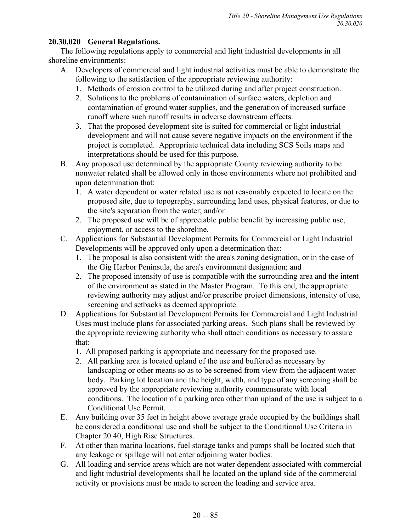# **20.30.020 General Regulations.**

The following regulations apply to commercial and light industrial developments in all shoreline environments:

- A. Developers of commercial and light industrial activities must be able to demonstrate the following to the satisfaction of the appropriate reviewing authority:
	- 1. Methods of erosion control to be utilized during and after project construction.
	- 2. Solutions to the problems of contamination of surface waters, depletion and contamination of ground water supplies, and the generation of increased surface runoff where such runoff results in adverse downstream effects.
	- 3. That the proposed development site is suited for commercial or light industrial development and will not cause severe negative impacts on the environment if the project is completed. Appropriate technical data including SCS Soils maps and interpretations should be used for this purpose.
- B. Any proposed use determined by the appropriate County reviewing authority to be nonwater related shall be allowed only in those environments where not prohibited and upon determination that:
	- 1. A water dependent or water related use is not reasonably expected to locate on the proposed site, due to topography, surrounding land uses, physical features, or due to the site's separation from the water; and/or
	- 2. The proposed use will be of appreciable public benefit by increasing public use, enjoyment, or access to the shoreline.
- C. Applications for Substantial Development Permits for Commercial or Light Industrial Developments will be approved only upon a determination that:
	- 1. The proposal is also consistent with the area's zoning designation, or in the case of the Gig Harbor Peninsula, the area's environment designation; and
	- 2. The proposed intensity of use is compatible with the surrounding area and the intent of the environment as stated in the Master Program. To this end, the appropriate reviewing authority may adjust and/or prescribe project dimensions, intensity of use, screening and setbacks as deemed appropriate.
- D. Applications for Substantial Development Permits for Commercial and Light Industrial Uses must include plans for associated parking areas. Such plans shall be reviewed by the appropriate reviewing authority who shall attach conditions as necessary to assure that:
	- 1. All proposed parking is appropriate and necessary for the proposed use.
	- 2. All parking area is located upland of the use and buffered as necessary by landscaping or other means so as to be screened from view from the adjacent water body. Parking lot location and the height, width, and type of any screening shall be approved by the appropriate reviewing authority commensurate with local conditions. The location of a parking area other than upland of the use is subject to a Conditional Use Permit.
- E. Any building over 35 feet in height above average grade occupied by the buildings shall be considered a conditional use and shall be subject to the Conditional Use Criteria in Chapter 20.40, High Rise Structures.
- F. At other than marina locations, fuel storage tanks and pumps shall be located such that any leakage or spillage will not enter adjoining water bodies.
- G. All loading and service areas which are not water dependent associated with commercial and light industrial developments shall be located on the upland side of the commercial activity or provisions must be made to screen the loading and service area.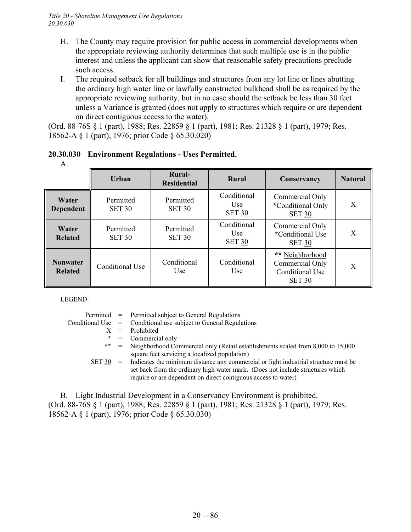- H. The County may require provision for public access in commercial developments when the appropriate reviewing authority determines that such multiple use is in the public interest and unless the applicant can show that reasonable safety precautions preclude such access.
- I. The required setback for all buildings and structures from any lot line or lines abutting the ordinary high water line or lawfully constructed bulkhead shall be as required by the appropriate reviewing authority, but in no case should the setback be less than 30 feet unless a Variance is granted (does not apply to structures which require or are dependent on direct contiguous access to the water).

(Ord. 88-76S § 1 (part), 1988; Res. 22859 § 1 (part), 1981; Res. 21328 § 1 (part), 1979; Res. 18562-A § 1 (part), 1976; prior Code § 65.30.020)

| A.                                |                            |                                     |                                                 |                                                                               |                |
|-----------------------------------|----------------------------|-------------------------------------|-------------------------------------------------|-------------------------------------------------------------------------------|----------------|
|                                   | <b>Urban</b>               | <b>Rural-</b><br><b>Residential</b> | Rural                                           | Conservancy                                                                   | <b>Natural</b> |
| Water<br>Dependent                | Permitted<br><b>SET 30</b> | Permitted<br><b>SET 30</b>          | Conditional<br>U <sub>se</sub><br><b>SET 30</b> | Commercial Only<br>*Conditional Only<br><b>SET 30</b>                         | X              |
| Water<br><b>Related</b>           | Permitted<br><b>SET 30</b> | Permitted<br><b>SET 30</b>          | Conditional<br>Use<br><b>SET 30</b>             | Commercial Only<br>*Conditional Use<br><b>SET 30</b>                          | X              |
| <b>Nonwater</b><br><b>Related</b> | Conditional Use            | Conditional<br>Use                  | Conditional<br>Use                              | ** Neighborhood<br>Commercial Only<br><b>Conditional Use</b><br><b>SET 30</b> | X              |

# **20.30.030 Environment Regulations - Uses Permitted.**

LEGEND:

|        | Permitted = Permitted subject to General Regulations                                                                                                                                                                                      |
|--------|-------------------------------------------------------------------------------------------------------------------------------------------------------------------------------------------------------------------------------------------|
|        | Conditional Use $=$ Conditional use subject to General Regulations                                                                                                                                                                        |
|        | $X =$ Prohibited                                                                                                                                                                                                                          |
|        | $* =$ Commercial only                                                                                                                                                                                                                     |
|        | ** = Neighborhood Commercial only (Retail establishments scaled from 8,000 to 15,000                                                                                                                                                      |
|        | square feet servicing a localized population)                                                                                                                                                                                             |
| SET 30 | = Indicates the minimum distance any commercial or light industrial structure must be<br>set back from the ordinary high water mark. (Does not include structures which<br>require or are dependent on direct contiguous access to water) |

B. Light Industrial Development in a Conservancy Environment is prohibited. (Ord. 88-76S § 1 (part), 1988; Res. 22859 § 1 (part), 1981; Res. 21328 § 1 (part), 1979; Res. 18562-A § 1 (part), 1976; prior Code § 65.30.030)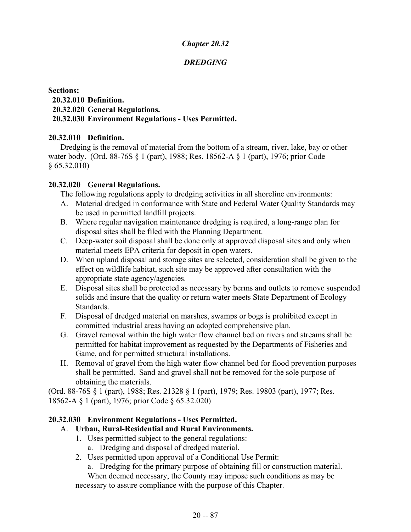# *DREDGING*

### **Sections: 20.32.010 Definition. 20.32.020 General Regulations. 20.32.030 Environment Regulations - Uses Permitted.**

### **20.32.010 Definition.**

Dredging is the removal of material from the bottom of a stream, river, lake, bay or other water body. (Ord. 88-76S § 1 (part), 1988; Res. 18562-A § 1 (part), 1976; prior Code § 65.32.010)

### **20.32.020 General Regulations.**

The following regulations apply to dredging activities in all shoreline environments:

- A. Material dredged in conformance with State and Federal Water Quality Standards may be used in permitted landfill projects.
- B. Where regular navigation maintenance dredging is required, a long-range plan for disposal sites shall be filed with the Planning Department.
- C. Deep-water soil disposal shall be done only at approved disposal sites and only when material meets EPA criteria for deposit in open waters.
- D. When upland disposal and storage sites are selected, consideration shall be given to the effect on wildlife habitat, such site may be approved after consultation with the appropriate state agency/agencies.
- E. Disposal sites shall be protected as necessary by berms and outlets to remove suspended solids and insure that the quality or return water meets State Department of Ecology Standards.
- F. Disposal of dredged material on marshes, swamps or bogs is prohibited except in committed industrial areas having an adopted comprehensive plan.
- G. Gravel removal within the high water flow channel bed on rivers and streams shall be permitted for habitat improvement as requested by the Departments of Fisheries and Game, and for permitted structural installations.
- H. Removal of gravel from the high water flow channel bed for flood prevention purposes shall be permitted. Sand and gravel shall not be removed for the sole purpose of obtaining the materials.

(Ord. 88-76S § 1 (part), 1988; Res. 21328 § 1 (part), 1979; Res. 19803 (part), 1977; Res. 18562-A § 1 (part), 1976; prior Code § 65.32.020)

# **20.32.030 Environment Regulations - Uses Permitted.**

# A. **Urban, Rural-Residential and Rural Environments.**

- 1. Uses permitted subject to the general regulations:
	- a. Dredging and disposal of dredged material.
- 2. Uses permitted upon approval of a Conditional Use Permit:

a. Dredging for the primary purpose of obtaining fill or construction material.

When deemed necessary, the County may impose such conditions as may be necessary to assure compliance with the purpose of this Chapter.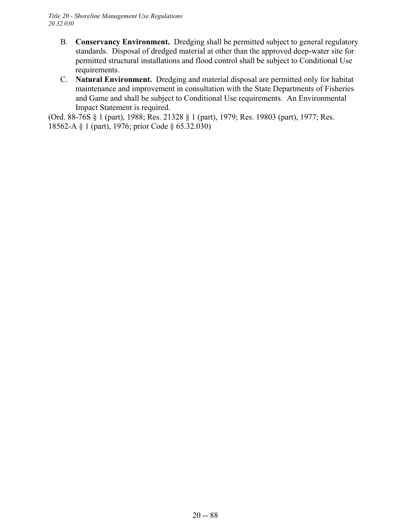- B. **Conservancy Environment.** Dredging shall be permitted subject to general regulatory standards. Disposal of dredged material at other than the approved deep-water site for permitted structural installations and flood control shall be subject to Conditional Use requirements.
- C. **Natural Environment.** Dredging and material disposal are permitted only for habitat maintenance and improvement in consultation with the State Departments of Fisheries and Game and shall be subject to Conditional Use requirements. An Environmental Impact Statement is required.

(Ord. 88-76S § 1 (part), 1988; Res. 21328 § 1 (part), 1979; Res. 19803 (part), 1977; Res. 18562-A § 1 (part), 1976; prior Code § 65.32.030)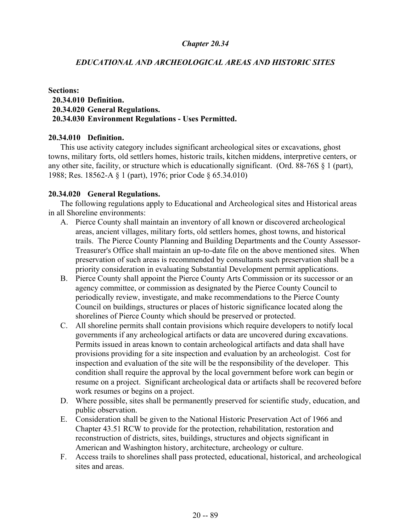### *EDUCATIONAL AND ARCHEOLOGICAL AREAS AND HISTORIC SITES*

#### **Sections: 20.34.010 Definition. 20.34.020 General Regulations. 20.34.030 Environment Regulations - Uses Permitted.**

#### **20.34.010 Definition.**

This use activity category includes significant archeological sites or excavations, ghost towns, military forts, old settlers homes, historic trails, kitchen middens, interpretive centers, or any other site, facility, or structure which is educationally significant. (Ord. 88-76S § 1 (part), 1988; Res. 18562-A § 1 (part), 1976; prior Code § 65.34.010)

#### **20.34.020 General Regulations.**

The following regulations apply to Educational and Archeological sites and Historical areas in all Shoreline environments:

- A. Pierce County shall maintain an inventory of all known or discovered archeological areas, ancient villages, military forts, old settlers homes, ghost towns, and historical trails. The Pierce County Planning and Building Departments and the County Assessor-Treasurer's Office shall maintain an up-to-date file on the above mentioned sites. When preservation of such areas is recommended by consultants such preservation shall be a priority consideration in evaluating Substantial Development permit applications.
- B. Pierce County shall appoint the Pierce County Arts Commission or its successor or an agency committee, or commission as designated by the Pierce County Council to periodically review, investigate, and make recommendations to the Pierce County Council on buildings, structures or places of historic significance located along the shorelines of Pierce County which should be preserved or protected.
- C. All shoreline permits shall contain provisions which require developers to notify local governments if any archeological artifacts or data are uncovered during excavations. Permits issued in areas known to contain archeological artifacts and data shall have provisions providing for a site inspection and evaluation by an archeologist. Cost for inspection and evaluation of the site will be the responsibility of the developer. This condition shall require the approval by the local government before work can begin or resume on a project. Significant archeological data or artifacts shall be recovered before work resumes or begins on a project.
- D. Where possible, sites shall be permanently preserved for scientific study, education, and public observation.
- E. Consideration shall be given to the National Historic Preservation Act of 1966 and Chapter 43.51 RCW to provide for the protection, rehabilitation, restoration and reconstruction of districts, sites, buildings, structures and objects significant in American and Washington history, architecture, archeology or culture.
- F. Access trails to shorelines shall pass protected, educational, historical, and archeological sites and areas.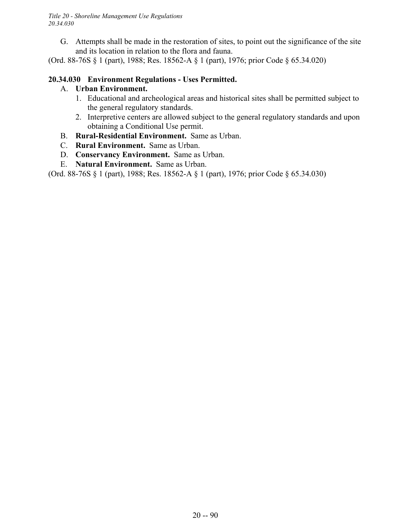*Title 20 - Shoreline Management Use Regulations 20.34.030*

G. Attempts shall be made in the restoration of sites, to point out the significance of the site and its location in relation to the flora and fauna.

(Ord. 88-76S § 1 (part), 1988; Res. 18562-A § 1 (part), 1976; prior Code § 65.34.020)

## **20.34.030 Environment Regulations - Uses Permitted.**

## A. **Urban Environment.**

- 1. Educational and archeological areas and historical sites shall be permitted subject to the general regulatory standards.
- 2. Interpretive centers are allowed subject to the general regulatory standards and upon obtaining a Conditional Use permit.
- B. **Rural-Residential Environment.** Same as Urban.
- C. **Rural Environment.** Same as Urban.
- D. **Conservancy Environment.** Same as Urban.
- E. **Natural Environment.** Same as Urban.

(Ord. 88-76S § 1 (part), 1988; Res. 18562-A § 1 (part), 1976; prior Code § 65.34.030)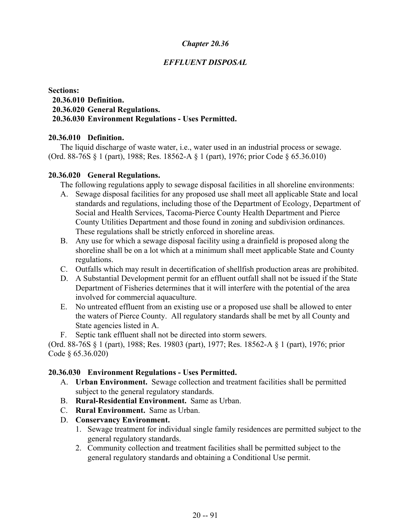# *EFFLUENT DISPOSAL*

### **Sections: 20.36.010 Definition. 20.36.020 General Regulations. 20.36.030 Environment Regulations - Uses Permitted.**

### **20.36.010 Definition.**

The liquid discharge of waste water, i.e., water used in an industrial process or sewage. (Ord. 88-76S § 1 (part), 1988; Res. 18562-A § 1 (part), 1976; prior Code § 65.36.010)

#### **20.36.020 General Regulations.**

The following regulations apply to sewage disposal facilities in all shoreline environments:

- A. Sewage disposal facilities for any proposed use shall meet all applicable State and local standards and regulations, including those of the Department of Ecology, Department of Social and Health Services, Tacoma-Pierce County Health Department and Pierce County Utilities Department and those found in zoning and subdivision ordinances. These regulations shall be strictly enforced in shoreline areas.
- B. Any use for which a sewage disposal facility using a drainfield is proposed along the shoreline shall be on a lot which at a minimum shall meet applicable State and County regulations.
- C. Outfalls which may result in decertification of shellfish production areas are prohibited.
- D. A Substantial Development permit for an effluent outfall shall not be issued if the State Department of Fisheries determines that it will interfere with the potential of the area involved for commercial aquaculture.
- E. No untreated effluent from an existing use or a proposed use shall be allowed to enter the waters of Pierce County. All regulatory standards shall be met by all County and State agencies listed in A.
- F. Septic tank effluent shall not be directed into storm sewers.

(Ord. 88-76S § 1 (part), 1988; Res. 19803 (part), 1977; Res. 18562-A § 1 (part), 1976; prior Code § 65.36.020)

#### **20.36.030 Environment Regulations - Uses Permitted.**

- A. **Urban Environment.** Sewage collection and treatment facilities shall be permitted subject to the general regulatory standards.
- B. **Rural-Residential Environment.** Same as Urban.
- C. **Rural Environment.** Same as Urban.
- D. **Conservancy Environment.**
	- 1. Sewage treatment for individual single family residences are permitted subject to the general regulatory standards.
	- 2. Community collection and treatment facilities shall be permitted subject to the general regulatory standards and obtaining a Conditional Use permit.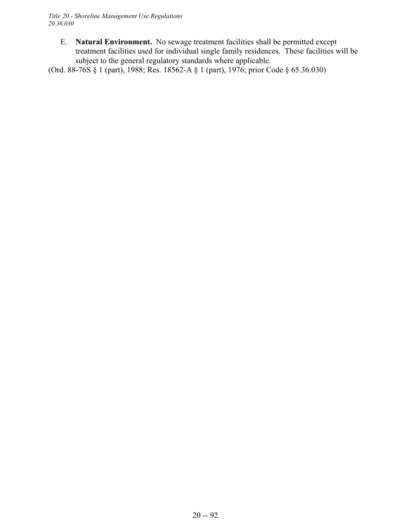E. **Natural Environment.** No sewage treatment facilities shall be permitted except treatment facilities used for individual single family residences. These facilities will be subject to the general regulatory standards where applicable.

(Ord. 88-76S § 1 (part), 1988; Res. 18562-A § 1 (part), 1976; prior Code § 65.36.030)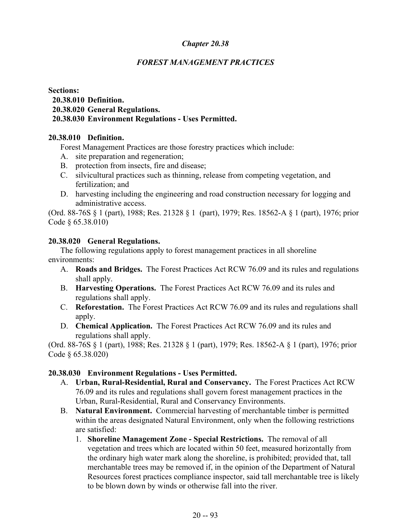# *FOREST MANAGEMENT PRACTICES*

### **Sections: 20.38.010 Definition. 20.38.020 General Regulations. 20.38.030 Environment Regulations - Uses Permitted.**

### **20.38.010 Definition.**

Forest Management Practices are those forestry practices which include:

- A. site preparation and regeneration;
- B. protection from insects, fire and disease;
- C. silvicultural practices such as thinning, release from competing vegetation, and fertilization; and
- D. harvesting including the engineering and road construction necessary for logging and administrative access.

(Ord. 88-76S § 1 (part), 1988; Res. 21328 § 1 (part), 1979; Res. 18562-A § 1 (part), 1976; prior Code § 65.38.010)

### **20.38.020 General Regulations.**

The following regulations apply to forest management practices in all shoreline environments:

- A. **Roads and Bridges.** The Forest Practices Act RCW 76.09 and its rules and regulations shall apply.
- B. **Harvesting Operations.** The Forest Practices Act RCW 76.09 and its rules and regulations shall apply.
- C. **Reforestation.** The Forest Practices Act RCW 76.09 and its rules and regulations shall apply.
- D. **Chemical Application.** The Forest Practices Act RCW 76.09 and its rules and regulations shall apply.

(Ord. 88-76S § 1 (part), 1988; Res. 21328 § 1 (part), 1979; Res. 18562-A § 1 (part), 1976; prior Code § 65.38.020)

# **20.38.030 Environment Regulations - Uses Permitted.**

- A. **Urban, Rural-Residential, Rural and Conservancy.** The Forest Practices Act RCW 76.09 and its rules and regulations shall govern forest management practices in the Urban, Rural-Residential, Rural and Conservancy Environments.
- B. **Natural Environment.** Commercial harvesting of merchantable timber is permitted within the areas designated Natural Environment, only when the following restrictions are satisfied:
	- 1. **Shoreline Management Zone Special Restrictions.** The removal of all vegetation and trees which are located within 50 feet, measured horizontally from the ordinary high water mark along the shoreline, is prohibited; provided that, tall merchantable trees may be removed if, in the opinion of the Department of Natural Resources forest practices compliance inspector, said tall merchantable tree is likely to be blown down by winds or otherwise fall into the river.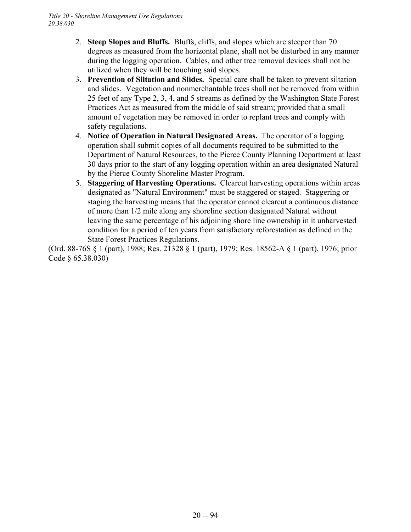- 2. **Steep Slopes and Bluffs.** Bluffs, cliffs, and slopes which are steeper than 70 degrees as measured from the horizontal plane, shall not be disturbed in any manner during the logging operation. Cables, and other tree removal devices shall not be utilized when they will be touching said slopes.
- 3. **Prevention of Siltation and Slides.** Special care shall be taken to prevent siltation and slides. Vegetation and nonmerchantable trees shall not be removed from within 25 feet of any Type 2, 3, 4, and 5 streams as defined by the Washington State Forest Practices Act as measured from the middle of said stream; provided that a small amount of vegetation may be removed in order to replant trees and comply with safety regulations.
- 4. **Notice of Operation in Natural Designated Areas.** The operator of a logging operation shall submit copies of all documents required to be submitted to the Department of Natural Resources, to the Pierce County Planning Department at least 30 days prior to the start of any logging operation within an area designated Natural by the Pierce County Shoreline Master Program.
- 5. **Staggering of Harvesting Operations.** Clearcut harvesting operations within areas designated as "Natural Environment" must be staggered or staged. Staggering or staging the harvesting means that the operator cannot clearcut a continuous distance of more than 1/2 mile along any shoreline section designated Natural without leaving the same percentage of his adjoining shore line ownership in it unharvested condition for a period of ten years from satisfactory reforestation as defined in the State Forest Practices Regulations.

(Ord. 88-76S § 1 (part), 1988; Res. 21328 § 1 (part), 1979; Res. 18562-A § 1 (part), 1976; prior Code § 65.38.030)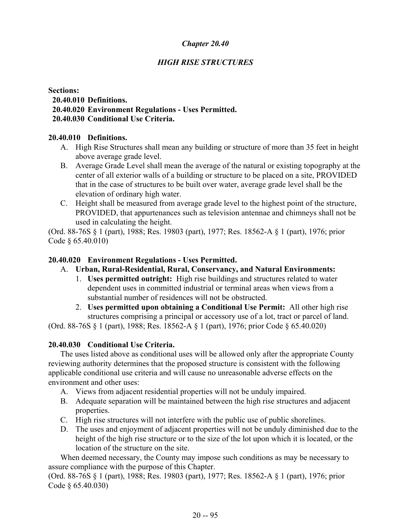# *HIGH RISE STRUCTURES*

### **Sections: 20.40.010 Definitions. 20.40.020 Environment Regulations - Uses Permitted. 20.40.030 Conditional Use Criteria.**

#### **20.40.010 Definitions.**

- A. High Rise Structures shall mean any building or structure of more than 35 feet in height above average grade level.
- B. Average Grade Level shall mean the average of the natural or existing topography at the center of all exterior walls of a building or structure to be placed on a site, PROVIDED that in the case of structures to be built over water, average grade level shall be the elevation of ordinary high water.
- C. Height shall be measured from average grade level to the highest point of the structure, PROVIDED, that appurtenances such as television antennae and chimneys shall not be used in calculating the height.

(Ord. 88-76S § 1 (part), 1988; Res. 19803 (part), 1977; Res. 18562-A § 1 (part), 1976; prior Code § 65.40.010)

### **20.40.020 Environment Regulations - Uses Permitted.**

# A. **Urban, Rural-Residential, Rural, Conservancy, and Natural Environments:**

- 1. **Uses permitted outright:** High rise buildings and structures related to water dependent uses in committed industrial or terminal areas when views from a substantial number of residences will not be obstructed.
- 2. **Uses permitted upon obtaining a Conditional Use Permit:** All other high rise structures comprising a principal or accessory use of a lot, tract or parcel of land.

(Ord. 88-76S § 1 (part), 1988; Res. 18562-A § 1 (part), 1976; prior Code § 65.40.020)

# **20.40.030 Conditional Use Criteria.**

The uses listed above as conditional uses will be allowed only after the appropriate County reviewing authority determines that the proposed structure is consistent with the following applicable conditional use criteria and will cause no unreasonable adverse effects on the environment and other uses:

- A. Views from adjacent residential properties will not be unduly impaired.
- B. Adequate separation will be maintained between the high rise structures and adjacent properties.
- C. High rise structures will not interfere with the public use of public shorelines.
- D. The uses and enjoyment of adjacent properties will not be unduly diminished due to the height of the high rise structure or to the size of the lot upon which it is located, or the location of the structure on the site.

When deemed necessary, the County may impose such conditions as may be necessary to assure compliance with the purpose of this Chapter.

(Ord. 88-76S § 1 (part), 1988; Res. 19803 (part), 1977; Res. 18562-A § 1 (part), 1976; prior Code § 65.40.030)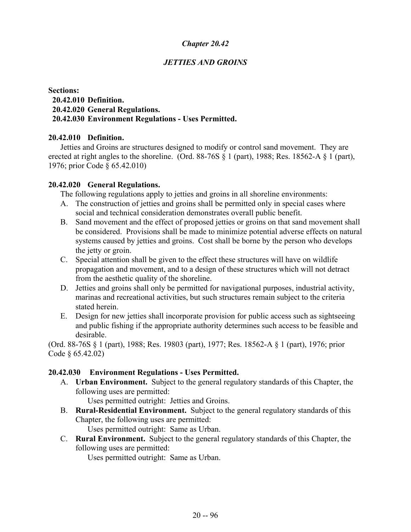## *JETTIES AND GROINS*

### **Sections: 20.42.010 Definition. 20.42.020 General Regulations. 20.42.030 Environment Regulations - Uses Permitted.**

### **20.42.010 Definition.**

Jetties and Groins are structures designed to modify or control sand movement. They are erected at right angles to the shoreline. (Ord. 88-76S  $\S$  1 (part), 1988; Res. 18562-A  $\S$  1 (part), 1976; prior Code § 65.42.010)

#### **20.42.020 General Regulations.**

The following regulations apply to jetties and groins in all shoreline environments:

- A. The construction of jetties and groins shall be permitted only in special cases where social and technical consideration demonstrates overall public benefit.
- B. Sand movement and the effect of proposed jetties or groins on that sand movement shall be considered. Provisions shall be made to minimize potential adverse effects on natural systems caused by jetties and groins. Cost shall be borne by the person who develops the jetty or groin.
- C. Special attention shall be given to the effect these structures will have on wildlife propagation and movement, and to a design of these structures which will not detract from the aesthetic quality of the shoreline.
- D. Jetties and groins shall only be permitted for navigational purposes, industrial activity, marinas and recreational activities, but such structures remain subject to the criteria stated herein.
- E. Design for new jetties shall incorporate provision for public access such as sightseeing and public fishing if the appropriate authority determines such access to be feasible and desirable.

(Ord. 88-76S § 1 (part), 1988; Res. 19803 (part), 1977; Res. 18562-A § 1 (part), 1976; prior Code § 65.42.02)

#### **20.42.030 Environment Regulations - Uses Permitted.**

A. **Urban Environment.** Subject to the general regulatory standards of this Chapter, the following uses are permitted:

Uses permitted outright: Jetties and Groins.

B. **Rural-Residential Environment.** Subject to the general regulatory standards of this Chapter, the following uses are permitted:

Uses permitted outright: Same as Urban.

C. **Rural Environment.** Subject to the general regulatory standards of this Chapter, the following uses are permitted:

Uses permitted outright: Same as Urban.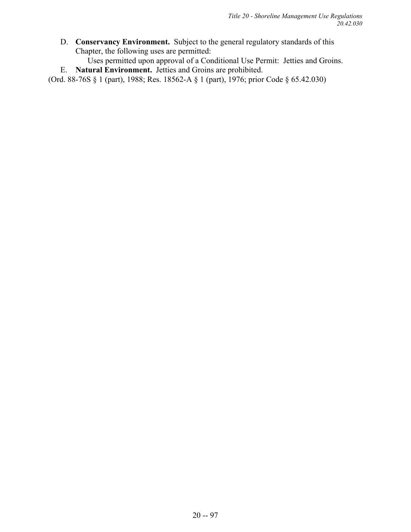D. **Conservancy Environment.** Subject to the general regulatory standards of this Chapter, the following uses are permitted:

Uses permitted upon approval of a Conditional Use Permit: Jetties and Groins.

E. **Natural Environment.** Jetties and Groins are prohibited.

(Ord. 88-76S § 1 (part), 1988; Res. 18562-A § 1 (part), 1976; prior Code § 65.42.030)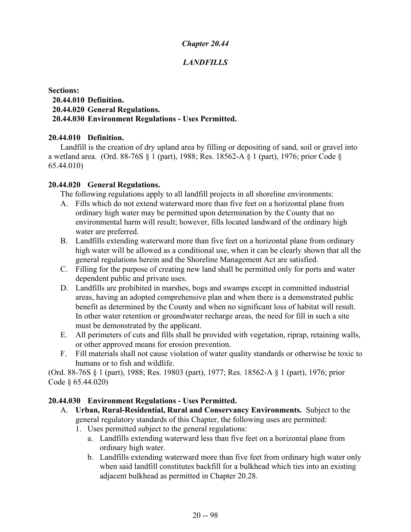# *LANDFILLS*

### **Sections: 20.44.010 Definition. 20.44.020 General Regulations. 20.44.030 Environment Regulations - Uses Permitted.**

### **20.44.010 Definition.**

Landfill is the creation of dry upland area by filling or depositing of sand, soil or gravel into a wetland area. (Ord. 88-76S § 1 (part), 1988; Res. 18562-A § 1 (part), 1976; prior Code § 65.44.010)

### **20.44.020 General Regulations.**

The following regulations apply to all landfill projects in all shoreline environments:

- A. Fills which do not extend waterward more than five feet on a horizontal plane from ordinary high water may be permitted upon determination by the County that no environmental harm will result; however, fills located landward of the ordinary high water are preferred.
- B. Landfills extending waterward more than five feet on a horizontal plane from ordinary high water will be allowed as a conditional use, when it can be clearly shown that all the general regulations herein and the Shoreline Management Act are satisfied.
- C. Filling for the purpose of creating new land shall be permitted only for ports and water dependent public and private uses.
- D. Landfills are prohibited in marshes, bogs and swamps except in committed industrial areas, having an adopted comprehensive plan and when there is a demonstrated public benefit as determined by the County and when no significant loss of habitat will result. In other water retention or groundwater recharge areas, the need for fill in such a site must be demonstrated by the applicant.
- E. All perimeters of cuts and fills shall be provided with vegetation, riprap, retaining walls, or other approved means for erosion prevention.
- F. Fill materials shall not cause violation of water quality standards or otherwise be toxic to humans or to fish and wildlife.

(Ord. 88-76S § 1 (part), 1988; Res. 19803 (part), 1977; Res. 18562-A § 1 (part), 1976; prior Code § 65.44.020)

# **20.44.030 Environment Regulations - Uses Permitted.**

- A. **Urban, Rural-Residential, Rural and Conservancy Environments.** Subject to the general regulatory standards of this Chapter, the following uses are permitted:
	- 1. Uses permitted subject to the general regulations:
		- a. Landfills extending waterward less than five feet on a horizontal plane from ordinary high water.
		- b. Landfills extending waterward more than five feet from ordinary high water only when said landfill constitutes backfill for a bulkhead which ties into an existing adjacent bulkhead as permitted in Chapter 20.28.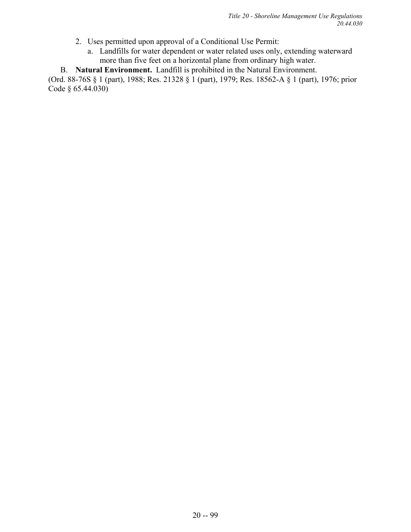- 2. Uses permitted upon approval of a Conditional Use Permit:
	- a. Landfills for water dependent or water related uses only, extending waterward more than five feet on a horizontal plane from ordinary high water.
- B. **Natural Environment.** Landfill is prohibited in the Natural Environment.

(Ord. 88-76S § 1 (part), 1988; Res. 21328 § 1 (part), 1979; Res. 18562-A § 1 (part), 1976; prior Code § 65.44.030)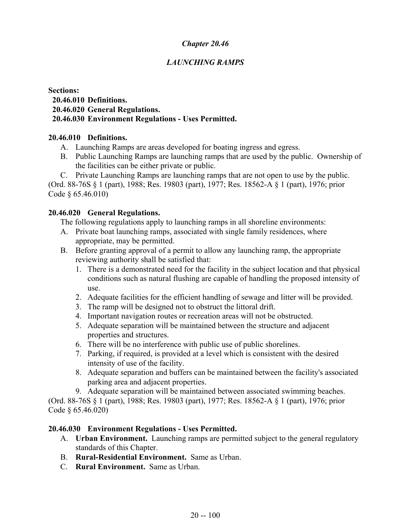# *LAUNCHING RAMPS*

#### **Sections: 20.46.010 Definitions. 20.46.020 General Regulations. 20.46.030 Environment Regulations - Uses Permitted.**

#### **20.46.010 Definitions.**

- A. Launching Ramps are areas developed for boating ingress and egress.
- B. Public Launching Ramps are launching ramps that are used by the public. Ownership of the facilities can be either private or public.
- C. Private Launching Ramps are launching ramps that are not open to use by the public.

(Ord. 88-76S § 1 (part), 1988; Res. 19803 (part), 1977; Res. 18562-A § 1 (part), 1976; prior Code § 65.46.010)

#### **20.46.020 General Regulations.**

The following regulations apply to launching ramps in all shoreline environments:

- A. Private boat launching ramps, associated with single family residences, where appropriate, may be permitted.
- B. Before granting approval of a permit to allow any launching ramp, the appropriate reviewing authority shall be satisfied that:
	- 1. There is a demonstrated need for the facility in the subject location and that physical conditions such as natural flushing are capable of handling the proposed intensity of use.
	- 2. Adequate facilities for the efficient handling of sewage and litter will be provided.
	- 3. The ramp will be designed not to obstruct the littoral drift.
	- 4. Important navigation routes or recreation areas will not be obstructed.
	- 5. Adequate separation will be maintained between the structure and adjacent properties and structures.
	- 6. There will be no interference with public use of public shorelines.
	- 7. Parking, if required, is provided at a level which is consistent with the desired intensity of use of the facility.
	- 8. Adequate separation and buffers can be maintained between the facility's associated parking area and adjacent properties.
	- 9. Adequate separation will be maintained between associated swimming beaches.

(Ord. 88-76S § 1 (part), 1988; Res. 19803 (part), 1977; Res. 18562-A § 1 (part), 1976; prior Code § 65.46.020)

#### **20.46.030 Environment Regulations - Uses Permitted.**

- A. **Urban Environment.** Launching ramps are permitted subject to the general regulatory standards of this Chapter.
- B. **Rural-Residential Environment.** Same as Urban.
- C. **Rural Environment.** Same as Urban.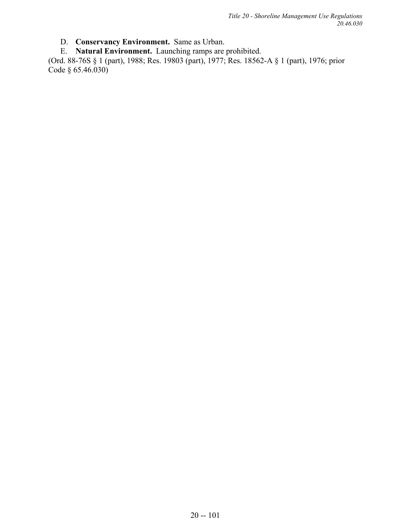*Title 20 - Shoreline Management Use Regulations 20.46.030*

D. **Conservancy Environment.** Same as Urban.

E. **Natural Environment.** Launching ramps are prohibited.

(Ord. 88-76S § 1 (part), 1988; Res. 19803 (part), 1977; Res. 18562-A § 1 (part), 1976; prior Code § 65.46.030)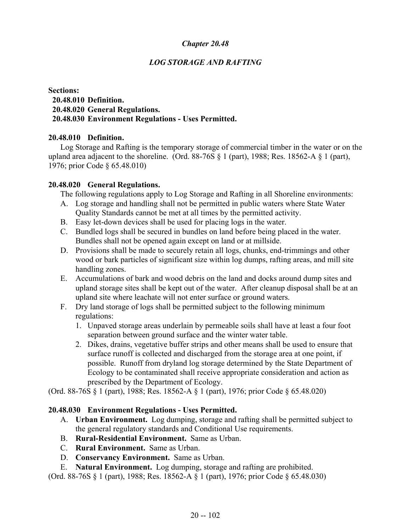# *LOG STORAGE AND RAFTING*

### **Sections: 20.48.010 Definition. 20.48.020 General Regulations. 20.48.030 Environment Regulations - Uses Permitted.**

#### **20.48.010 Definition.**

Log Storage and Rafting is the temporary storage of commercial timber in the water or on the upland area adjacent to the shoreline. (Ord. 88-76S  $\S$  1 (part), 1988; Res. 18562-A  $\S$  1 (part), 1976; prior Code § 65.48.010)

### **20.48.020 General Regulations.**

The following regulations apply to Log Storage and Rafting in all Shoreline environments:

- A. Log storage and handling shall not be permitted in public waters where State Water Quality Standards cannot be met at all times by the permitted activity.
- B. Easy let-down devices shall be used for placing logs in the water.
- C. Bundled logs shall be secured in bundles on land before being placed in the water. Bundles shall not be opened again except on land or at millside.
- D. Provisions shall be made to securely retain all logs, chunks, end-trimmings and other wood or bark particles of significant size within log dumps, rafting areas, and mill site handling zones.
- E. Accumulations of bark and wood debris on the land and docks around dump sites and upland storage sites shall be kept out of the water. After cleanup disposal shall be at an upland site where leachate will not enter surface or ground waters.
- F. Dry land storage of logs shall be permitted subject to the following minimum regulations:
	- 1. Unpaved storage areas underlain by permeable soils shall have at least a four foot separation between ground surface and the winter water table.
	- 2. Dikes, drains, vegetative buffer strips and other means shall be used to ensure that surface runoff is collected and discharged from the storage area at one point, if possible. Runoff from dryland log storage determined by the State Department of Ecology to be contaminated shall receive appropriate consideration and action as prescribed by the Department of Ecology.

(Ord. 88-76S § 1 (part), 1988; Res. 18562-A § 1 (part), 1976; prior Code § 65.48.020)

# **20.48.030 Environment Regulations - Uses Permitted.**

- A. **Urban Environment.** Log dumping, storage and rafting shall be permitted subject to the general regulatory standards and Conditional Use requirements.
- B. **Rural-Residential Environment.** Same as Urban.
- C. **Rural Environment.** Same as Urban.
- D. **Conservancy Environment.** Same as Urban.
- E. **Natural Environment.** Log dumping, storage and rafting are prohibited.

(Ord. 88-76S § 1 (part), 1988; Res. 18562-A § 1 (part), 1976; prior Code § 65.48.030)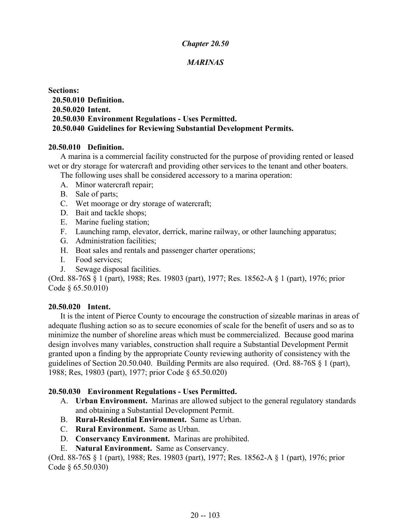# *MARINAS*

**Sections: 20.50.010 Definition. 20.50.020 Intent. 20.50.030 Environment Regulations - Uses Permitted. 20.50.040 Guidelines for Reviewing Substantial Development Permits.**

#### **20.50.010 Definition.**

A marina is a commercial facility constructed for the purpose of providing rented or leased wet or dry storage for watercraft and providing other services to the tenant and other boaters.

The following uses shall be considered accessory to a marina operation:

- A. Minor watercraft repair;
- B. Sale of parts;
- C. Wet moorage or dry storage of watercraft;
- D. Bait and tackle shops;
- E. Marine fueling station;
- F. Launching ramp, elevator, derrick, marine railway, or other launching apparatus;
- G. Administration facilities;
- H. Boat sales and rentals and passenger charter operations;
- I. Food services;
- J. Sewage disposal facilities.

(Ord. 88-76S § 1 (part), 1988; Res. 19803 (part), 1977; Res. 18562-A § 1 (part), 1976; prior Code § 65.50.010)

#### **20.50.020 Intent.**

It is the intent of Pierce County to encourage the construction of sizeable marinas in areas of adequate flushing action so as to secure economies of scale for the benefit of users and so as to minimize the number of shoreline areas which must be commercialized. Because good marina design involves many variables, construction shall require a Substantial Development Permit granted upon a finding by the appropriate County reviewing authority of consistency with the guidelines of Section 20.50.040. Building Permits are also required. (Ord. 88-76S § 1 (part), 1988; Res, 19803 (part), 1977; prior Code § 65.50.020)

#### **20.50.030 Environment Regulations - Uses Permitted.**

- A. **Urban Environment.** Marinas are allowed subject to the general regulatory standards and obtaining a Substantial Development Permit.
- B. **Rural-Residential Environment.** Same as Urban.
- C. **Rural Environment.** Same as Urban.
- D. **Conservancy Environment.** Marinas are prohibited.
- E. **Natural Environment.** Same as Conservancy.

(Ord. 88-76S § 1 (part), 1988; Res. 19803 (part), 1977; Res. 18562-A § 1 (part), 1976; prior Code § 65.50.030)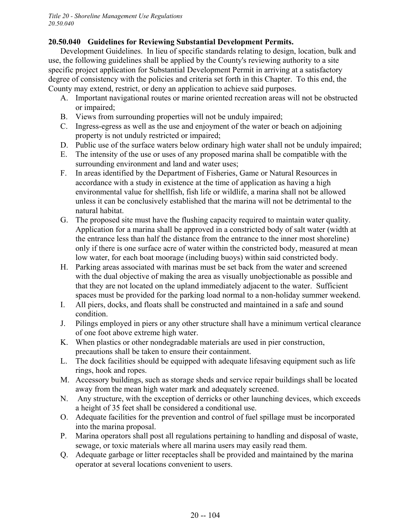# **20.50.040 Guidelines for Reviewing Substantial Development Permits.**

Development Guidelines. In lieu of specific standards relating to design, location, bulk and use, the following guidelines shall be applied by the County's reviewing authority to a site specific project application for Substantial Development Permit in arriving at a satisfactory degree of consistency with the policies and criteria set forth in this Chapter. To this end, the County may extend, restrict, or deny an application to achieve said purposes.

- A. Important navigational routes or marine oriented recreation areas will not be obstructed or impaired;
- B. Views from surrounding properties will not be unduly impaired;
- C. Ingress-egress as well as the use and enjoyment of the water or beach on adjoining property is not unduly restricted or impaired;
- D. Public use of the surface waters below ordinary high water shall not be unduly impaired;
- E. The intensity of the use or uses of any proposed marina shall be compatible with the surrounding environment and land and water uses;
- F. In areas identified by the Department of Fisheries, Game or Natural Resources in accordance with a study in existence at the time of application as having a high environmental value for shellfish, fish life or wildlife, a marina shall not be allowed unless it can be conclusively established that the marina will not be detrimental to the natural habitat.
- G. The proposed site must have the flushing capacity required to maintain water quality. Application for a marina shall be approved in a constricted body of salt water (width at the entrance less than half the distance from the entrance to the inner most shoreline) only if there is one surface acre of water within the constricted body, measured at mean low water, for each boat moorage (including buoys) within said constricted body.
- H. Parking areas associated with marinas must be set back from the water and screened with the dual objective of making the area as visually unobjectionable as possible and that they are not located on the upland immediately adjacent to the water. Sufficient spaces must be provided for the parking load normal to a non-holiday summer weekend.
- I. All piers, docks, and floats shall be constructed and maintained in a safe and sound condition.
- J. Pilings employed in piers or any other structure shall have a minimum vertical clearance of one foot above extreme high water.
- K. When plastics or other nondegradable materials are used in pier construction, precautions shall be taken to ensure their containment.
- L. The dock facilities should be equipped with adequate lifesaving equipment such as life rings, hook and ropes.
- M. Accessory buildings, such as storage sheds and service repair buildings shall be located away from the mean high water mark and adequately screened.
- N. Any structure, with the exception of derricks or other launching devices, which exceeds a height of 35 feet shall be considered a conditional use.
- O. Adequate facilities for the prevention and control of fuel spillage must be incorporated into the marina proposal.
- P. Marina operators shall post all regulations pertaining to handling and disposal of waste, sewage, or toxic materials where all marina users may easily read them.
- Q. Adequate garbage or litter receptacles shall be provided and maintained by the marina operator at several locations convenient to users.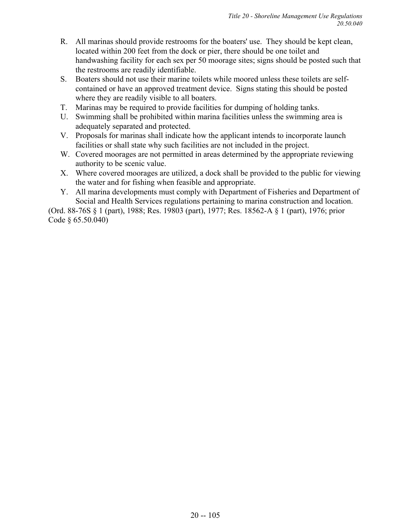- R. All marinas should provide restrooms for the boaters' use. They should be kept clean, located within 200 feet from the dock or pier, there should be one toilet and handwashing facility for each sex per 50 moorage sites; signs should be posted such that the restrooms are readily identifiable.
- S. Boaters should not use their marine toilets while moored unless these toilets are selfcontained or have an approved treatment device. Signs stating this should be posted where they are readily visible to all boaters.
- T. Marinas may be required to provide facilities for dumping of holding tanks.
- U. Swimming shall be prohibited within marina facilities unless the swimming area is adequately separated and protected.
- V. Proposals for marinas shall indicate how the applicant intends to incorporate launch facilities or shall state why such facilities are not included in the project.
- W. Covered moorages are not permitted in areas determined by the appropriate reviewing authority to be scenic value.
- X. Where covered moorages are utilized, a dock shall be provided to the public for viewing the water and for fishing when feasible and appropriate.
- Y. All marina developments must comply with Department of Fisheries and Department of Social and Health Services regulations pertaining to marina construction and location.

(Ord. 88-76S § 1 (part), 1988; Res. 19803 (part), 1977; Res. 18562-A § 1 (part), 1976; prior Code § 65.50.040)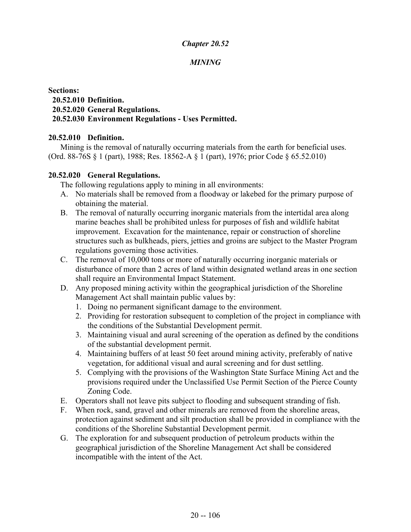# *MINING*

#### **Sections: 20.52.010 Definition. 20.52.020 General Regulations. 20.52.030 Environment Regulations - Uses Permitted.**

### **20.52.010 Definition.**

Mining is the removal of naturally occurring materials from the earth for beneficial uses. (Ord. 88-76S § 1 (part), 1988; Res. 18562-A § 1 (part), 1976; prior Code § 65.52.010)

### **20.52.020 General Regulations.**

The following regulations apply to mining in all environments:

- A. No materials shall be removed from a floodway or lakebed for the primary purpose of obtaining the material.
- B. The removal of naturally occurring inorganic materials from the intertidal area along marine beaches shall be prohibited unless for purposes of fish and wildlife habitat improvement. Excavation for the maintenance, repair or construction of shoreline structures such as bulkheads, piers, jetties and groins are subject to the Master Program regulations governing those activities.
- C. The removal of 10,000 tons or more of naturally occurring inorganic materials or disturbance of more than 2 acres of land within designated wetland areas in one section shall require an Environmental Impact Statement.
- D. Any proposed mining activity within the geographical jurisdiction of the Shoreline Management Act shall maintain public values by:
	- 1. Doing no permanent significant damage to the environment.
	- 2. Providing for restoration subsequent to completion of the project in compliance with the conditions of the Substantial Development permit.
	- 3. Maintaining visual and aural screening of the operation as defined by the conditions of the substantial development permit.
	- 4. Maintaining buffers of at least 50 feet around mining activity, preferably of native vegetation, for additional visual and aural screening and for dust settling.
	- 5. Complying with the provisions of the Washington State Surface Mining Act and the provisions required under the Unclassified Use Permit Section of the Pierce County Zoning Code.
- E. Operators shall not leave pits subject to flooding and subsequent stranding of fish.
- F. When rock, sand, gravel and other minerals are removed from the shoreline areas, protection against sediment and silt production shall be provided in compliance with the conditions of the Shoreline Substantial Development permit.
- G. The exploration for and subsequent production of petroleum products within the geographical jurisdiction of the Shoreline Management Act shall be considered incompatible with the intent of the Act.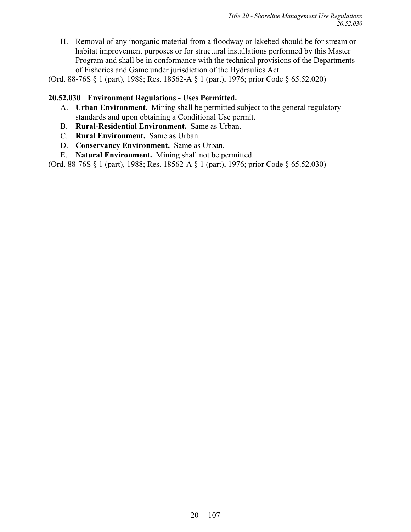H. Removal of any inorganic material from a floodway or lakebed should be for stream or habitat improvement purposes or for structural installations performed by this Master Program and shall be in conformance with the technical provisions of the Departments of Fisheries and Game under jurisdiction of the Hydraulics Act.

(Ord. 88-76S § 1 (part), 1988; Res. 18562-A § 1 (part), 1976; prior Code § 65.52.020)

### **20.52.030 Environment Regulations - Uses Permitted.**

- A. **Urban Environment.** Mining shall be permitted subject to the general regulatory standards and upon obtaining a Conditional Use permit.
- B. **Rural-Residential Environment.** Same as Urban.
- C. **Rural Environment.** Same as Urban.
- D. **Conservancy Environment.** Same as Urban.
- E. **Natural Environment.** Mining shall not be permitted.

(Ord. 88-76S § 1 (part), 1988; Res. 18562-A § 1 (part), 1976; prior Code § 65.52.030)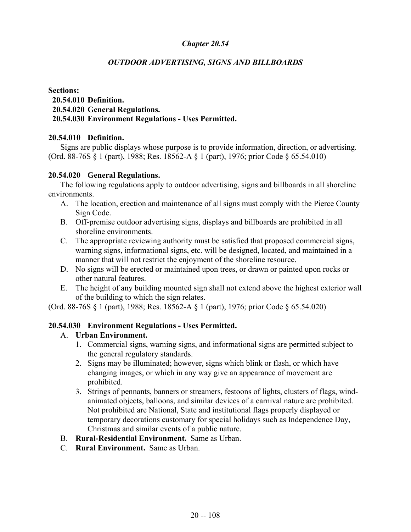# *OUTDOOR ADVERTISING, SIGNS AND BILLBOARDS*

#### **Sections: 20.54.010 Definition. 20.54.020 General Regulations. 20.54.030 Environment Regulations - Uses Permitted.**

### **20.54.010 Definition.**

Signs are public displays whose purpose is to provide information, direction, or advertising. (Ord. 88-76S § 1 (part), 1988; Res. 18562-A § 1 (part), 1976; prior Code § 65.54.010)

### **20.54.020 General Regulations.**

The following regulations apply to outdoor advertising, signs and billboards in all shoreline environments.

- A. The location, erection and maintenance of all signs must comply with the Pierce County Sign Code.
- B. Off-premise outdoor advertising signs, displays and billboards are prohibited in all shoreline environments.
- C. The appropriate reviewing authority must be satisfied that proposed commercial signs, warning signs, informational signs, etc. will be designed, located, and maintained in a manner that will not restrict the enjoyment of the shoreline resource.
- D. No signs will be erected or maintained upon trees, or drawn or painted upon rocks or other natural features.
- E. The height of any building mounted sign shall not extend above the highest exterior wall of the building to which the sign relates.

(Ord. 88-76S § 1 (part), 1988; Res. 18562-A § 1 (part), 1976; prior Code § 65.54.020)

#### **20.54.030 Environment Regulations - Uses Permitted.**

# A. **Urban Environment.**

- 1. Commercial signs, warning signs, and informational signs are permitted subject to the general regulatory standards.
- 2. Signs may be illuminated; however, signs which blink or flash, or which have changing images, or which in any way give an appearance of movement are prohibited.
- 3. Strings of pennants, banners or streamers, festoons of lights, clusters of flags, windanimated objects, balloons, and similar devices of a carnival nature are prohibited. Not prohibited are National, State and institutional flags properly displayed or temporary decorations customary for special holidays such as Independence Day, Christmas and similar events of a public nature.
- B. **Rural-Residential Environment.** Same as Urban.
- C. **Rural Environment.** Same as Urban.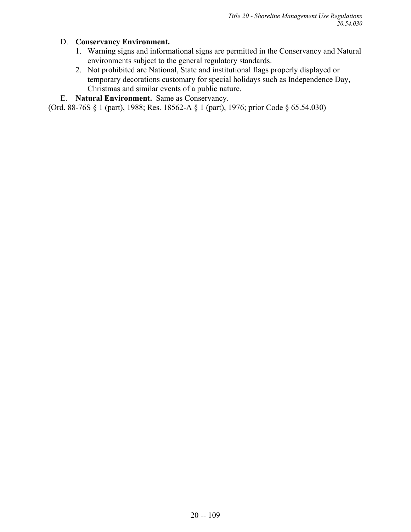# D. **Conservancy Environment.**

- 1. Warning signs and informational signs are permitted in the Conservancy and Natural environments subject to the general regulatory standards.
- 2. Not prohibited are National, State and institutional flags properly displayed or temporary decorations customary for special holidays such as Independence Day, Christmas and similar events of a public nature.
- E. **Natural Environment.** Same as Conservancy.

(Ord. 88-76S § 1 (part), 1988; Res. 18562-A § 1 (part), 1976; prior Code § 65.54.030)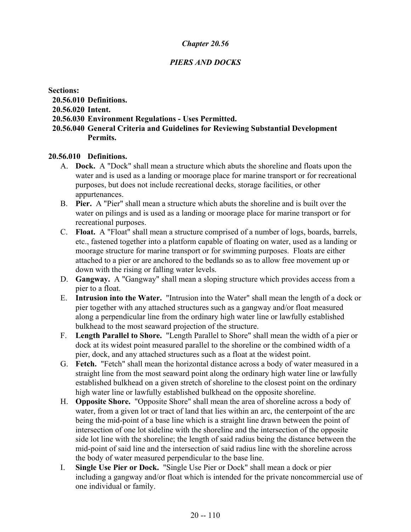# *PIERS AND DOCKS*

#### **Sections:**

- **20.56.010 Definitions.**
- **20.56.020 Intent.**
- **20.56.030 Environment Regulations Uses Permitted.**
- **20.56.040 General Criteria and Guidelines for Reviewing Substantial Development Permits.**

### **20.56.010 Definitions.**

- A. **Dock.** A "Dock" shall mean a structure which abuts the shoreline and floats upon the water and is used as a landing or moorage place for marine transport or for recreational purposes, but does not include recreational decks, storage facilities, or other appurtenances.
- B. **Pier.** A "Pier" shall mean a structure which abuts the shoreline and is built over the water on pilings and is used as a landing or moorage place for marine transport or for recreational purposes.
- C. **Float.** A "Float" shall mean a structure comprised of a number of logs, boards, barrels, etc., fastened together into a platform capable of floating on water, used as a landing or moorage structure for marine transport or for swimming purposes. Floats are either attached to a pier or are anchored to the bedlands so as to allow free movement up or down with the rising or falling water levels.
- D. **Gangway.** A "Gangway" shall mean a sloping structure which provides access from a pier to a float.
- E. **Intrusion into the Water.** "Intrusion into the Water" shall mean the length of a dock or pier together with any attached structures such as a gangway and/or float measured along a perpendicular line from the ordinary high water line or lawfully established bulkhead to the most seaward projection of the structure.
- F. **Length Parallel to Shore.** "Length Parallel to Shore" shall mean the width of a pier or dock at its widest point measured parallel to the shoreline or the combined width of a pier, dock, and any attached structures such as a float at the widest point.
- G. **Fetch.** "Fetch" shall mean the horizontal distance across a body of water measured in a straight line from the most seaward point along the ordinary high water line or lawfully established bulkhead on a given stretch of shoreline to the closest point on the ordinary high water line or lawfully established bulkhead on the opposite shoreline.
- H. **Opposite Shore.** "Opposite Shore" shall mean the area of shoreline across a body of water, from a given lot or tract of land that lies within an arc, the centerpoint of the arc being the mid-point of a base line which is a straight line drawn between the point of intersection of one lot sideline with the shoreline and the intersection of the opposite side lot line with the shoreline; the length of said radius being the distance between the mid-point of said line and the intersection of said radius line with the shoreline across the body of water measured perpendicular to the base line.
- I. **Single Use Pier or Dock.** "Single Use Pier or Dock" shall mean a dock or pier including a gangway and/or float which is intended for the private noncommercial use of one individual or family.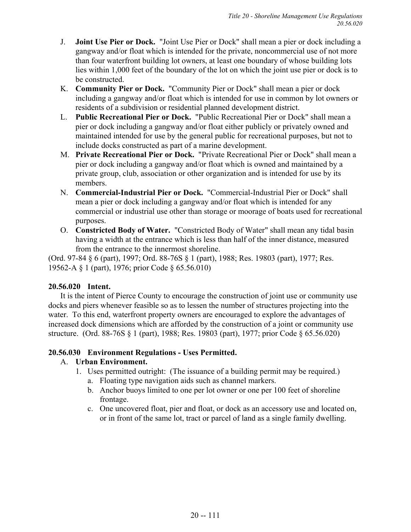- J. **Joint Use Pier or Dock.** "Joint Use Pier or Dock" shall mean a pier or dock including a gangway and/or float which is intended for the private, noncommercial use of not more than four waterfront building lot owners, at least one boundary of whose building lots lies within 1,000 feet of the boundary of the lot on which the joint use pier or dock is to be constructed.
- K. **Community Pier or Dock.** "Community Pier or Dock" shall mean a pier or dock including a gangway and/or float which is intended for use in common by lot owners or residents of a subdivision or residential planned development district.
- L. **Public Recreational Pier or Dock.** "Public Recreational Pier or Dock" shall mean a pier or dock including a gangway and/or float either publicly or privately owned and maintained intended for use by the general public for recreational purposes, but not to include docks constructed as part of a marine development.
- M. **Private Recreational Pier or Dock.** "Private Recreational Pier or Dock" shall mean a pier or dock including a gangway and/or float which is owned and maintained by a private group, club, association or other organization and is intended for use by its members.
- N. **Commercial-Industrial Pier or Dock.** "Commercial-Industrial Pier or Dock" shall mean a pier or dock including a gangway and/or float which is intended for any commercial or industrial use other than storage or moorage of boats used for recreational purposes.
- O. **Constricted Body of Water.** "Constricted Body of Water" shall mean any tidal basin having a width at the entrance which is less than half of the inner distance, measured from the entrance to the innermost shoreline.

(Ord. 97-84 § 6 (part), 1997; Ord. 88-76S § 1 (part), 1988; Res. 19803 (part), 1977; Res. 19562-A § 1 (part), 1976; prior Code § 65.56.010)

# **20.56.020 Intent.**

It is the intent of Pierce County to encourage the construction of joint use or community use docks and piers whenever feasible so as to lessen the number of structures projecting into the water. To this end, waterfront property owners are encouraged to explore the advantages of increased dock dimensions which are afforded by the construction of a joint or community use structure. (Ord. 88-76S § 1 (part), 1988; Res. 19803 (part), 1977; prior Code § 65.56.020)

# **20.56.030 Environment Regulations - Uses Permitted.**

# A. **Urban Environment.**

- 1. Uses permitted outright: (The issuance of a building permit may be required.)
	- a. Floating type navigation aids such as channel markers.
	- b. Anchor buoys limited to one per lot owner or one per 100 feet of shoreline frontage.
	- c. One uncovered float, pier and float, or dock as an accessory use and located on, or in front of the same lot, tract or parcel of land as a single family dwelling.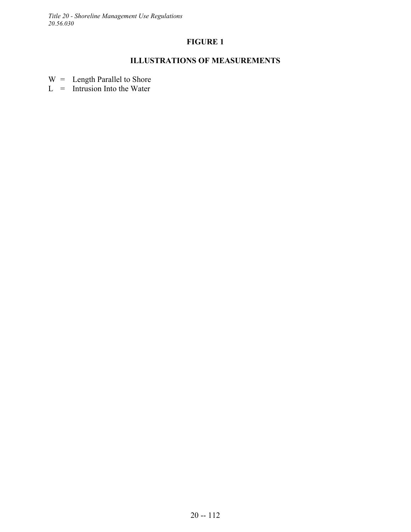*Title 20 - Shoreline Management Use Regulations 20.56.030*

# **FIGURE 1**

# **ILLUSTRATIONS OF MEASUREMENTS**

 $W =$  Length Parallel to Shore

 $L = Intusion$  Into the Water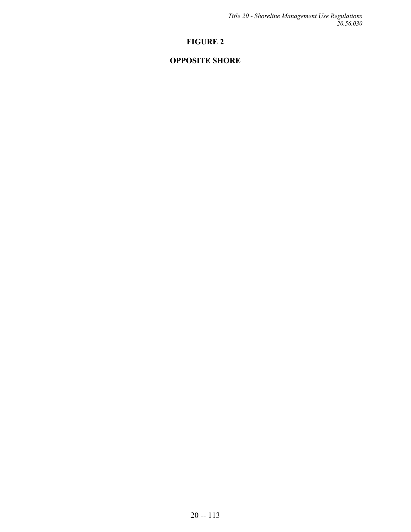*Title 20 - Shoreline Management Use Regulations 20.56.030*

# **FIGURE 2**

# **OPPOSITE SHORE**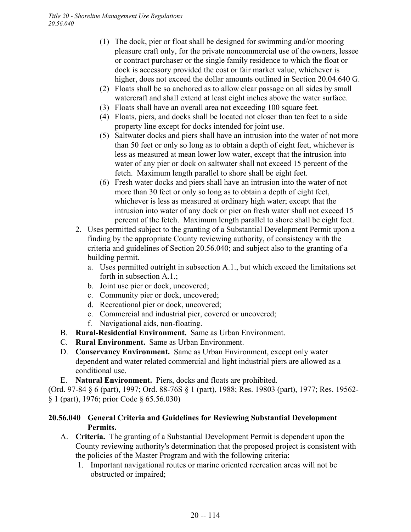- (1) The dock, pier or float shall be designed for swimming and/or mooring pleasure craft only, for the private noncommercial use of the owners, lessee or contract purchaser or the single family residence to which the float or dock is accessory provided the cost or fair market value, whichever is higher, does not exceed the dollar amounts outlined in Section 20.04.640 G.
- (2) Floats shall be so anchored as to allow clear passage on all sides by small watercraft and shall extend at least eight inches above the water surface.
- (3) Floats shall have an overall area not exceeding 100 square feet.
- (4) Floats, piers, and docks shall be located not closer than ten feet to a side property line except for docks intended for joint use.
- (5) Saltwater docks and piers shall have an intrusion into the water of not more than 50 feet or only so long as to obtain a depth of eight feet, whichever is less as measured at mean lower low water, except that the intrusion into water of any pier or dock on saltwater shall not exceed 15 percent of the fetch. Maximum length parallel to shore shall be eight feet.
- (6) Fresh water docks and piers shall have an intrusion into the water of not more than 30 feet or only so long as to obtain a depth of eight feet, whichever is less as measured at ordinary high water; except that the intrusion into water of any dock or pier on fresh water shall not exceed 15 percent of the fetch. Maximum length parallel to shore shall be eight feet.
- 2. Uses permitted subject to the granting of a Substantial Development Permit upon a finding by the appropriate County reviewing authority, of consistency with the criteria and guidelines of Section 20.56.040; and subject also to the granting of a building permit.
	- a. Uses permitted outright in subsection A.1., but which exceed the limitations set forth in subsection A.1.;
	- b. Joint use pier or dock, uncovered;
	- c. Community pier or dock, uncovered;
	- d. Recreational pier or dock, uncovered;
	- e. Commercial and industrial pier, covered or uncovered;
	- f. Navigational aids, non-floating.
- B. **Rural-Residential Environment.** Same as Urban Environment.
- C. **Rural Environment.** Same as Urban Environment.
- D. **Conservancy Environment.** Same as Urban Environment, except only water dependent and water related commercial and light industrial piers are allowed as a conditional use.
- E. **Natural Environment.** Piers, docks and floats are prohibited.

(Ord. 97-84 § 6 (part), 1997; Ord. 88-76S § 1 (part), 1988; Res. 19803 (part), 1977; Res. 19562- § 1 (part), 1976; prior Code § 65.56.030)

# **20.56.040 General Criteria and Guidelines for Reviewing Substantial Development Permits.**

- A. **Criteria.** The granting of a Substantial Development Permit is dependent upon the County reviewing authority's determination that the proposed project is consistent with the policies of the Master Program and with the following criteria:
	- 1. Important navigational routes or marine oriented recreation areas will not be obstructed or impaired;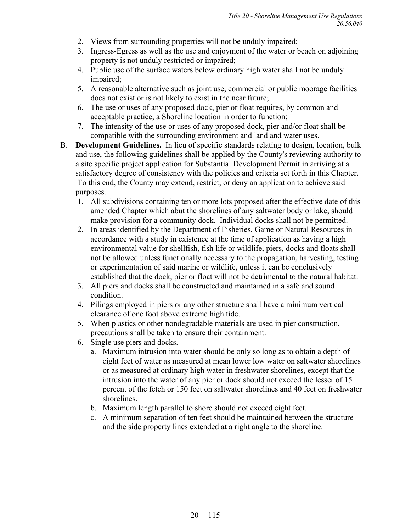- 2. Views from surrounding properties will not be unduly impaired;
- 3. Ingress-Egress as well as the use and enjoyment of the water or beach on adjoining property is not unduly restricted or impaired;
- 4. Public use of the surface waters below ordinary high water shall not be unduly impaired;
- 5. A reasonable alternative such as joint use, commercial or public moorage facilities does not exist or is not likely to exist in the near future;
- 6. The use or uses of any proposed dock, pier or float requires, by common and acceptable practice, a Shoreline location in order to function;
- 7. The intensity of the use or uses of any proposed dock, pier and/or float shall be compatible with the surrounding environment and land and water uses.
- B. **Development Guidelines.** In lieu of specific standards relating to design, location, bulk and use, the following guidelines shall be applied by the County's reviewing authority to a site specific project application for Substantial Development Permit in arriving at a satisfactory degree of consistency with the policies and criteria set forth in this Chapter. To this end, the County may extend, restrict, or deny an application to achieve said purposes.
	- 1. All subdivisions containing ten or more lots proposed after the effective date of this amended Chapter which abut the shorelines of any saltwater body or lake, should make provision for a community dock. Individual docks shall not be permitted.
	- 2. In areas identified by the Department of Fisheries, Game or Natural Resources in accordance with a study in existence at the time of application as having a high environmental value for shellfish, fish life or wildlife, piers, docks and floats shall not be allowed unless functionally necessary to the propagation, harvesting, testing or experimentation of said marine or wildlife, unless it can be conclusively established that the dock, pier or float will not be detrimental to the natural habitat.
	- 3. All piers and docks shall be constructed and maintained in a safe and sound condition.
	- 4. Pilings employed in piers or any other structure shall have a minimum vertical clearance of one foot above extreme high tide.
	- 5. When plastics or other nondegradable materials are used in pier construction, precautions shall be taken to ensure their containment.
	- 6. Single use piers and docks.
		- a. Maximum intrusion into water should be only so long as to obtain a depth of eight feet of water as measured at mean lower low water on saltwater shorelines or as measured at ordinary high water in freshwater shorelines, except that the intrusion into the water of any pier or dock should not exceed the lesser of 15 percent of the fetch or 150 feet on saltwater shorelines and 40 feet on freshwater shorelines.
		- b. Maximum length parallel to shore should not exceed eight feet.
		- c. A minimum separation of ten feet should be maintained between the structure and the side property lines extended at a right angle to the shoreline.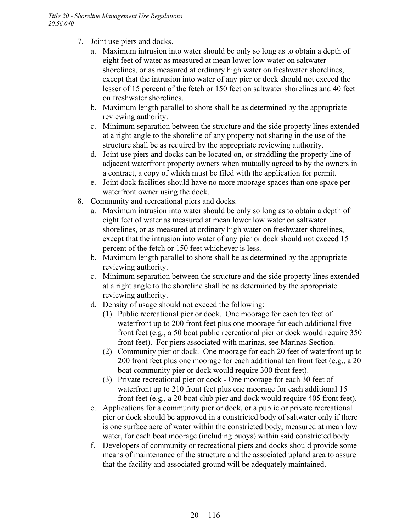- 7. Joint use piers and docks.
	- a. Maximum intrusion into water should be only so long as to obtain a depth of eight feet of water as measured at mean lower low water on saltwater shorelines, or as measured at ordinary high water on freshwater shorelines, except that the intrusion into water of any pier or dock should not exceed the lesser of 15 percent of the fetch or 150 feet on saltwater shorelines and 40 feet on freshwater shorelines.
	- b. Maximum length parallel to shore shall be as determined by the appropriate reviewing authority.
	- c. Minimum separation between the structure and the side property lines extended at a right angle to the shoreline of any property not sharing in the use of the structure shall be as required by the appropriate reviewing authority.
	- d. Joint use piers and docks can be located on, or straddling the property line of adjacent waterfront property owners when mutually agreed to by the owners in a contract, a copy of which must be filed with the application for permit.
	- e. Joint dock facilities should have no more moorage spaces than one space per waterfront owner using the dock.
- 8. Community and recreational piers and docks.
	- a. Maximum intrusion into water should be only so long as to obtain a depth of eight feet of water as measured at mean lower low water on saltwater shorelines, or as measured at ordinary high water on freshwater shorelines, except that the intrusion into water of any pier or dock should not exceed 15 percent of the fetch or 150 feet whichever is less.
	- b. Maximum length parallel to shore shall be as determined by the appropriate reviewing authority.
	- c. Minimum separation between the structure and the side property lines extended at a right angle to the shoreline shall be as determined by the appropriate reviewing authority.
	- d. Density of usage should not exceed the following:
		- (1) Public recreational pier or dock. One moorage for each ten feet of waterfront up to 200 front feet plus one moorage for each additional five front feet (e.g., a 50 boat public recreational pier or dock would require 350 front feet). For piers associated with marinas, see Marinas Section.
		- (2) Community pier or dock. One moorage for each 20 feet of waterfront up to 200 front feet plus one moorage for each additional ten front feet (e.g., a 20 boat community pier or dock would require 300 front feet).
		- (3) Private recreational pier or dock One moorage for each 30 feet of waterfront up to 210 front feet plus one moorage for each additional 15 front feet (e.g., a 20 boat club pier and dock would require 405 front feet).
	- e. Applications for a community pier or dock, or a public or private recreational pier or dock should be approved in a constricted body of saltwater only if there is one surface acre of water within the constricted body, measured at mean low water, for each boat moorage (including buoys) within said constricted body.
	- f. Developers of community or recreational piers and docks should provide some means of maintenance of the structure and the associated upland area to assure that the facility and associated ground will be adequately maintained.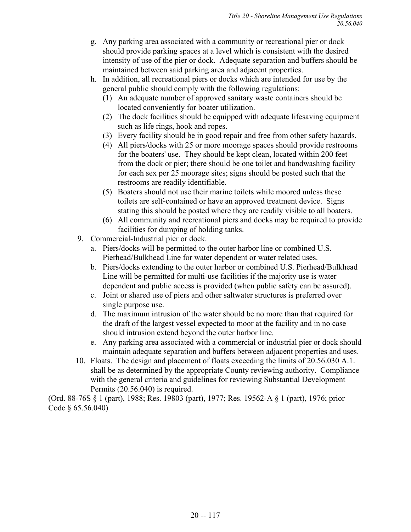- g. Any parking area associated with a community or recreational pier or dock should provide parking spaces at a level which is consistent with the desired intensity of use of the pier or dock. Adequate separation and buffers should be maintained between said parking area and adjacent properties.
- h. In addition, all recreational piers or docks which are intended for use by the general public should comply with the following regulations:
	- (1) An adequate number of approved sanitary waste containers should be located conveniently for boater utilization.
	- (2) The dock facilities should be equipped with adequate lifesaving equipment such as life rings, hook and ropes.
	- (3) Every facility should be in good repair and free from other safety hazards.
	- (4) All piers/docks with 25 or more moorage spaces should provide restrooms for the boaters' use. They should be kept clean, located within 200 feet from the dock or pier; there should be one toilet and handwashing facility for each sex per 25 moorage sites; signs should be posted such that the restrooms are readily identifiable.
	- (5) Boaters should not use their marine toilets while moored unless these toilets are self-contained or have an approved treatment device. Signs stating this should be posted where they are readily visible to all boaters.
	- (6) All community and recreational piers and docks may be required to provide facilities for dumping of holding tanks.
- 9. Commercial-Industrial pier or dock.
	- a. Piers/docks will be permitted to the outer harbor line or combined U.S. Pierhead/Bulkhead Line for water dependent or water related uses.
	- b. Piers/docks extending to the outer harbor or combined U.S. Pierhead/Bulkhead Line will be permitted for multi-use facilities if the majority use is water dependent and public access is provided (when public safety can be assured).
	- c. Joint or shared use of piers and other saltwater structures is preferred over single purpose use.
	- d. The maximum intrusion of the water should be no more than that required for the draft of the largest vessel expected to moor at the facility and in no case should intrusion extend beyond the outer harbor line.
	- e. Any parking area associated with a commercial or industrial pier or dock should maintain adequate separation and buffers between adjacent properties and uses.
- 10. Floats. The design and placement of floats exceeding the limits of 20.56.030 A.1. shall be as determined by the appropriate County reviewing authority. Compliance with the general criteria and guidelines for reviewing Substantial Development Permits (20.56.040) is required.

(Ord. 88-76S § 1 (part), 1988; Res. 19803 (part), 1977; Res. 19562-A § 1 (part), 1976; prior Code § 65.56.040)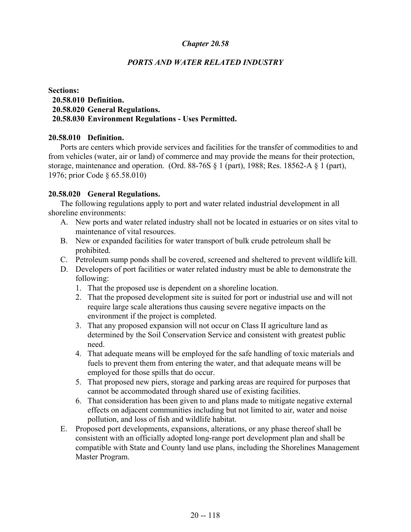## *PORTS AND WATER RELATED INDUSTRY*

### **Sections: 20.58.010 Definition. 20.58.020 General Regulations. 20.58.030 Environment Regulations - Uses Permitted.**

#### **20.58.010 Definition.**

Ports are centers which provide services and facilities for the transfer of commodities to and from vehicles (water, air or land) of commerce and may provide the means for their protection, storage, maintenance and operation. (Ord. 88-76S § 1 (part), 1988; Res. 18562-A § 1 (part), 1976; prior Code § 65.58.010)

#### **20.58.020 General Regulations.**

The following regulations apply to port and water related industrial development in all shoreline environments:

- A. New ports and water related industry shall not be located in estuaries or on sites vital to maintenance of vital resources.
- B. New or expanded facilities for water transport of bulk crude petroleum shall be prohibited.
- C. Petroleum sump ponds shall be covered, screened and sheltered to prevent wildlife kill.
- D. Developers of port facilities or water related industry must be able to demonstrate the following:
	- 1. That the proposed use is dependent on a shoreline location.
	- 2. That the proposed development site is suited for port or industrial use and will not require large scale alterations thus causing severe negative impacts on the environment if the project is completed.
	- 3. That any proposed expansion will not occur on Class II agriculture land as determined by the Soil Conservation Service and consistent with greatest public need.
	- 4. That adequate means will be employed for the safe handling of toxic materials and fuels to prevent them from entering the water, and that adequate means will be employed for those spills that do occur.
	- 5. That proposed new piers, storage and parking areas are required for purposes that cannot be accommodated through shared use of existing facilities.
	- 6. That consideration has been given to and plans made to mitigate negative external effects on adjacent communities including but not limited to air, water and noise pollution, and loss of fish and wildlife habitat.
- E. Proposed port developments, expansions, alterations, or any phase thereof shall be consistent with an officially adopted long-range port development plan and shall be compatible with State and County land use plans, including the Shorelines Management Master Program.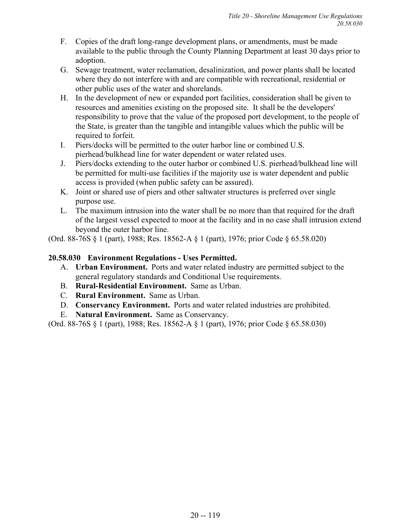- F. Copies of the draft long-range development plans, or amendments, must be made available to the public through the County Planning Department at least 30 days prior to adoption.
- G. Sewage treatment, water reclamation, desalinization, and power plants shall be located where they do not interfere with and are compatible with recreational, residential or other public uses of the water and shorelands.
- H. In the development of new or expanded port facilities, consideration shall be given to resources and amenities existing on the proposed site. It shall be the developers' responsibility to prove that the value of the proposed port development, to the people of the State, is greater than the tangible and intangible values which the public will be required to forfeit.
- I. Piers/docks will be permitted to the outer harbor line or combined U.S. pierhead/bulkhead line for water dependent or water related uses.
- J. Piers/docks extending to the outer harbor or combined U.S. pierhead/bulkhead line will be permitted for multi-use facilities if the majority use is water dependent and public access is provided (when public safety can be assured).
- K. Joint or shared use of piers and other saltwater structures is preferred over single purpose use.
- L. The maximum intrusion into the water shall be no more than that required for the draft of the largest vessel expected to moor at the facility and in no case shall intrusion extend beyond the outer harbor line.

(Ord. 88-76S § 1 (part), 1988; Res. 18562-A § 1 (part), 1976; prior Code § 65.58.020)

# **20.58.030 Environment Regulations - Uses Permitted.**

- A. **Urban Environment.** Ports and water related industry are permitted subject to the general regulatory standards and Conditional Use requirements.
- B. **Rural-Residential Environment.** Same as Urban.
- C. **Rural Environment.** Same as Urban.
- D. **Conservancy Environment.** Ports and water related industries are prohibited.
- E. **Natural Environment.** Same as Conservancy.

(Ord. 88-76S § 1 (part), 1988; Res. 18562-A § 1 (part), 1976; prior Code § 65.58.030)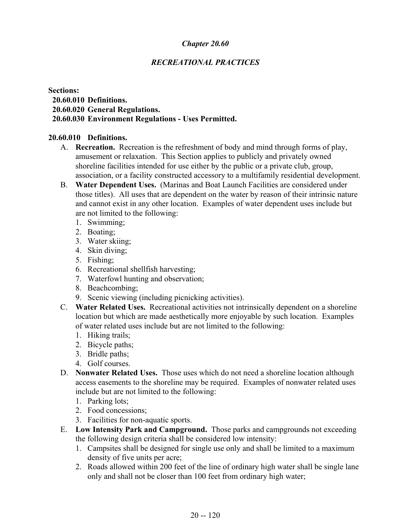# *RECREATIONAL PRACTICES*

#### **Sections: 20.60.010 Definitions. 20.60.020 General Regulations. 20.60.030 Environment Regulations - Uses Permitted.**

#### **20.60.010 Definitions.**

- A. **Recreation.** Recreation is the refreshment of body and mind through forms of play, amusement or relaxation. This Section applies to publicly and privately owned shoreline facilities intended for use either by the public or a private club, group, association, or a facility constructed accessory to a multifamily residential development.
- B. **Water Dependent Uses.** (Marinas and Boat Launch Facilities are considered under those titles). All uses that are dependent on the water by reason of their intrinsic nature and cannot exist in any other location. Examples of water dependent uses include but are not limited to the following:
	- 1. Swimming;
	- 2. Boating;
	- 3. Water skiing;
	- 4. Skin diving;
	- 5. Fishing;
	- 6. Recreational shellfish harvesting;
	- 7. Waterfowl hunting and observation;
	- 8. Beachcombing;
	- 9. Scenic viewing (including picnicking activities).
- C. **Water Related Uses.** Recreational activities not intrinsically dependent on a shoreline location but which are made aesthetically more enjoyable by such location. Examples of water related uses include but are not limited to the following:
	- 1. Hiking trails;
	- 2. Bicycle paths;
	- 3. Bridle paths;
	- 4. Golf courses.
- D. **Nonwater Related Uses.** Those uses which do not need a shoreline location although access easements to the shoreline may be required. Examples of nonwater related uses include but are not limited to the following:
	- 1. Parking lots;
	- 2. Food concessions;
	- 3. Facilities for non-aquatic sports.
- E. **Low Intensity Park and Campground.** Those parks and campgrounds not exceeding the following design criteria shall be considered low intensity:
	- 1. Campsites shall be designed for single use only and shall be limited to a maximum density of five units per acre;
	- 2. Roads allowed within 200 feet of the line of ordinary high water shall be single lane only and shall not be closer than 100 feet from ordinary high water;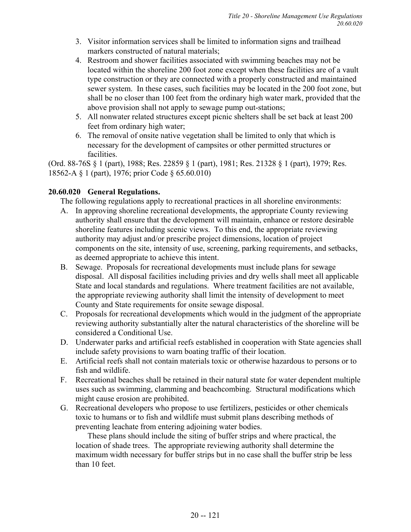- 3. Visitor information services shall be limited to information signs and trailhead markers constructed of natural materials;
- 4. Restroom and shower facilities associated with swimming beaches may not be located within the shoreline 200 foot zone except when these facilities are of a vault type construction or they are connected with a properly constructed and maintained sewer system. In these cases, such facilities may be located in the 200 foot zone, but shall be no closer than 100 feet from the ordinary high water mark, provided that the above provision shall not apply to sewage pump out-stations;
- 5. All nonwater related structures except picnic shelters shall be set back at least 200 feet from ordinary high water;
- 6. The removal of onsite native vegetation shall be limited to only that which is necessary for the development of campsites or other permitted structures or facilities.

(Ord. 88-76S § 1 (part), 1988; Res. 22859 § 1 (part), 1981; Res. 21328 § 1 (part), 1979; Res. 18562-A § 1 (part), 1976; prior Code § 65.60.010)

# **20.60.020 General Regulations.**

The following regulations apply to recreational practices in all shoreline environments:

- A. In approving shoreline recreational developments, the appropriate County reviewing authority shall ensure that the development will maintain, enhance or restore desirable shoreline features including scenic views. To this end, the appropriate reviewing authority may adjust and/or prescribe project dimensions, location of project components on the site, intensity of use, screening, parking requirements, and setbacks, as deemed appropriate to achieve this intent.
- B. Sewage. Proposals for recreational developments must include plans for sewage disposal. All disposal facilities including privies and dry wells shall meet all applicable State and local standards and regulations. Where treatment facilities are not available, the appropriate reviewing authority shall limit the intensity of development to meet County and State requirements for onsite sewage disposal.
- C. Proposals for recreational developments which would in the judgment of the appropriate reviewing authority substantially alter the natural characteristics of the shoreline will be considered a Conditional Use.
- D. Underwater parks and artificial reefs established in cooperation with State agencies shall include safety provisions to warn boating traffic of their location.
- E. Artificial reefs shall not contain materials toxic or otherwise hazardous to persons or to fish and wildlife.
- F. Recreational beaches shall be retained in their natural state for water dependent multiple uses such as swimming, clamming and beachcombing. Structural modifications which might cause erosion are prohibited.
- G. Recreational developers who propose to use fertilizers, pesticides or other chemicals toxic to humans or to fish and wildlife must submit plans describing methods of preventing leachate from entering adjoining water bodies.

These plans should include the siting of buffer strips and where practical, the location of shade trees. The appropriate reviewing authority shall determine the maximum width necessary for buffer strips but in no case shall the buffer strip be less than 10 feet.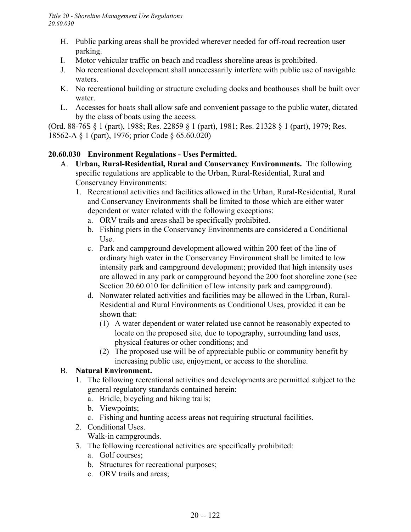- H. Public parking areas shall be provided wherever needed for off-road recreation user parking.
- I. Motor vehicular traffic on beach and roadless shoreline areas is prohibited.
- J. No recreational development shall unnecessarily interfere with public use of navigable waters.
- K. No recreational building or structure excluding docks and boathouses shall be built over water.
- L. Accesses for boats shall allow safe and convenient passage to the public water, dictated by the class of boats using the access.

(Ord. 88-76S § 1 (part), 1988; Res. 22859 § 1 (part), 1981; Res. 21328 § 1 (part), 1979; Res. 18562-A § 1 (part), 1976; prior Code § 65.60.020)

# **20.60.030 Environment Regulations - Uses Permitted.**

- A. **Urban, Rural-Residential, Rural and Conservancy Environments.** The following specific regulations are applicable to the Urban, Rural-Residential, Rural and Conservancy Environments:
	- 1. Recreational activities and facilities allowed in the Urban, Rural-Residential, Rural and Conservancy Environments shall be limited to those which are either water dependent or water related with the following exceptions:
		- a. ORV trails and areas shall be specifically prohibited.
		- b. Fishing piers in the Conservancy Environments are considered a Conditional Use.
		- c. Park and campground development allowed within 200 feet of the line of ordinary high water in the Conservancy Environment shall be limited to low intensity park and campground development; provided that high intensity uses are allowed in any park or campground beyond the 200 foot shoreline zone (see Section 20.60.010 for definition of low intensity park and campground).
		- d. Nonwater related activities and facilities may be allowed in the Urban, Rural-Residential and Rural Environments as Conditional Uses, provided it can be shown that:
			- (1) A water dependent or water related use cannot be reasonably expected to locate on the proposed site, due to topography, surrounding land uses, physical features or other conditions; and
			- (2) The proposed use will be of appreciable public or community benefit by increasing public use, enjoyment, or access to the shoreline.

# B. **Natural Environment.**

- 1. The following recreational activities and developments are permitted subject to the general regulatory standards contained herein:
	- a. Bridle, bicycling and hiking trails;
	- b. Viewpoints;
	- c. Fishing and hunting access areas not requiring structural facilities.
- 2. Conditional Uses. Walk-in campgrounds.
- 3. The following recreational activities are specifically prohibited:
	- a. Golf courses;
	- b. Structures for recreational purposes;
	- c. ORV trails and areas;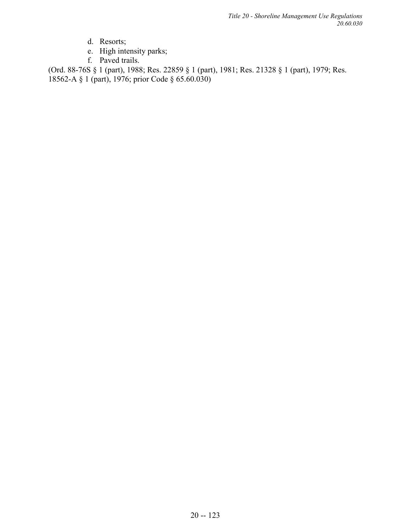- d. Resorts;
- e. High intensity parks;
- f. Paved trails.

(Ord. 88-76S § 1 (part), 1988; Res. 22859 § 1 (part), 1981; Res. 21328 § 1 (part), 1979; Res. 18562-A § 1 (part), 1976; prior Code § 65.60.030)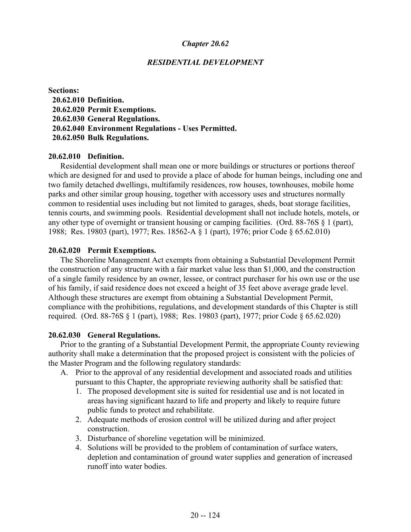#### *RESIDENTIAL DEVELOPMENT*

**Sections: 20.62.010 Definition. 20.62.020 Permit Exemptions. 20.62.030 General Regulations. 20.62.040 Environment Regulations - Uses Permitted. 20.62.050 Bulk Regulations.**

#### **20.62.010 Definition.**

Residential development shall mean one or more buildings or structures or portions thereof which are designed for and used to provide a place of abode for human beings, including one and two family detached dwellings, multifamily residences, row houses, townhouses, mobile home parks and other similar group housing, together with accessory uses and structures normally common to residential uses including but not limited to garages, sheds, boat storage facilities, tennis courts, and swimming pools. Residential development shall not include hotels, motels, or any other type of overnight or transient housing or camping facilities. (Ord. 88-76S § 1 (part), 1988; Res. 19803 (part), 1977; Res. 18562-A § 1 (part), 1976; prior Code § 65.62.010)

#### **20.62.020 Permit Exemptions.**

The Shoreline Management Act exempts from obtaining a Substantial Development Permit the construction of any structure with a fair market value less than \$1,000, and the construction of a single family residence by an owner, lessee, or contract purchaser for his own use or the use of his family, if said residence does not exceed a height of 35 feet above average grade level. Although these structures are exempt from obtaining a Substantial Development Permit, compliance with the prohibitions, regulations, and development standards of this Chapter is still required. (Ord. 88-76S § 1 (part), 1988; Res. 19803 (part), 1977; prior Code § 65.62.020)

#### **20.62.030 General Regulations.**

Prior to the granting of a Substantial Development Permit, the appropriate County reviewing authority shall make a determination that the proposed project is consistent with the policies of the Master Program and the following regulatory standards:

- A. Prior to the approval of any residential development and associated roads and utilities pursuant to this Chapter, the appropriate reviewing authority shall be satisfied that:
	- 1. The proposed development site is suited for residential use and is not located in areas having significant hazard to life and property and likely to require future public funds to protect and rehabilitate.
	- 2. Adequate methods of erosion control will be utilized during and after project construction.
	- 3. Disturbance of shoreline vegetation will be minimized.
	- 4. Solutions will be provided to the problem of contamination of surface waters, depletion and contamination of ground water supplies and generation of increased runoff into water bodies.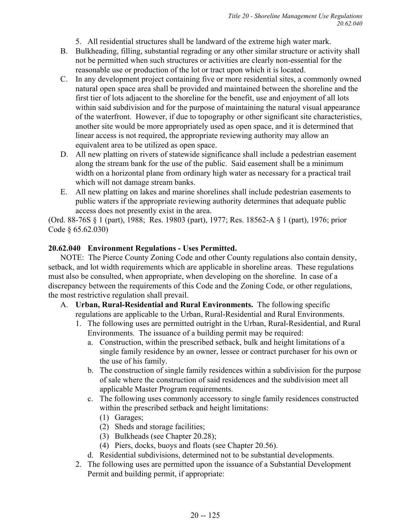- 5. All residential structures shall be landward of the extreme high water mark.
- B. Bulkheading, filling, substantial regrading or any other similar structure or activity shall not be permitted when such structures or activities are clearly non-essential for the reasonable use or production of the lot or tract upon which it is located.
- C. In any development project containing five or more residential sites, a commonly owned natural open space area shall be provided and maintained between the shoreline and the first tier of lots adjacent to the shoreline for the benefit, use and enjoyment of all lots within said subdivision and for the purpose of maintaining the natural visual appearance of the waterfront. However, if due to topography or other significant site characteristics, another site would be more appropriately used as open space, and it is determined that linear access is not required, the appropriate reviewing authority may allow an equivalent area to be utilized as open space.
- D. All new platting on rivers of statewide significance shall include a pedestrian easement along the stream bank for the use of the public. Said easement shall be a minimum width on a horizontal plane from ordinary high water as necessary for a practical trail which will not damage stream banks.
- E. All new platting on lakes and marine shorelines shall include pedestrian easements to public waters if the appropriate reviewing authority determines that adequate public access does not presently exist in the area.

(Ord. 88-76S § 1 (part), 1988; Res. 19803 (part), 1977; Res. 18562-A § 1 (part), 1976; prior Code § 65.62.030)

# **20.62.040 Environment Regulations - Uses Permitted.**

NOTE: The Pierce County Zoning Code and other County regulations also contain density, setback, and lot width requirements which are applicable in shoreline areas. These regulations must also be consulted, when appropriate, when developing on the shoreline. In case of a discrepancy between the requirements of this Code and the Zoning Code, or other regulations, the most restrictive regulation shall prevail.

- A. **Urban, Rural-Residential and Rural Environments.** The following specific regulations are applicable to the Urban, Rural-Residential and Rural Environments.
	- 1. The following uses are permitted outright in the Urban, Rural-Residential, and Rural Environments. The issuance of a building permit may be required:
		- a. Construction, within the prescribed setback, bulk and height limitations of a single family residence by an owner, lessee or contract purchaser for his own or the use of his family.
		- b. The construction of single family residences within a subdivision for the purpose of sale where the construction of said residences and the subdivision meet all applicable Master Program requirements.
		- c. The following uses commonly accessory to single family residences constructed within the prescribed setback and height limitations:
			- (1) Garages;
			- (2) Sheds and storage facilities;
			- (3) Bulkheads (see Chapter 20.28);
			- (4) Piers, docks, buoys and floats (see Chapter 20.56).
		- d. Residential subdivisions, determined not to be substantial developments.
	- 2. The following uses are permitted upon the issuance of a Substantial Development Permit and building permit, if appropriate: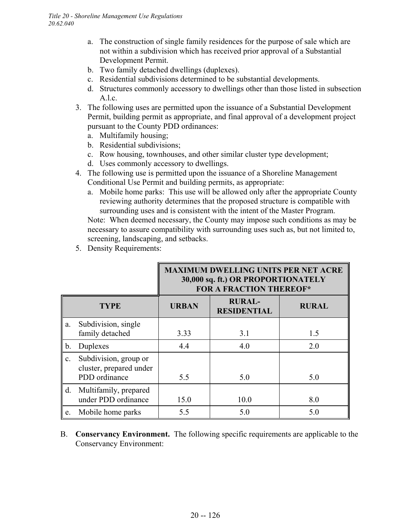- a. The construction of single family residences for the purpose of sale which are not within a subdivision which has received prior approval of a Substantial Development Permit.
- b. Two family detached dwellings (duplexes).
- c. Residential subdivisions determined to be substantial developments.
- d. Structures commonly accessory to dwellings other than those listed in subsection A.l.c.
- 3. The following uses are permitted upon the issuance of a Substantial Development Permit, building permit as appropriate, and final approval of a development project pursuant to the County PDD ordinances:
	- a. Multifamily housing;
	- b. Residential subdivisions;
	- c. Row housing, townhouses, and other similar cluster type development;
	- d. Uses commonly accessory to dwellings.
- 4. The following use is permitted upon the issuance of a Shoreline Management Conditional Use Permit and building permits, as appropriate:
	- a. Mobile home parks: This use will be allowed only after the appropriate County reviewing authority determines that the proposed structure is compatible with surrounding uses and is consistent with the intent of the Master Program.

Note: When deemed necessary, the County may impose such conditions as may be necessary to assure compatibility with surrounding uses such as, but not limited to, screening, landscaping, and setbacks.

5. Density Requirements:

|                |                                                                   | <b>MAXIMUM DWELLING UNITS PER NET ACRE</b><br>30,000 sq. ft.) OR PROPORTIONATELY<br><b>FOR A FRACTION THEREOF*</b> |                                     |              |
|----------------|-------------------------------------------------------------------|--------------------------------------------------------------------------------------------------------------------|-------------------------------------|--------------|
|                | <b>TYPE</b>                                                       | <b>URBAN</b>                                                                                                       | <b>RURAL-</b><br><b>RESIDENTIAL</b> | <b>RURAL</b> |
| a.             | Subdivision, single<br>family detached                            | 3.33                                                                                                               | 3.1                                 | 1.5          |
| b.             | Duplexes                                                          | 4.4                                                                                                                | 4.0                                 | 2.0          |
| $\mathbf{c}$ . | Subdivision, group or<br>cluster, prepared under<br>PDD ordinance | 5.5                                                                                                                | 5.0                                 | 5.0          |
| d.             | Multifamily, prepared<br>under PDD ordinance                      | 15.0                                                                                                               | 10.0                                | 8.0          |
| e.             | Mobile home parks                                                 | 5.5                                                                                                                | 5.0                                 | 5.0          |

B. **Conservancy Environment.** The following specific requirements are applicable to the Conservancy Environment: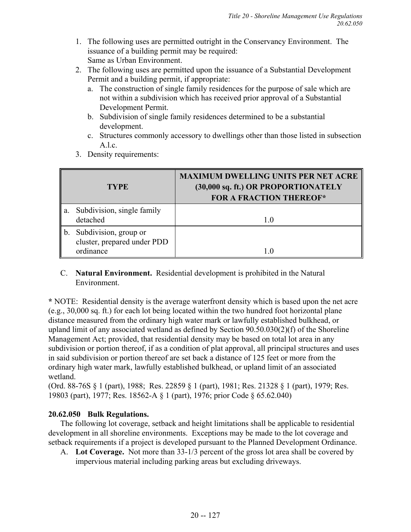- 1. The following uses are permitted outright in the Conservancy Environment. The issuance of a building permit may be required: Same as Urban Environment.
- 2. The following uses are permitted upon the issuance of a Substantial Development Permit and a building permit, if appropriate:
	- a. The construction of single family residences for the purpose of sale which are not within a subdivision which has received prior approval of a Substantial Development Permit.
	- b. Subdivision of single family residences determined to be a substantial development.
	- c. Structures commonly accessory to dwellings other than those listed in subsection A.l.c.
- 3. Density requirements:

|    | <b>TYPE</b>                                                       | <b>MAXIMUM DWELLING UNITS PER NET ACRE</b><br>(30,000 sq. ft.) OR PROPORTIONATELY<br><b>FOR A FRACTION THEREOF*</b> |
|----|-------------------------------------------------------------------|---------------------------------------------------------------------------------------------------------------------|
| a. | Subdivision, single family<br>detached                            | 1.0                                                                                                                 |
| b. | Subdivision, group or<br>cluster, prepared under PDD<br>ordinance |                                                                                                                     |

C. **Natural Environment.** Residential development is prohibited in the Natural Environment.

**\*** NOTE: Residential density is the average waterfront density which is based upon the net acre (e.g., 30,000 sq. ft.) for each lot being located within the two hundred foot horizontal plane distance measured from the ordinary high water mark or lawfully established bulkhead, or upland limit of any associated wetland as defined by Section 90.50.030(2)(f) of the Shoreline Management Act; provided, that residential density may be based on total lot area in any subdivision or portion thereof, if as a condition of plat approval, all principal structures and uses in said subdivision or portion thereof are set back a distance of 125 feet or more from the ordinary high water mark, lawfully established bulkhead, or upland limit of an associated wetland.

(Ord. 88-76S § 1 (part), 1988; Res. 22859 § 1 (part), 1981; Res. 21328 § 1 (part), 1979; Res. 19803 (part), 1977; Res. 18562-A § 1 (part), 1976; prior Code § 65.62.040)

# **20.62.050 Bulk Regulations.**

The following lot coverage, setback and height limitations shall be applicable to residential development in all shoreline environments. Exceptions may be made to the lot coverage and setback requirements if a project is developed pursuant to the Planned Development Ordinance.

A. **Lot Coverage.** Not more than 33-1/3 percent of the gross lot area shall be covered by impervious material including parking areas but excluding driveways.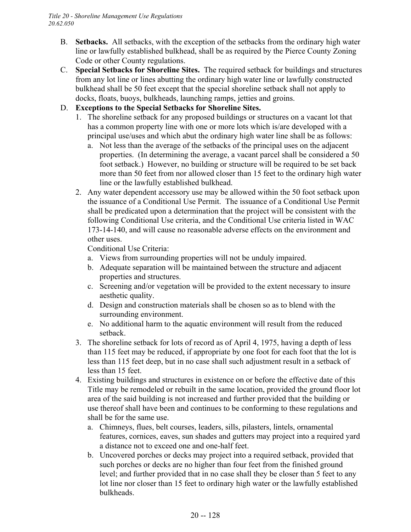- B. **Setbacks.** All setbacks, with the exception of the setbacks from the ordinary high water line or lawfully established bulkhead, shall be as required by the Pierce County Zoning Code or other County regulations.
- C. **Special Setbacks for Shoreline Sites.** The required setback for buildings and structures from any lot line or lines abutting the ordinary high water line or lawfully constructed bulkhead shall be 50 feet except that the special shoreline setback shall not apply to docks, floats, buoys, bulkheads, launching ramps, jetties and groins.
- D. **Exceptions to the Special Setbacks for Shoreline Sites.**
	- 1. The shoreline setback for any proposed buildings or structures on a vacant lot that has a common property line with one or more lots which is/are developed with a principal use/uses and which abut the ordinary high water line shall be as follows:
		- a. Not less than the average of the setbacks of the principal uses on the adjacent properties. (In determining the average, a vacant parcel shall be considered a 50 foot setback.) However, no building or structure will be required to be set back more than 50 feet from nor allowed closer than 15 feet to the ordinary high water line or the lawfully established bulkhead.
	- 2. Any water dependent accessory use may be allowed within the 50 foot setback upon the issuance of a Conditional Use Permit. The issuance of a Conditional Use Permit shall be predicated upon a determination that the project will be consistent with the following Conditional Use criteria, and the Conditional Use criteria listed in WAC 173-14-140, and will cause no reasonable adverse effects on the environment and other uses.

Conditional Use Criteria:

- a. Views from surrounding properties will not be unduly impaired.
- b. Adequate separation will be maintained between the structure and adjacent properties and structures.
- c. Screening and/or vegetation will be provided to the extent necessary to insure aesthetic quality.
- d. Design and construction materials shall be chosen so as to blend with the surrounding environment.
- e. No additional harm to the aquatic environment will result from the reduced setback.
- 3. The shoreline setback for lots of record as of April 4, 1975, having a depth of less than 115 feet may be reduced, if appropriate by one foot for each foot that the lot is less than 115 feet deep, but in no case shall such adjustment result in a setback of less than 15 feet.
- 4. Existing buildings and structures in existence on or before the effective date of this Title may be remodeled or rebuilt in the same location, provided the ground floor lot area of the said building is not increased and further provided that the building or use thereof shall have been and continues to be conforming to these regulations and shall be for the same use.
	- a. Chimneys, flues, belt courses, leaders, sills, pilasters, lintels, ornamental features, cornices, eaves, sun shades and gutters may project into a required yard a distance not to exceed one and one-half feet.
	- b. Uncovered porches or decks may project into a required setback, provided that such porches or decks are no higher than four feet from the finished ground level; and further provided that in no case shall they be closer than 5 feet to any lot line nor closer than 15 feet to ordinary high water or the lawfully established bulkheads.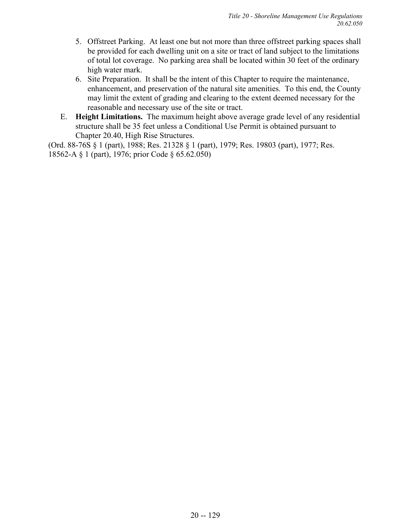- 5. Offstreet Parking. At least one but not more than three offstreet parking spaces shall be provided for each dwelling unit on a site or tract of land subject to the limitations of total lot coverage. No parking area shall be located within 30 feet of the ordinary high water mark.
- 6. Site Preparation. It shall be the intent of this Chapter to require the maintenance, enhancement, and preservation of the natural site amenities. To this end, the County may limit the extent of grading and clearing to the extent deemed necessary for the reasonable and necessary use of the site or tract.
- E. **Height Limitations.** The maximum height above average grade level of any residential structure shall be 35 feet unless a Conditional Use Permit is obtained pursuant to Chapter 20.40, High Rise Structures.

(Ord. 88-76S § 1 (part), 1988; Res. 21328 § 1 (part), 1979; Res. 19803 (part), 1977; Res. 18562-A § 1 (part), 1976; prior Code § 65.62.050)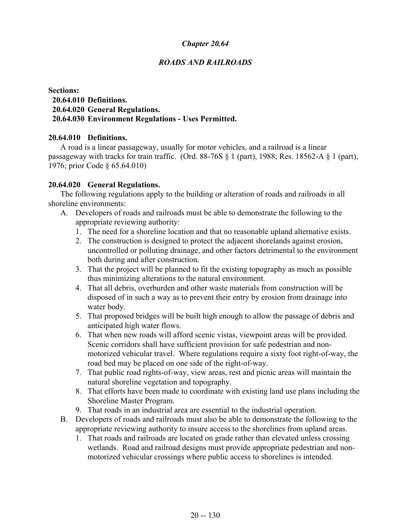# *ROADS AND RAILROADS*

### **Sections: 20.64.010 Definitions. 20.64.020 General Regulations. 20.64.030 Environment Regulations - Uses Permitted.**

### **20.64.010 Definitions.**

A road is a linear passageway, usually for motor vehicles, and a railroad is a linear passageway with tracks for train traffic. (Ord. 88-76S § 1 (part), 1988; Res. 18562-A § 1 (part), 1976; prior Code § 65.64.010)

### **20.64.020 General Regulations.**

The following regulations apply to the building or alteration of roads and railroads in all shoreline environments:

- A. Developers of roads and railroads must be able to demonstrate the following to the appropriate reviewing authority:
	- 1. The need for a shoreline location and that no reasonable upland alternative exists.
	- 2. The construction is designed to protect the adjacent shorelands against erosion, uncontrolled or polluting drainage, and other factors detrimental to the environment both during and after construction.
	- 3. That the project will be planned to fit the existing topography as much as possible thus minimizing alterations to the natural environment.
	- 4. That all debris, overburden and other waste materials from construction will be disposed of in such a way as to prevent their entry by erosion from drainage into water body.
	- 5. That proposed bridges will be built high enough to allow the passage of debris and anticipated high water flows.
	- 6. That when new roads will afford scenic vistas, viewpoint areas will be provided. Scenic corridors shall have sufficient provision for safe pedestrian and nonmotorized vehicular travel. Where regulations require a sixty foot right-of-way, the road bed may be placed on one side of the right-of-way.
	- 7. That public road rights-of-way, view areas, rest and picnic areas will maintain the natural shoreline vegetation and topography.
	- 8. That efforts have been made to coordinate with existing land use plans including the Shoreline Master Program.
	- 9. That roads in an industrial area are essential to the industrial operation.
- B. Developers of roads and railroads must also be able to demonstrate the following to the appropriate reviewing authority to insure access to the shorelines from upland areas.
	- 1. That roads and railroads are located on grade rather than elevated unless crossing wetlands. Road and railroad designs must provide appropriate pedestrian and nonmotorized vehicular crossings where public access to shorelines is intended.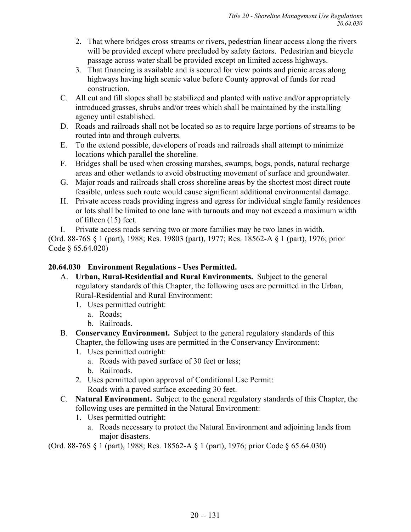- 2. That where bridges cross streams or rivers, pedestrian linear access along the rivers will be provided except where precluded by safety factors. Pedestrian and bicycle passage across water shall be provided except on limited access highways.
- 3. That financing is available and is secured for view points and picnic areas along highways having high scenic value before County approval of funds for road construction.
- C. All cut and fill slopes shall be stabilized and planted with native and/or appropriately introduced grasses, shrubs and/or trees which shall be maintained by the installing agency until established.
- D. Roads and railroads shall not be located so as to require large portions of streams to be routed into and through culverts.
- E. To the extend possible, developers of roads and railroads shall attempt to minimize locations which parallel the shoreline.
- F. Bridges shall be used when crossing marshes, swamps, bogs, ponds, natural recharge areas and other wetlands to avoid obstructing movement of surface and groundwater.
- G. Major roads and railroads shall cross shoreline areas by the shortest most direct route feasible, unless such route would cause significant additional environmental damage.
- H. Private access roads providing ingress and egress for individual single family residences or lots shall be limited to one lane with turnouts and may not exceed a maximum width of fifteen (15) feet.
- I. Private access roads serving two or more families may be two lanes in width.

(Ord. 88-76S § 1 (part), 1988; Res. 19803 (part), 1977; Res. 18562-A § 1 (part), 1976; prior Code § 65.64.020)

# **20.64.030 Environment Regulations - Uses Permitted.**

- A. **Urban, Rural-Residential and Rural Environments.** Subject to the general regulatory standards of this Chapter, the following uses are permitted in the Urban, Rural-Residential and Rural Environment:
	- 1. Uses permitted outright:
		- a. Roads;
		- b. Railroads.
- B. **Conservancy Environment.** Subject to the general regulatory standards of this Chapter, the following uses are permitted in the Conservancy Environment:
	- 1. Uses permitted outright:
		- a. Roads with paved surface of 30 feet or less;
		- b. Railroads.
	- 2. Uses permitted upon approval of Conditional Use Permit: Roads with a paved surface exceeding 30 feet.
- C. **Natural Environment.** Subject to the general regulatory standards of this Chapter, the following uses are permitted in the Natural Environment:
	- 1. Uses permitted outright:
		- a. Roads necessary to protect the Natural Environment and adjoining lands from major disasters.

(Ord. 88-76S § 1 (part), 1988; Res. 18562-A § 1 (part), 1976; prior Code § 65.64.030)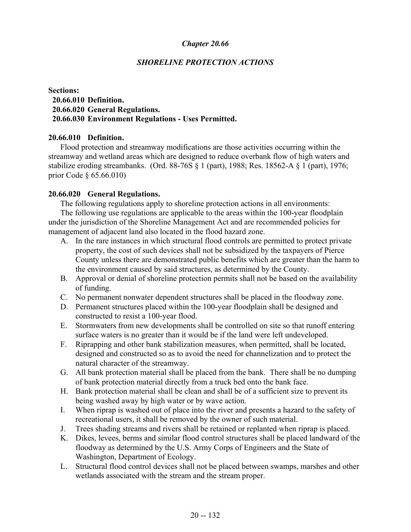## *SHORELINE PROTECTION ACTIONS*

### **Sections: 20.66.010 Definition. 20.66.020 General Regulations. 20.66.030 Environment Regulations - Uses Permitted.**

#### **20.66.010 Definition.**

Flood protection and streamway modifications are those activities occurring within the streamway and wetland areas which are designed to reduce overbank flow of high waters and stabilize eroding streambanks. (Ord. 88-76S § 1 (part), 1988; Res. 18562-A § 1 (part), 1976; prior Code § 65.66.010)

#### **20.66.020 General Regulations.**

The following regulations apply to shoreline protection actions in all environments:

The following use regulations are applicable to the areas within the 100-year floodplain under the jurisdiction of the Shoreline Management Act and are recommended policies for management of adjacent land also located in the flood hazard zone.

- A. In the rare instances in which structural flood controls are permitted to protect private property, the cost of such devices shall not be subsidized by the taxpayers of Pierce County unless there are demonstrated public benefits which are greater than the harm to the environment caused by said structures, as determined by the County.
- B. Approval or denial of shoreline protection permits shall not be based on the availability of funding.
- C. No permanent nonwater dependent structures shall be placed in the floodway zone.
- D. Permanent structures placed within the 100-year floodplain shall be designed and constructed to resist a 100-year flood.
- E. Stormwaters from new developments shall be controlled on site so that runoff entering surface waters is no greater than it would be if the land were left undeveloped.
- F. Riprapping and other bank stabilization measures, when permitted, shall be located, designed and constructed so as to avoid the need for channelization and to protect the natural character of the streamway.
- G. All bank protection material shall be placed from the bank. There shall be no dumping of bank protection material directly from a truck bed onto the bank face.
- H. Bank protection material shall be clean and shall be of a sufficient size to prevent its being washed away by high water or by wave action.
- I. When riprap is washed out of place into the river and presents a hazard to the safety of recreational users, it shall be removed by the owner of such material.
- J. Trees shading streams and rivers shall be retained or replanted when riprap is placed.
- K. Dikes, levees, berms and similar flood control structures shall be placed landward of the floodway as determined by the U.S. Army Corps of Engineers and the State of Washington, Department of Ecology.
- L. Structural flood control devices shall not be placed between swamps, marshes and other wetlands associated with the stream and the stream proper.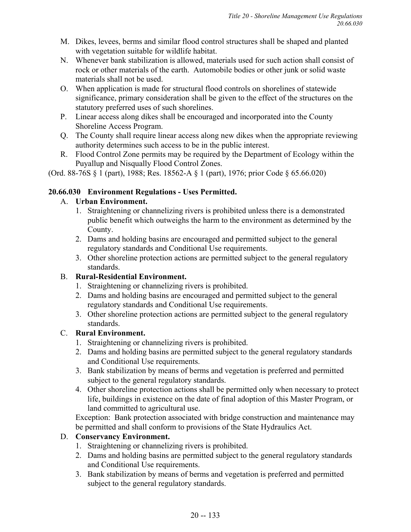- M. Dikes, levees, berms and similar flood control structures shall be shaped and planted with vegetation suitable for wildlife habitat.
- N. Whenever bank stabilization is allowed, materials used for such action shall consist of rock or other materials of the earth. Automobile bodies or other junk or solid waste materials shall not be used.
- O. When application is made for structural flood controls on shorelines of statewide significance, primary consideration shall be given to the effect of the structures on the statutory preferred uses of such shorelines.
- P. Linear access along dikes shall be encouraged and incorporated into the County Shoreline Access Program.
- Q. The County shall require linear access along new dikes when the appropriate reviewing authority determines such access to be in the public interest.
- R. Flood Control Zone permits may be required by the Department of Ecology within the Puyallup and Nisqually Flood Control Zones.

(Ord. 88-76S § 1 (part), 1988; Res. 18562-A § 1 (part), 1976; prior Code § 65.66.020)

# **20.66.030 Environment Regulations - Uses Permitted.**

# A. **Urban Environment.**

- 1. Straightening or channelizing rivers is prohibited unless there is a demonstrated public benefit which outweighs the harm to the environment as determined by the County.
- 2. Dams and holding basins are encouraged and permitted subject to the general regulatory standards and Conditional Use requirements.
- 3. Other shoreline protection actions are permitted subject to the general regulatory standards.

# B. **Rural-Residential Environment.**

- 1. Straightening or channelizing rivers is prohibited.
- 2. Dams and holding basins are encouraged and permitted subject to the general regulatory standards and Conditional Use requirements.
- 3. Other shoreline protection actions are permitted subject to the general regulatory standards.

# C. **Rural Environment.**

- 1. Straightening or channelizing rivers is prohibited.
- 2. Dams and holding basins are permitted subject to the general regulatory standards and Conditional Use requirements.
- 3. Bank stabilization by means of berms and vegetation is preferred and permitted subject to the general regulatory standards.
- 4. Other shoreline protection actions shall be permitted only when necessary to protect life, buildings in existence on the date of final adoption of this Master Program, or land committed to agricultural use.

Exception: Bank protection associated with bridge construction and maintenance may be permitted and shall conform to provisions of the State Hydraulics Act.

# D. **Conservancy Environment.**

- 1. Straightening or channelizing rivers is prohibited.
- 2. Dams and holding basins are permitted subject to the general regulatory standards and Conditional Use requirements.
- 3. Bank stabilization by means of berms and vegetation is preferred and permitted subject to the general regulatory standards.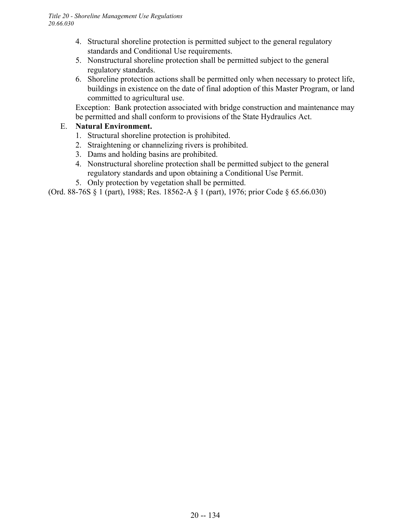- 4. Structural shoreline protection is permitted subject to the general regulatory standards and Conditional Use requirements.
- 5. Nonstructural shoreline protection shall be permitted subject to the general regulatory standards.
- 6. Shoreline protection actions shall be permitted only when necessary to protect life, buildings in existence on the date of final adoption of this Master Program, or land committed to agricultural use.

Exception: Bank protection associated with bridge construction and maintenance may be permitted and shall conform to provisions of the State Hydraulics Act.

# E. **Natural Environment.**

- 1. Structural shoreline protection is prohibited.
- 2. Straightening or channelizing rivers is prohibited.
- 3. Dams and holding basins are prohibited.
- 4. Nonstructural shoreline protection shall be permitted subject to the general regulatory standards and upon obtaining a Conditional Use Permit.
- 5. Only protection by vegetation shall be permitted.

(Ord. 88-76S § 1 (part), 1988; Res. 18562-A § 1 (part), 1976; prior Code § 65.66.030)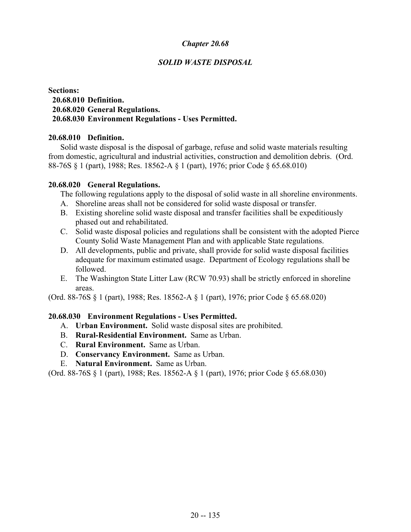### *SOLID WASTE DISPOSAL*

### **Sections: 20.68.010 Definition. 20.68.020 General Regulations. 20.68.030 Environment Regulations - Uses Permitted.**

#### **20.68.010 Definition.**

Solid waste disposal is the disposal of garbage, refuse and solid waste materials resulting from domestic, agricultural and industrial activities, construction and demolition debris. (Ord. 88-76S § 1 (part), 1988; Res. 18562-A § 1 (part), 1976; prior Code § 65.68.010)

#### **20.68.020 General Regulations.**

The following regulations apply to the disposal of solid waste in all shoreline environments.

- A. Shoreline areas shall not be considered for solid waste disposal or transfer.
- B. Existing shoreline solid waste disposal and transfer facilities shall be expeditiously phased out and rehabilitated.
- C. Solid waste disposal policies and regulations shall be consistent with the adopted Pierce County Solid Waste Management Plan and with applicable State regulations.
- D. All developments, public and private, shall provide for solid waste disposal facilities adequate for maximum estimated usage. Department of Ecology regulations shall be followed.
- E. The Washington State Litter Law (RCW 70.93) shall be strictly enforced in shoreline areas.

(Ord. 88-76S § 1 (part), 1988; Res. 18562-A § 1 (part), 1976; prior Code § 65.68.020)

#### **20.68.030 Environment Regulations - Uses Permitted.**

- A. **Urban Environment.** Solid waste disposal sites are prohibited.
- B. **Rural-Residential Environment.** Same as Urban.
- C. **Rural Environment.** Same as Urban.
- D. **Conservancy Environment.** Same as Urban.
- E. **Natural Environment.** Same as Urban.

(Ord. 88-76S § 1 (part), 1988; Res. 18562-A § 1 (part), 1976; prior Code § 65.68.030)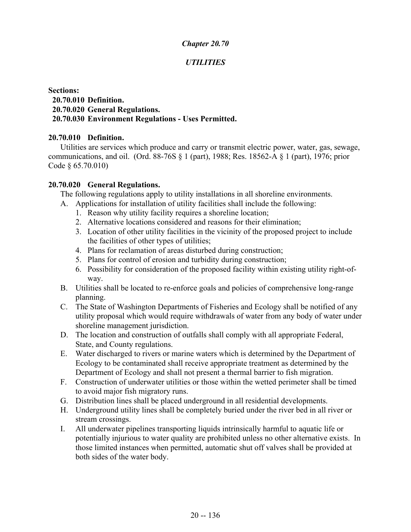## *UTILITIES*

### **Sections: 20.70.010 Definition. 20.70.020 General Regulations. 20.70.030 Environment Regulations - Uses Permitted.**

#### **20.70.010 Definition.**

Utilities are services which produce and carry or transmit electric power, water, gas, sewage, communications, and oil. (Ord. 88-76S § 1 (part), 1988; Res. 18562-A § 1 (part), 1976; prior Code § 65.70.010)

### **20.70.020 General Regulations.**

The following regulations apply to utility installations in all shoreline environments.

- A. Applications for installation of utility facilities shall include the following:
	- 1. Reason why utility facility requires a shoreline location;
	- 2. Alternative locations considered and reasons for their elimination;
	- 3. Location of other utility facilities in the vicinity of the proposed project to include the facilities of other types of utilities;
	- 4. Plans for reclamation of areas disturbed during construction;
	- 5. Plans for control of erosion and turbidity during construction;
	- 6. Possibility for consideration of the proposed facility within existing utility right-ofway.
- B. Utilities shall be located to re-enforce goals and policies of comprehensive long-range planning.
- C. The State of Washington Departments of Fisheries and Ecology shall be notified of any utility proposal which would require withdrawals of water from any body of water under shoreline management jurisdiction.
- D. The location and construction of outfalls shall comply with all appropriate Federal, State, and County regulations.
- E. Water discharged to rivers or marine waters which is determined by the Department of Ecology to be contaminated shall receive appropriate treatment as determined by the Department of Ecology and shall not present a thermal barrier to fish migration.
- F. Construction of underwater utilities or those within the wetted perimeter shall be timed to avoid major fish migratory runs.
- G. Distribution lines shall be placed underground in all residential developments.
- H. Underground utility lines shall be completely buried under the river bed in all river or stream crossings.
- I. All underwater pipelines transporting liquids intrinsically harmful to aquatic life or potentially injurious to water quality are prohibited unless no other alternative exists. In those limited instances when permitted, automatic shut off valves shall be provided at both sides of the water body.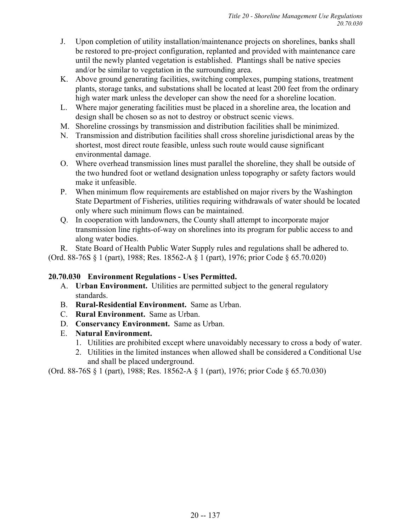- J. Upon completion of utility installation/maintenance projects on shorelines, banks shall be restored to pre-project configuration, replanted and provided with maintenance care until the newly planted vegetation is established. Plantings shall be native species and/or be similar to vegetation in the surrounding area.
- K. Above ground generating facilities, switching complexes, pumping stations, treatment plants, storage tanks, and substations shall be located at least 200 feet from the ordinary high water mark unless the developer can show the need for a shoreline location.
- L. Where major generating facilities must be placed in a shoreline area, the location and design shall be chosen so as not to destroy or obstruct scenic views.
- M. Shoreline crossings by transmission and distribution facilities shall be minimized.
- N. Transmission and distribution facilities shall cross shoreline jurisdictional areas by the shortest, most direct route feasible, unless such route would cause significant environmental damage.
- O. Where overhead transmission lines must parallel the shoreline, they shall be outside of the two hundred foot or wetland designation unless topography or safety factors would make it unfeasible.
- P. When minimum flow requirements are established on major rivers by the Washington State Department of Fisheries, utilities requiring withdrawals of water should be located only where such minimum flows can be maintained.
- Q. In cooperation with landowners, the County shall attempt to incorporate major transmission line rights-of-way on shorelines into its program for public access to and along water bodies.

R. State Board of Health Public Water Supply rules and regulations shall be adhered to. (Ord. 88-76S § 1 (part), 1988; Res. 18562-A § 1 (part), 1976; prior Code § 65.70.020)

### **20.70.030 Environment Regulations - Uses Permitted.**

- A. **Urban Environment.** Utilities are permitted subject to the general regulatory standards.
- B. **Rural-Residential Environment.** Same as Urban.
- C. **Rural Environment.** Same as Urban.
- D. **Conservancy Environment.** Same as Urban.
- E. **Natural Environment.**
	- 1. Utilities are prohibited except where unavoidably necessary to cross a body of water.
	- 2. Utilities in the limited instances when allowed shall be considered a Conditional Use and shall be placed underground.

(Ord. 88-76S § 1 (part), 1988; Res. 18562-A § 1 (part), 1976; prior Code § 65.70.030)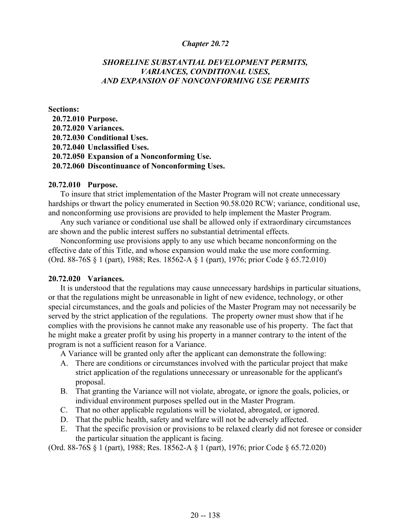### *SHORELINE SUBSTANTIAL DEVELOPMENT PERMITS, VARIANCES, CONDITIONAL USES, AND EXPANSION OF NONCONFORMING USE PERMITS*

#### **Sections:**

 **20.72.010 Purpose. 20.72.020 Variances. 20.72.030 Conditional Uses. 20.72.040 Unclassified Uses. 20.72.050 Expansion of a Nonconforming Use. 20.72.060 Discontinuance of Nonconforming Uses.**

#### **20.72.010 Purpose.**

To insure that strict implementation of the Master Program will not create unnecessary hardships or thwart the policy enumerated in Section 90.58.020 RCW; variance, conditional use, and nonconforming use provisions are provided to help implement the Master Program.

Any such variance or conditional use shall be allowed only if extraordinary circumstances are shown and the public interest suffers no substantial detrimental effects.

Nonconforming use provisions apply to any use which became nonconforming on the effective date of this Title, and whose expansion would make the use more conforming. (Ord. 88-76S § 1 (part), 1988; Res. 18562-A § 1 (part), 1976; prior Code § 65.72.010)

#### **20.72.020 Variances.**

It is understood that the regulations may cause unnecessary hardships in particular situations, or that the regulations might be unreasonable in light of new evidence, technology, or other special circumstances, and the goals and policies of the Master Program may not necessarily be served by the strict application of the regulations. The property owner must show that if he complies with the provisions he cannot make any reasonable use of his property. The fact that he might make a greater profit by using his property in a manner contrary to the intent of the program is not a sufficient reason for a Variance.

A Variance will be granted only after the applicant can demonstrate the following:

- A. There are conditions or circumstances involved with the particular project that make strict application of the regulations unnecessary or unreasonable for the applicant's proposal.
- B. That granting the Variance will not violate, abrogate, or ignore the goals, policies, or individual environment purposes spelled out in the Master Program.
- C. That no other applicable regulations will be violated, abrogated, or ignored.
- D. That the public health, safety and welfare will not be adversely affected.
- E. That the specific provision or provisions to be relaxed clearly did not foresee or consider the particular situation the applicant is facing.

(Ord. 88-76S § 1 (part), 1988; Res. 18562-A § 1 (part), 1976; prior Code § 65.72.020)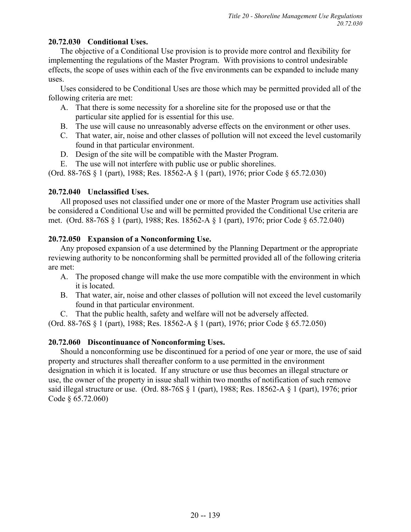## **20.72.030 Conditional Uses.**

The objective of a Conditional Use provision is to provide more control and flexibility for implementing the regulations of the Master Program. With provisions to control undesirable effects, the scope of uses within each of the five environments can be expanded to include many uses.

Uses considered to be Conditional Uses are those which may be permitted provided all of the following criteria are met:

- A. That there is some necessity for a shoreline site for the proposed use or that the particular site applied for is essential for this use.
- B. The use will cause no unreasonably adverse effects on the environment or other uses.
- C. That water, air, noise and other classes of pollution will not exceed the level customarily found in that particular environment.
- D. Design of the site will be compatible with the Master Program.
- E. The use will not interfere with public use or public shorelines.

(Ord. 88-76S § 1 (part), 1988; Res. 18562-A § 1 (part), 1976; prior Code § 65.72.030)

## **20.72.040 Unclassified Uses.**

All proposed uses not classified under one or more of the Master Program use activities shall be considered a Conditional Use and will be permitted provided the Conditional Use criteria are met. (Ord. 88-76S § 1 (part), 1988; Res. 18562-A § 1 (part), 1976; prior Code § 65.72.040)

## **20.72.050 Expansion of a Nonconforming Use.**

Any proposed expansion of a use determined by the Planning Department or the appropriate reviewing authority to be nonconforming shall be permitted provided all of the following criteria are met:

- A. The proposed change will make the use more compatible with the environment in which it is located.
- B. That water, air, noise and other classes of pollution will not exceed the level customarily found in that particular environment.
- C. That the public health, safety and welfare will not be adversely affected.

(Ord. 88-76S § 1 (part), 1988; Res. 18562-A § 1 (part), 1976; prior Code § 65.72.050)

# **20.72.060 Discontinuance of Nonconforming Uses.**

Should a nonconforming use be discontinued for a period of one year or more, the use of said property and structures shall thereafter conform to a use permitted in the environment designation in which it is located. If any structure or use thus becomes an illegal structure or use, the owner of the property in issue shall within two months of notification of such remove said illegal structure or use. (Ord. 88-76S § 1 (part), 1988; Res. 18562-A § 1 (part), 1976; prior Code § 65.72.060)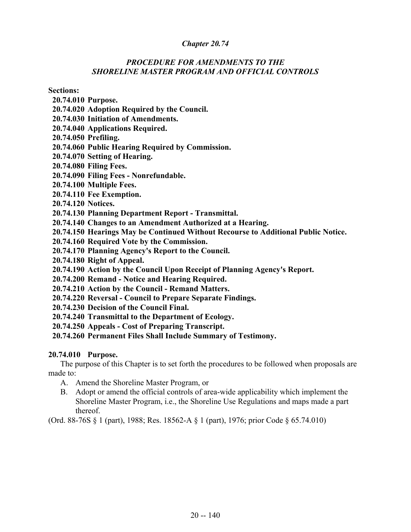### *PROCEDURE FOR AMENDMENTS TO THE SHORELINE MASTER PROGRAM AND OFFICIAL CONTROLS*

**Sections:**

- **20.74.010 Purpose.**
- **20.74.020 Adoption Required by the Council.**
- **20.74.030 Initiation of Amendments.**
- **20.74.040 Applications Required.**
- **20.74.050 Prefiling.**
- **20.74.060 Public Hearing Required by Commission.**
- **20.74.070 Setting of Hearing.**
- **20.74.080 Filing Fees.**
- **20.74.090 Filing Fees Nonrefundable.**
- **20.74.100 Multiple Fees.**
- **20.74.110 Fee Exemption.**
- **20.74.120 Notices.**
- **20.74.130 Planning Department Report Transmittal.**
- **20.74.140 Changes to an Amendment Authorized at a Hearing.**
- **20.74.150 Hearings May be Continued Without Recourse to Additional Public Notice.**
- **20.74.160 Required Vote by the Commission.**
- **20.74.170 Planning Agency's Report to the Council.**
- **20.74.180 Right of Appeal.**
- **20.74.190 Action by the Council Upon Receipt of Planning Agency's Report.**
- **20.74.200 Remand Notice and Hearing Required.**
- **20.74.210 Action by the Council Remand Matters.**
- **20.74.220 Reversal Council to Prepare Separate Findings.**
- **20.74.230 Decision of the Council Final.**
- **20.74.240 Transmittal to the Department of Ecology.**
- **20.74.250 Appeals Cost of Preparing Transcript.**
- **20.74.260 Permanent Files Shall Include Summary of Testimony.**

### **20.74.010 Purpose.**

The purpose of this Chapter is to set forth the procedures to be followed when proposals are made to:

- A. Amend the Shoreline Master Program, or
- B. Adopt or amend the official controls of area-wide applicability which implement the Shoreline Master Program, i.e., the Shoreline Use Regulations and maps made a part thereof.

(Ord. 88-76S § 1 (part), 1988; Res. 18562-A § 1 (part), 1976; prior Code § 65.74.010)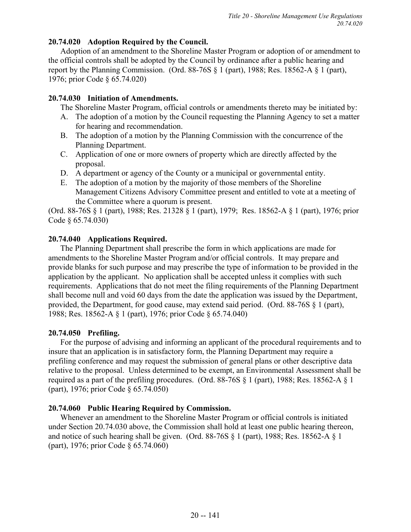### **20.74.020 Adoption Required by the Council.**

Adoption of an amendment to the Shoreline Master Program or adoption of or amendment to the official controls shall be adopted by the Council by ordinance after a public hearing and report by the Planning Commission. (Ord. 88-76S  $\S$  1 (part), 1988; Res. 18562-A  $\S$  1 (part), 1976; prior Code § 65.74.020)

## **20.74.030 Initiation of Amendments.**

The Shoreline Master Program, official controls or amendments thereto may be initiated by:

- A. The adoption of a motion by the Council requesting the Planning Agency to set a matter for hearing and recommendation.
- B. The adoption of a motion by the Planning Commission with the concurrence of the Planning Department.
- C. Application of one or more owners of property which are directly affected by the proposal.
- D. A department or agency of the County or a municipal or governmental entity.
- E. The adoption of a motion by the majority of those members of the Shoreline Management Citizens Advisory Committee present and entitled to vote at a meeting of the Committee where a quorum is present.

(Ord. 88-76S § 1 (part), 1988; Res. 21328 § 1 (part), 1979; Res. 18562-A § 1 (part), 1976; prior Code § 65.74.030)

## **20.74.040 Applications Required.**

The Planning Department shall prescribe the form in which applications are made for amendments to the Shoreline Master Program and/or official controls. It may prepare and provide blanks for such purpose and may prescribe the type of information to be provided in the application by the applicant. No application shall be accepted unless it complies with such requirements. Applications that do not meet the filing requirements of the Planning Department shall become null and void 60 days from the date the application was issued by the Department, provided, the Department, for good cause, may extend said period. (Ord. 88-76S § 1 (part), 1988; Res. 18562-A § 1 (part), 1976; prior Code § 65.74.040)

# **20.74.050 Prefiling.**

For the purpose of advising and informing an applicant of the procedural requirements and to insure that an application is in satisfactory form, the Planning Department may require a prefiling conference and may request the submission of general plans or other descriptive data relative to the proposal. Unless determined to be exempt, an Environmental Assessment shall be required as a part of the prefiling procedures. (Ord. 88-76S § 1 (part), 1988; Res. 18562-A § 1 (part), 1976; prior Code § 65.74.050)

### **20.74.060 Public Hearing Required by Commission.**

Whenever an amendment to the Shoreline Master Program or official controls is initiated under Section 20.74.030 above, the Commission shall hold at least one public hearing thereon, and notice of such hearing shall be given. (Ord.  $88-76S \S 1$  (part), 1988; Res. 18562-A  $\S 1$ (part), 1976; prior Code § 65.74.060)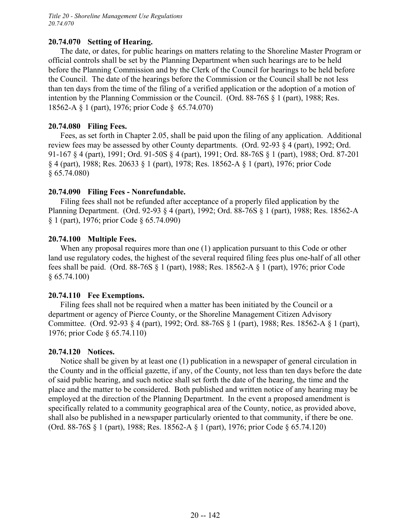*Title 20 - Shoreline Management Use Regulations 20.74.070*

#### **20.74.070 Setting of Hearing.**

The date, or dates, for public hearings on matters relating to the Shoreline Master Program or official controls shall be set by the Planning Department when such hearings are to be held before the Planning Commission and by the Clerk of the Council for hearings to be held before the Council. The date of the hearings before the Commission or the Council shall be not less than ten days from the time of the filing of a verified application or the adoption of a motion of intention by the Planning Commission or the Council. (Ord. 88-76S § 1 (part), 1988; Res. 18562-A § 1 (part), 1976; prior Code § 65.74.070)

### **20.74.080 Filing Fees.**

Fees, as set forth in Chapter 2.05, shall be paid upon the filing of any application. Additional review fees may be assessed by other County departments. (Ord. 92-93 § 4 (part), 1992; Ord. 91-167 § 4 (part), 1991; Ord. 91-50S § 4 (part), 1991; Ord. 88-76S § 1 (part), 1988; Ord. 87-201 § 4 (part), 1988; Res. 20633 § 1 (part), 1978; Res. 18562-A § 1 (part), 1976; prior Code § 65.74.080)

### **20.74.090 Filing Fees - Nonrefundable.**

Filing fees shall not be refunded after acceptance of a properly filed application by the Planning Department. (Ord. 92-93 § 4 (part), 1992; Ord. 88-76S § 1 (part), 1988; Res. 18562-A § 1 (part), 1976; prior Code § 65.74.090)

### **20.74.100 Multiple Fees.**

When any proposal requires more than one (1) application pursuant to this Code or other land use regulatory codes, the highest of the several required filing fees plus one-half of all other fees shall be paid. (Ord. 88-76S § 1 (part), 1988; Res. 18562-A § 1 (part), 1976; prior Code  $§ 65.74.100)$ 

#### **20.74.110 Fee Exemptions.**

Filing fees shall not be required when a matter has been initiated by the Council or a department or agency of Pierce County, or the Shoreline Management Citizen Advisory Committee. (Ord. 92-93 § 4 (part), 1992; Ord. 88-76S § 1 (part), 1988; Res. 18562-A § 1 (part), 1976; prior Code § 65.74.110)

#### **20.74.120 Notices.**

Notice shall be given by at least one (1) publication in a newspaper of general circulation in the County and in the official gazette, if any, of the County, not less than ten days before the date of said public hearing, and such notice shall set forth the date of the hearing, the time and the place and the matter to be considered. Both published and written notice of any hearing may be employed at the direction of the Planning Department. In the event a proposed amendment is specifically related to a community geographical area of the County, notice, as provided above, shall also be published in a newspaper particularly oriented to that community, if there be one. (Ord. 88-76S § 1 (part), 1988; Res. 18562-A § 1 (part), 1976; prior Code § 65.74.120)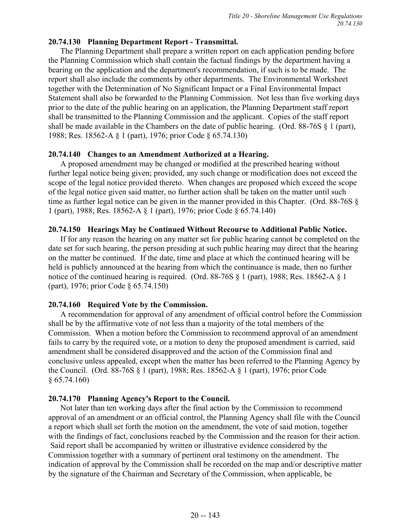### **20.74.130 Planning Department Report - Transmittal.**

The Planning Department shall prepare a written report on each application pending before the Planning Commission which shall contain the factual findings by the department having a bearing on the application and the department's recommendation, if such is to be made. The report shall also include the comments by other departments. The Environmental Worksheet together with the Determination of No Significant Impact or a Final Environmental Impact Statement shall also be forwarded to the Planning Commission. Not less than five working days prior to the date of the public hearing on an application, the Planning Department staff report shall be transmitted to the Planning Commission and the applicant. Copies of the staff report shall be made available in the Chambers on the date of public hearing. (Ord. 88-76S § 1 (part), 1988; Res. 18562-A § 1 (part), 1976; prior Code § 65.74.130)

### **20.74.140 Changes to an Amendment Authorized at a Hearing.**

A proposed amendment may be changed or modified at the prescribed hearing without further legal notice being given; provided, any such change or modification does not exceed the scope of the legal notice provided thereto. When changes are proposed which exceed the scope of the legal notice given said matter, no further action shall be taken on the matter until such time as further legal notice can be given in the manner provided in this Chapter. (Ord. 88-76S § 1 (part), 1988; Res. 18562-A § 1 (part), 1976; prior Code § 65.74.140)

### **20.74.150 Hearings May be Continued Without Recourse to Additional Public Notice.**

If for any reason the hearing on any matter set for public hearing cannot be completed on the date set for such hearing, the person presiding at such public hearing may direct that the hearing on the matter be continued. If the date, time and place at which the continued hearing will be held is publicly announced at the hearing from which the continuance is made, then no further notice of the continued hearing is required. (Ord. 88-76S § 1 (part), 1988; Res. 18562-A § 1 (part), 1976; prior Code § 65.74.150)

### **20.74.160 Required Vote by the Commission.**

A recommendation for approval of any amendment of official control before the Commission shall be by the affirmative vote of not less than a majority of the total members of the Commission. When a motion before the Commission to recommend approval of an amendment fails to carry by the required vote, or a motion to deny the proposed amendment is carried, said amendment shall be considered disapproved and the action of the Commission final and conclusive unless appealed, except when the matter has been referred to the Planning Agency by the Council. (Ord. 88-76S § 1 (part), 1988; Res. 18562-A § 1 (part), 1976; prior Code § 65.74.160)

### **20.74.170 Planning Agency's Report to the Council.**

Not later than ten working days after the final action by the Commission to recommend approval of an amendment or an official control, the Planning Agency shall file with the Council a report which shall set forth the motion on the amendment, the vote of said motion, together with the findings of fact, conclusions reached by the Commission and the reason for their action. Said report shall be accompanied by written or illustrative evidence considered by the Commission together with a summary of pertinent oral testimony on the amendment. The indication of approval by the Commission shall be recorded on the map and/or descriptive matter by the signature of the Chairman and Secretary of the Commission, when applicable, be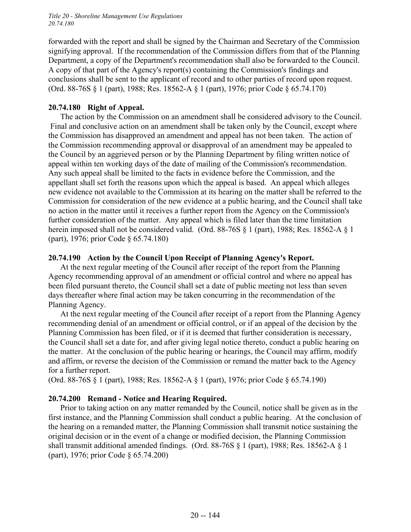*Title 20 - Shoreline Management Use Regulations 20.74.180*

forwarded with the report and shall be signed by the Chairman and Secretary of the Commission signifying approval. If the recommendation of the Commission differs from that of the Planning Department, a copy of the Department's recommendation shall also be forwarded to the Council. A copy of that part of the Agency's report(s) containing the Commission's findings and conclusions shall be sent to the applicant of record and to other parties of record upon request. (Ord. 88-76S § 1 (part), 1988; Res. 18562-A § 1 (part), 1976; prior Code § 65.74.170)

#### **20.74.180 Right of Appeal.**

The action by the Commission on an amendment shall be considered advisory to the Council. Final and conclusive action on an amendment shall be taken only by the Council, except where the Commission has disapproved an amendment and appeal has not been taken. The action of the Commission recommending approval or disapproval of an amendment may be appealed to the Council by an aggrieved person or by the Planning Department by filing written notice of appeal within ten working days of the date of mailing of the Commission's recommendation. Any such appeal shall be limited to the facts in evidence before the Commission, and the appellant shall set forth the reasons upon which the appeal is based. An appeal which alleges new evidence not available to the Commission at its hearing on the matter shall be referred to the Commission for consideration of the new evidence at a public hearing, and the Council shall take no action in the matter until it receives a further report from the Agency on the Commission's further consideration of the matter. Any appeal which is filed later than the time limitation herein imposed shall not be considered valid. (Ord. 88-76S § 1 (part), 1988; Res. 18562-A § 1 (part), 1976; prior Code § 65.74.180)

#### **20.74.190 Action by the Council Upon Receipt of Planning Agency's Report.**

At the next regular meeting of the Council after receipt of the report from the Planning Agency recommending approval of an amendment or official control and where no appeal has been filed pursuant thereto, the Council shall set a date of public meeting not less than seven days thereafter where final action may be taken concurring in the recommendation of the Planning Agency.

At the next regular meeting of the Council after receipt of a report from the Planning Agency recommending denial of an amendment or official control, or if an appeal of the decision by the Planning Commission has been filed, or if it is deemed that further consideration is necessary, the Council shall set a date for, and after giving legal notice thereto, conduct a public hearing on the matter. At the conclusion of the public hearing or hearings, the Council may affirm, modify and affirm, or reverse the decision of the Commission or remand the matter back to the Agency for a further report.

(Ord. 88-76S § 1 (part), 1988; Res. 18562-A § 1 (part), 1976; prior Code § 65.74.190)

#### **20.74.200 Remand - Notice and Hearing Required.**

Prior to taking action on any matter remanded by the Council, notice shall be given as in the first instance, and the Planning Commission shall conduct a public hearing. At the conclusion of the hearing on a remanded matter, the Planning Commission shall transmit notice sustaining the original decision or in the event of a change or modified decision, the Planning Commission shall transmit additional amended findings. (Ord. 88-76S § 1 (part), 1988; Res. 18562-A § 1 (part), 1976; prior Code § 65.74.200)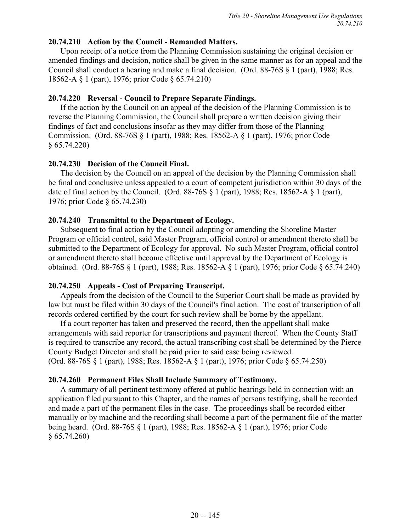### **20.74.210 Action by the Council - Remanded Matters.**

Upon receipt of a notice from the Planning Commission sustaining the original decision or amended findings and decision, notice shall be given in the same manner as for an appeal and the Council shall conduct a hearing and make a final decision. (Ord. 88-76S § 1 (part), 1988; Res. 18562-A § 1 (part), 1976; prior Code § 65.74.210)

### **20.74.220 Reversal - Council to Prepare Separate Findings.**

If the action by the Council on an appeal of the decision of the Planning Commission is to reverse the Planning Commission, the Council shall prepare a written decision giving their findings of fact and conclusions insofar as they may differ from those of the Planning Commission. (Ord. 88-76S § 1 (part), 1988; Res. 18562-A § 1 (part), 1976; prior Code § 65.74.220)

### **20.74.230 Decision of the Council Final.**

The decision by the Council on an appeal of the decision by the Planning Commission shall be final and conclusive unless appealed to a court of competent jurisdiction within 30 days of the date of final action by the Council. (Ord.  $88-76S \S 1$  (part), 1988; Res. 18562-A  $\S 1$  (part), 1976; prior Code § 65.74.230)

### **20.74.240 Transmittal to the Department of Ecology.**

Subsequent to final action by the Council adopting or amending the Shoreline Master Program or official control, said Master Program, official control or amendment thereto shall be submitted to the Department of Ecology for approval. No such Master Program, official control or amendment thereto shall become effective until approval by the Department of Ecology is obtained. (Ord. 88-76S § 1 (part), 1988; Res. 18562-A § 1 (part), 1976; prior Code § 65.74.240)

### **20.74.250 Appeals - Cost of Preparing Transcript.**

Appeals from the decision of the Council to the Superior Court shall be made as provided by law but must be filed within 30 days of the Council's final action. The cost of transcription of all records ordered certified by the court for such review shall be borne by the appellant.

If a court reporter has taken and preserved the record, then the appellant shall make arrangements with said reporter for transcriptions and payment thereof. When the County Staff is required to transcribe any record, the actual transcribing cost shall be determined by the Pierce County Budget Director and shall be paid prior to said case being reviewed. (Ord. 88-76S § 1 (part), 1988; Res. 18562-A § 1 (part), 1976; prior Code § 65.74.250)

### **20.74.260 Permanent Files Shall Include Summary of Testimony.**

A summary of all pertinent testimony offered at public hearings held in connection with an application filed pursuant to this Chapter, and the names of persons testifying, shall be recorded and made a part of the permanent files in the case. The proceedings shall be recorded either manually or by machine and the recording shall become a part of the permanent file of the matter being heard. (Ord. 88-76S § 1 (part), 1988; Res. 18562-A § 1 (part), 1976; prior Code § 65.74.260)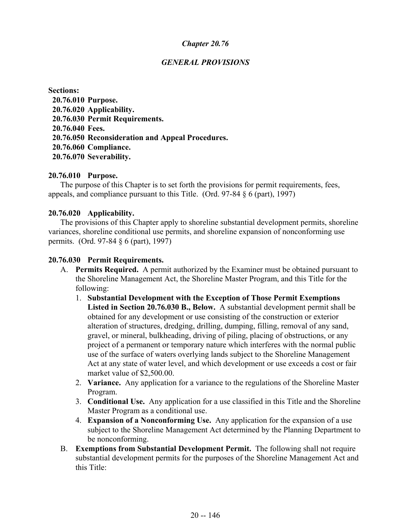### *GENERAL PROVISIONS*

**Sections: 20.76.010 Purpose. 20.76.020 Applicability. 20.76.030 Permit Requirements. 20.76.040 Fees. 20.76.050 Reconsideration and Appeal Procedures. 20.76.060 Compliance. 20.76.070 Severability.**

#### **20.76.010 Purpose.**

The purpose of this Chapter is to set forth the provisions for permit requirements, fees, appeals, and compliance pursuant to this Title. (Ord. 97-84 § 6 (part), 1997)

#### **20.76.020 Applicability.**

The provisions of this Chapter apply to shoreline substantial development permits, shoreline variances, shoreline conditional use permits, and shoreline expansion of nonconforming use permits. (Ord. 97-84 § 6 (part), 1997)

#### **20.76.030 Permit Requirements.**

- A. **Permits Required.** A permit authorized by the Examiner must be obtained pursuant to the Shoreline Management Act, the Shoreline Master Program, and this Title for the following:
	- 1. **Substantial Development with the Exception of Those Permit Exemptions Listed in Section 20.76.030 B., Below.** A substantial development permit shall be obtained for any development or use consisting of the construction or exterior alteration of structures, dredging, drilling, dumping, filling, removal of any sand, gravel, or mineral, bulkheading, driving of piling, placing of obstructions, or any project of a permanent or temporary nature which interferes with the normal public use of the surface of waters overlying lands subject to the Shoreline Management Act at any state of water level, and which development or use exceeds a cost or fair market value of \$2,500.00.
	- 2. **Variance.** Any application for a variance to the regulations of the Shoreline Master Program.
	- 3. **Conditional Use.** Any application for a use classified in this Title and the Shoreline Master Program as a conditional use.
	- 4. **Expansion of a Nonconforming Use.** Any application for the expansion of a use subject to the Shoreline Management Act determined by the Planning Department to be nonconforming.
- B. **Exemptions from Substantial Development Permit.** The following shall not require substantial development permits for the purposes of the Shoreline Management Act and this Title: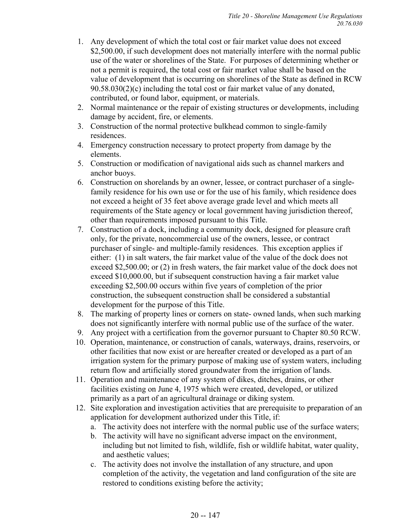- 1. Any development of which the total cost or fair market value does not exceed \$2,500.00, if such development does not materially interfere with the normal public use of the water or shorelines of the State. For purposes of determining whether or not a permit is required, the total cost or fair market value shall be based on the value of development that is occurring on shorelines of the State as defined in RCW 90.58.030(2)(c) including the total cost or fair market value of any donated, contributed, or found labor, equipment, or materials.
- 2. Normal maintenance or the repair of existing structures or developments, including damage by accident, fire, or elements.
- 3. Construction of the normal protective bulkhead common to single-family residences.
- 4. Emergency construction necessary to protect property from damage by the elements.
- 5. Construction or modification of navigational aids such as channel markers and anchor buoys.
- 6. Construction on shorelands by an owner, lessee, or contract purchaser of a singlefamily residence for his own use or for the use of his family, which residence does not exceed a height of 35 feet above average grade level and which meets all requirements of the State agency or local government having jurisdiction thereof, other than requirements imposed pursuant to this Title.
- 7. Construction of a dock, including a community dock, designed for pleasure craft only, for the private, noncommercial use of the owners, lessee, or contract purchaser of single- and multiple-family residences. This exception applies if either: (1) in salt waters, the fair market value of the value of the dock does not exceed \$2,500.00; or (2) in fresh waters, the fair market value of the dock does not exceed \$10,000.00, but if subsequent construction having a fair market value exceeding \$2,500.00 occurs within five years of completion of the prior construction, the subsequent construction shall be considered a substantial development for the purpose of this Title.
- 8. The marking of property lines or corners on state- owned lands, when such marking does not significantly interfere with normal public use of the surface of the water.
- 9. Any project with a certification from the governor pursuant to Chapter 80.50 RCW.
- 10. Operation, maintenance, or construction of canals, waterways, drains, reservoirs, or other facilities that now exist or are hereafter created or developed as a part of an irrigation system for the primary purpose of making use of system waters, including return flow and artificially stored groundwater from the irrigation of lands.
- 11. Operation and maintenance of any system of dikes, ditches, drains, or other facilities existing on June 4, 1975 which were created, developed, or utilized primarily as a part of an agricultural drainage or diking system.
- 12. Site exploration and investigation activities that are prerequisite to preparation of an application for development authorized under this Title, if:
	- a. The activity does not interfere with the normal public use of the surface waters;
	- b. The activity will have no significant adverse impact on the environment, including but not limited to fish, wildlife, fish or wildlife habitat, water quality, and aesthetic values;
	- c. The activity does not involve the installation of any structure, and upon completion of the activity, the vegetation and land configuration of the site are restored to conditions existing before the activity;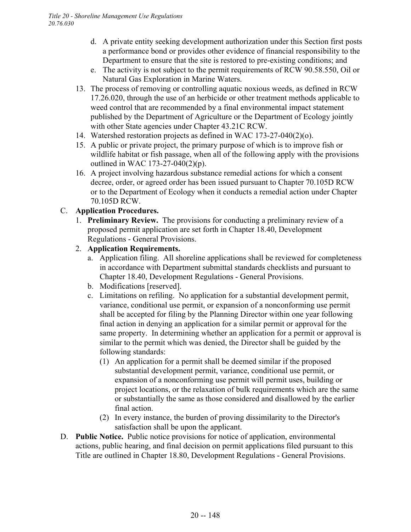- d. A private entity seeking development authorization under this Section first posts a performance bond or provides other evidence of financial responsibility to the Department to ensure that the site is restored to pre-existing conditions; and
- e. The activity is not subject to the permit requirements of RCW 90.58.550, Oil or Natural Gas Exploration in Marine Waters.
- 13. The process of removing or controlling aquatic noxious weeds, as defined in RCW 17.26.020, through the use of an herbicide or other treatment methods applicable to weed control that are recommended by a final environmental impact statement published by the Department of Agriculture or the Department of Ecology jointly with other State agencies under Chapter 43.21C RCW.
- 14. Watershed restoration projects as defined in WAC 173-27-040(2)(o).
- 15. A public or private project, the primary purpose of which is to improve fish or wildlife habitat or fish passage, when all of the following apply with the provisions outlined in WAC 173-27-040(2)(p).
- 16. A project involving hazardous substance remedial actions for which a consent decree, order, or agreed order has been issued pursuant to Chapter 70.105D RCW or to the Department of Ecology when it conducts a remedial action under Chapter 70.105D RCW.

# C. **Application Procedures.**

- 1. **Preliminary Review.** The provisions for conducting a preliminary review of a proposed permit application are set forth in Chapter 18.40, Development Regulations - General Provisions.
- 2. **Application Requirements.**
	- a. Application filing. All shoreline applications shall be reviewed for completeness in accordance with Department submittal standards checklists and pursuant to Chapter 18.40, Development Regulations - General Provisions.
	- b. Modifications [reserved].
	- c. Limitations on refiling. No application for a substantial development permit, variance, conditional use permit, or expansion of a nonconforming use permit shall be accepted for filing by the Planning Director within one year following final action in denying an application for a similar permit or approval for the same property. In determining whether an application for a permit or approval is similar to the permit which was denied, the Director shall be guided by the following standards:
		- (1) An application for a permit shall be deemed similar if the proposed substantial development permit, variance, conditional use permit, or expansion of a nonconforming use permit will permit uses, building or project locations, or the relaxation of bulk requirements which are the same or substantially the same as those considered and disallowed by the earlier final action.
		- (2) In every instance, the burden of proving dissimilarity to the Director's satisfaction shall be upon the applicant.
- D. **Public Notice.** Public notice provisions for notice of application, environmental actions, public hearing, and final decision on permit applications filed pursuant to this Title are outlined in Chapter 18.80, Development Regulations - General Provisions.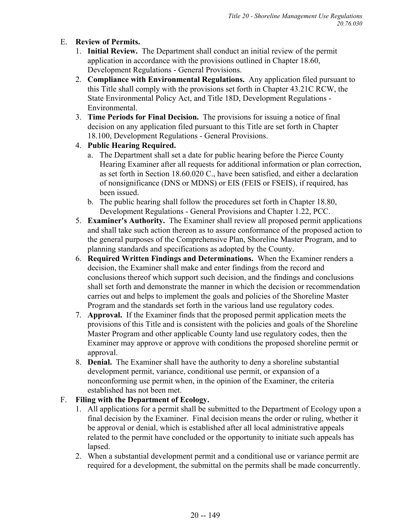# E. **Review of Permits.**

- 1. **Initial Review.** The Department shall conduct an initial review of the permit application in accordance with the provisions outlined in Chapter 18.60, Development Regulations - General Provisions.
- 2. **Compliance with Environmental Regulations.** Any application filed pursuant to this Title shall comply with the provisions set forth in Chapter 43.21C RCW, the State Environmental Policy Act, and Title 18D, Development Regulations - Environmental.
- 3. **Time Periods for Final Decision.** The provisions for issuing a notice of final decision on any application filed pursuant to this Title are set forth in Chapter 18.100, Development Regulations - General Provisions.
- 4. **Public Hearing Required.**
	- a. The Department shall set a date for public hearing before the Pierce County Hearing Examiner after all requests for additional information or plan correction, as set forth in Section 18.60.020 C., have been satisfied, and either a declaration of nonsignificance (DNS or MDNS) or EIS (FEIS or FSEIS), if required, has been issued.
	- b. The public hearing shall follow the procedures set forth in Chapter 18.80, Development Regulations - General Provisions and Chapter 1.22, PCC.
- 5. **Examiner's Authority.** The Examiner shall review all proposed permit applications and shall take such action thereon as to assure conformance of the proposed action to the general purposes of the Comprehensive Plan, Shoreline Master Program, and to planning standards and specifications as adopted by the County.
- 6. **Required Written Findings and Determinations.** When the Examiner renders a decision, the Examiner shall make and enter findings from the record and conclusions thereof which support such decision, and the findings and conclusions shall set forth and demonstrate the manner in which the decision or recommendation carries out and helps to implement the goals and policies of the Shoreline Master Program and the standards set forth in the various land use regulatory codes.
- 7. **Approval.** If the Examiner finds that the proposed permit application meets the provisions of this Title and is consistent with the policies and goals of the Shoreline Master Program and other applicable County land use regulatory codes, then the Examiner may approve or approve with conditions the proposed shoreline permit or approval.
- 8. **Denial.** The Examiner shall have the authority to deny a shoreline substantial development permit, variance, conditional use permit, or expansion of a nonconforming use permit when, in the opinion of the Examiner, the criteria established has not been met.

### F. **Filing with the Department of Ecology.**

- 1. All applications for a permit shall be submitted to the Department of Ecology upon a final decision by the Examiner. Final decision means the order or ruling, whether it be approval or denial, which is established after all local administrative appeals related to the permit have concluded or the opportunity to initiate such appeals has lapsed.
- 2. When a substantial development permit and a conditional use or variance permit are required for a development, the submittal on the permits shall be made concurrently.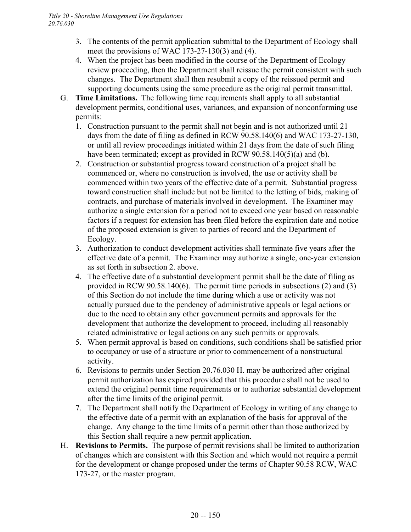- 3. The contents of the permit application submittal to the Department of Ecology shall meet the provisions of WAC 173-27-130(3) and (4).
- 4. When the project has been modified in the course of the Department of Ecology review proceeding, then the Department shall reissue the permit consistent with such changes. The Department shall then resubmit a copy of the reissued permit and supporting documents using the same procedure as the original permit transmittal.
- G. **Time Limitations.** The following time requirements shall apply to all substantial development permits, conditional uses, variances, and expansion of nonconforming use permits:
	- 1. Construction pursuant to the permit shall not begin and is not authorized until 21 days from the date of filing as defined in RCW 90.58.140(6) and WAC 173-27-130, or until all review proceedings initiated within 21 days from the date of such filing have been terminated; except as provided in RCW 90.58.140(5)(a) and (b).
	- 2. Construction or substantial progress toward construction of a project shall be commenced or, where no construction is involved, the use or activity shall be commenced within two years of the effective date of a permit. Substantial progress toward construction shall include but not be limited to the letting of bids, making of contracts, and purchase of materials involved in development. The Examiner may authorize a single extension for a period not to exceed one year based on reasonable factors if a request for extension has been filed before the expiration date and notice of the proposed extension is given to parties of record and the Department of Ecology.
	- 3. Authorization to conduct development activities shall terminate five years after the effective date of a permit. The Examiner may authorize a single, one-year extension as set forth in subsection 2. above.
	- 4. The effective date of a substantial development permit shall be the date of filing as provided in RCW 90.58.140(6). The permit time periods in subsections (2) and (3) of this Section do not include the time during which a use or activity was not actually pursued due to the pendency of administrative appeals or legal actions or due to the need to obtain any other government permits and approvals for the development that authorize the development to proceed, including all reasonably related administrative or legal actions on any such permits or approvals.
	- 5. When permit approval is based on conditions, such conditions shall be satisfied prior to occupancy or use of a structure or prior to commencement of a nonstructural activity.
	- 6. Revisions to permits under Section 20.76.030 H. may be authorized after original permit authorization has expired provided that this procedure shall not be used to extend the original permit time requirements or to authorize substantial development after the time limits of the original permit.
	- 7. The Department shall notify the Department of Ecology in writing of any change to the effective date of a permit with an explanation of the basis for approval of the change. Any change to the time limits of a permit other than those authorized by this Section shall require a new permit application.
- H. **Revisions to Permits.** The purpose of permit revisions shall be limited to authorization of changes which are consistent with this Section and which would not require a permit for the development or change proposed under the terms of Chapter 90.58 RCW, WAC 173-27, or the master program.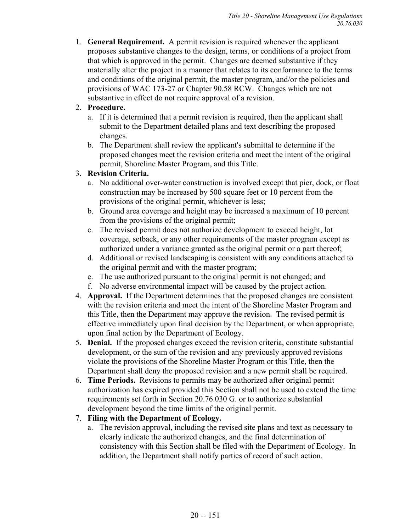1. **General Requirement.** A permit revision is required whenever the applicant proposes substantive changes to the design, terms, or conditions of a project from that which is approved in the permit. Changes are deemed substantive if they materially alter the project in a manner that relates to its conformance to the terms and conditions of the original permit, the master program, and/or the policies and provisions of WAC 173-27 or Chapter 90.58 RCW. Changes which are not substantive in effect do not require approval of a revision.

### 2. **Procedure.**

- a. If it is determined that a permit revision is required, then the applicant shall submit to the Department detailed plans and text describing the proposed changes.
- b. The Department shall review the applicant's submittal to determine if the proposed changes meet the revision criteria and meet the intent of the original permit, Shoreline Master Program, and this Title.

### 3. **Revision Criteria.**

- a. No additional over-water construction is involved except that pier, dock, or float construction may be increased by 500 square feet or 10 percent from the provisions of the original permit, whichever is less;
- b. Ground area coverage and height may be increased a maximum of 10 percent from the provisions of the original permit;
- c. The revised permit does not authorize development to exceed height, lot coverage, setback, or any other requirements of the master program except as authorized under a variance granted as the original permit or a part thereof;
- d. Additional or revised landscaping is consistent with any conditions attached to the original permit and with the master program;
- e. The use authorized pursuant to the original permit is not changed; and
- f. No adverse environmental impact will be caused by the project action.
- 4. **Approval.** If the Department determines that the proposed changes are consistent with the revision criteria and meet the intent of the Shoreline Master Program and this Title, then the Department may approve the revision. The revised permit is effective immediately upon final decision by the Department, or when appropriate, upon final action by the Department of Ecology.
- 5. **Denial.** If the proposed changes exceed the revision criteria, constitute substantial development, or the sum of the revision and any previously approved revisions violate the provisions of the Shoreline Master Program or this Title, then the Department shall deny the proposed revision and a new permit shall be required.
- 6. **Time Periods.** Revisions to permits may be authorized after original permit authorization has expired provided this Section shall not be used to extend the time requirements set forth in Section 20.76.030 G. or to authorize substantial development beyond the time limits of the original permit.

### 7. **Filing with the Department of Ecology.**

a. The revision approval, including the revised site plans and text as necessary to clearly indicate the authorized changes, and the final determination of consistency with this Section shall be filed with the Department of Ecology. In addition, the Department shall notify parties of record of such action.